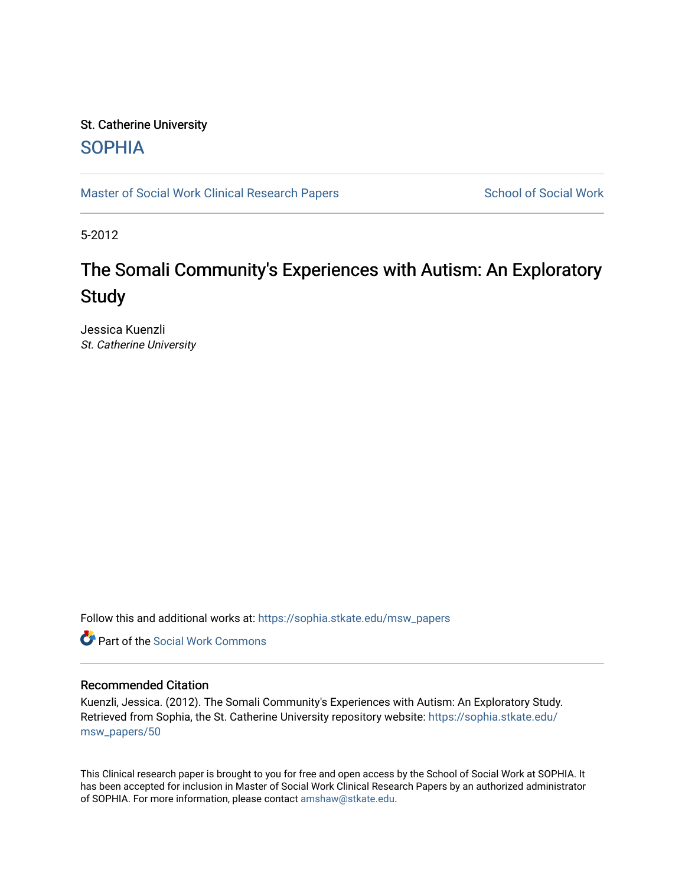# St. Catherine University **SOPHIA**

[Master of Social Work Clinical Research Papers](https://sophia.stkate.edu/msw_papers) School of Social Work

5-2012

# The Somali Community's Experiences with Autism: An Exploratory **Study**

Jessica Kuenzli St. Catherine University

Follow this and additional works at: [https://sophia.stkate.edu/msw\\_papers](https://sophia.stkate.edu/msw_papers?utm_source=sophia.stkate.edu%2Fmsw_papers%2F50&utm_medium=PDF&utm_campaign=PDFCoverPages) 

**C** Part of the [Social Work Commons](http://network.bepress.com/hgg/discipline/713?utm_source=sophia.stkate.edu%2Fmsw_papers%2F50&utm_medium=PDF&utm_campaign=PDFCoverPages)

# Recommended Citation

Kuenzli, Jessica. (2012). The Somali Community's Experiences with Autism: An Exploratory Study. Retrieved from Sophia, the St. Catherine University repository website: [https://sophia.stkate.edu/](https://sophia.stkate.edu/msw_papers/50?utm_source=sophia.stkate.edu%2Fmsw_papers%2F50&utm_medium=PDF&utm_campaign=PDFCoverPages) [msw\\_papers/50](https://sophia.stkate.edu/msw_papers/50?utm_source=sophia.stkate.edu%2Fmsw_papers%2F50&utm_medium=PDF&utm_campaign=PDFCoverPages) 

This Clinical research paper is brought to you for free and open access by the School of Social Work at SOPHIA. It has been accepted for inclusion in Master of Social Work Clinical Research Papers by an authorized administrator of SOPHIA. For more information, please contact [amshaw@stkate.edu.](mailto:amshaw@stkate.edu)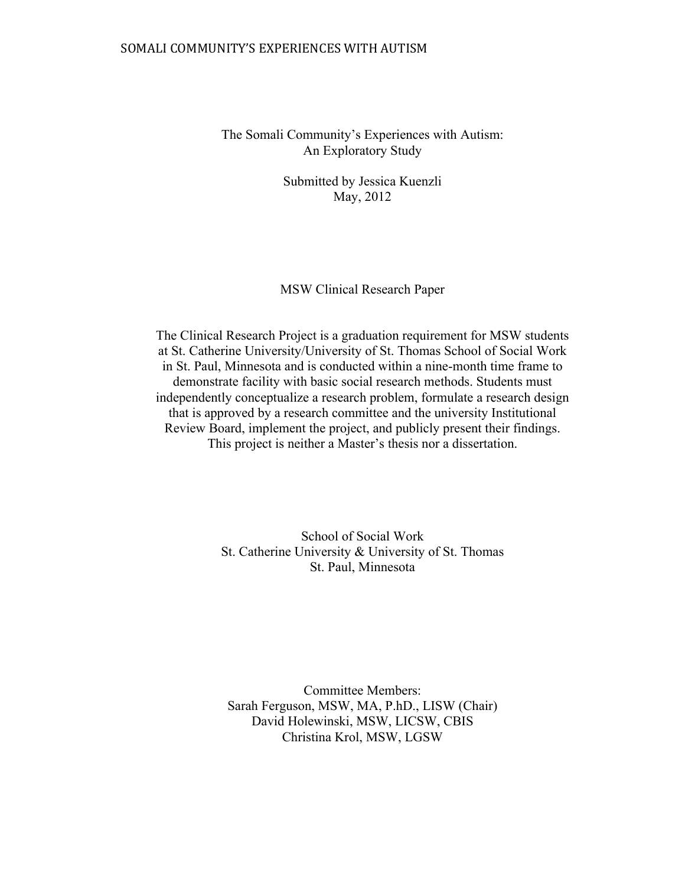# SOMALI COMMUNITY'S EXPERIENCES WITH AUTISM

The Somali Community's Experiences with Autism: An Exploratory Study

> Submitted by Jessica Kuenzli May, 2012

## MSW Clinical Research Paper

The Clinical Research Project is a graduation requirement for MSW students at St. Catherine University/University of St. Thomas School of Social Work in St. Paul, Minnesota and is conducted within a nine-month time frame to demonstrate facility with basic social research methods. Students must independently conceptualize a research problem, formulate a research design that is approved by a research committee and the university Institutional Review Board, implement the project, and publicly present their findings. This project is neither a Master's thesis nor a dissertation.

> School of Social Work St. Catherine University & University of St. Thomas St. Paul, Minnesota

Committee Members: Sarah Ferguson, MSW, MA, P.hD., LISW (Chair) David Holewinski, MSW, LICSW, CBIS Christina Krol, MSW, LGSW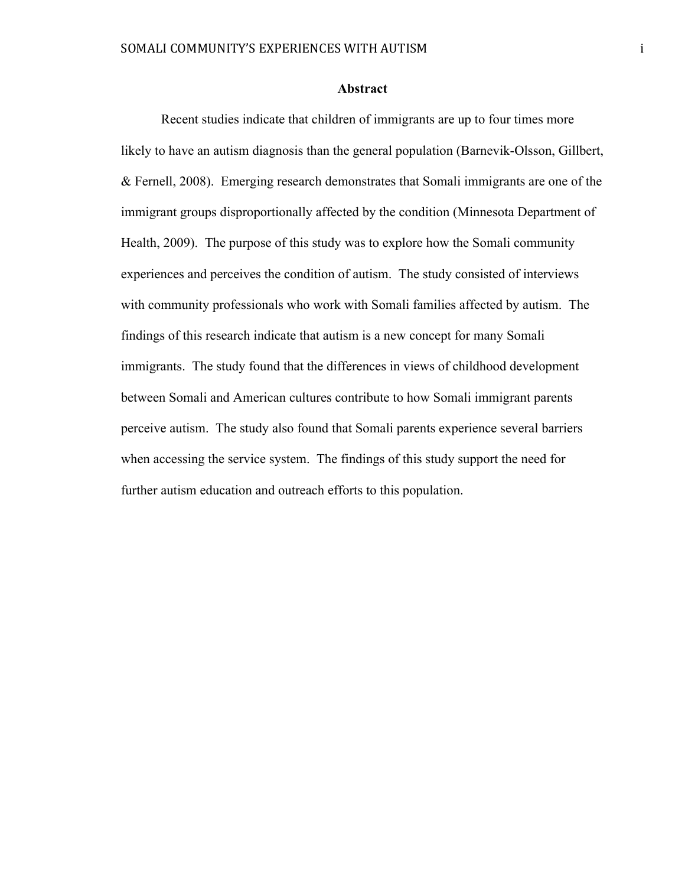#### **Abstract**

Recent studies indicate that children of immigrants are up to four times more likely to have an autism diagnosis than the general population (Barnevik-Olsson, Gillbert, & Fernell, 2008). Emerging research demonstrates that Somali immigrants are one of the immigrant groups disproportionally affected by the condition (Minnesota Department of Health, 2009). The purpose of this study was to explore how the Somali community experiences and perceives the condition of autism. The study consisted of interviews with community professionals who work with Somali families affected by autism. The findings of this research indicate that autism is a new concept for many Somali immigrants. The study found that the differences in views of childhood development between Somali and American cultures contribute to how Somali immigrant parents perceive autism. The study also found that Somali parents experience several barriers when accessing the service system. The findings of this study support the need for further autism education and outreach efforts to this population.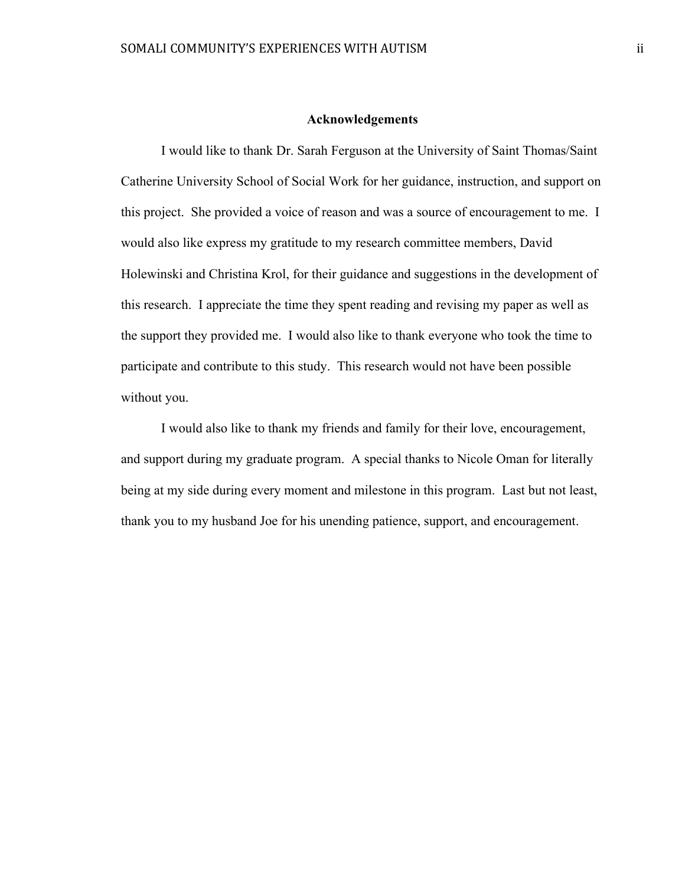#### **Acknowledgements**

I would like to thank Dr. Sarah Ferguson at the University of Saint Thomas/Saint Catherine University School of Social Work for her guidance, instruction, and support on this project. She provided a voice of reason and was a source of encouragement to me. I would also like express my gratitude to my research committee members, David Holewinski and Christina Krol, for their guidance and suggestions in the development of this research. I appreciate the time they spent reading and revising my paper as well as the support they provided me. I would also like to thank everyone who took the time to participate and contribute to this study. This research would not have been possible without you.

I would also like to thank my friends and family for their love, encouragement, and support during my graduate program. A special thanks to Nicole Oman for literally being at my side during every moment and milestone in this program. Last but not least, thank you to my husband Joe for his unending patience, support, and encouragement.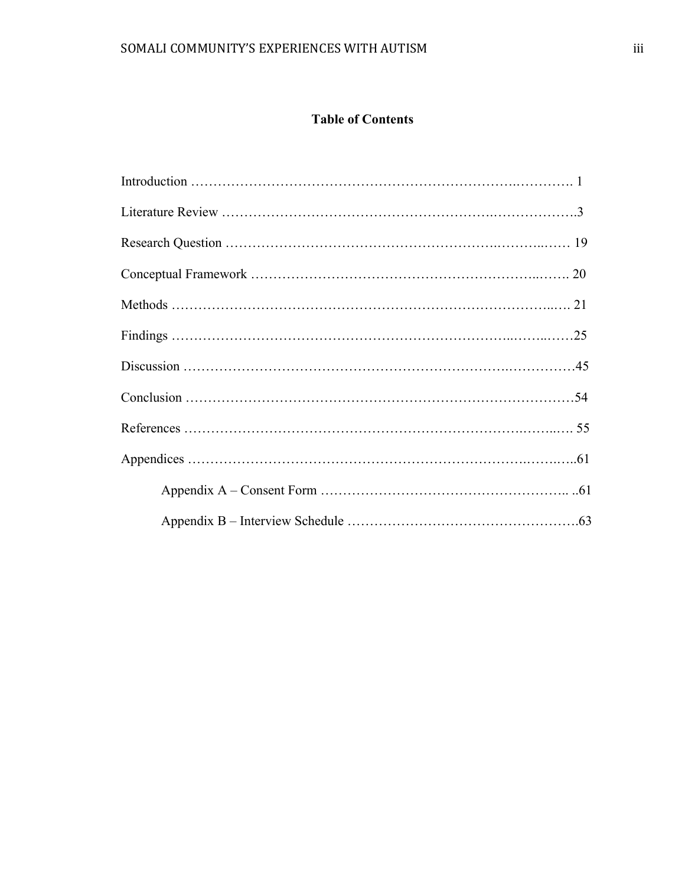# **Table of Contents**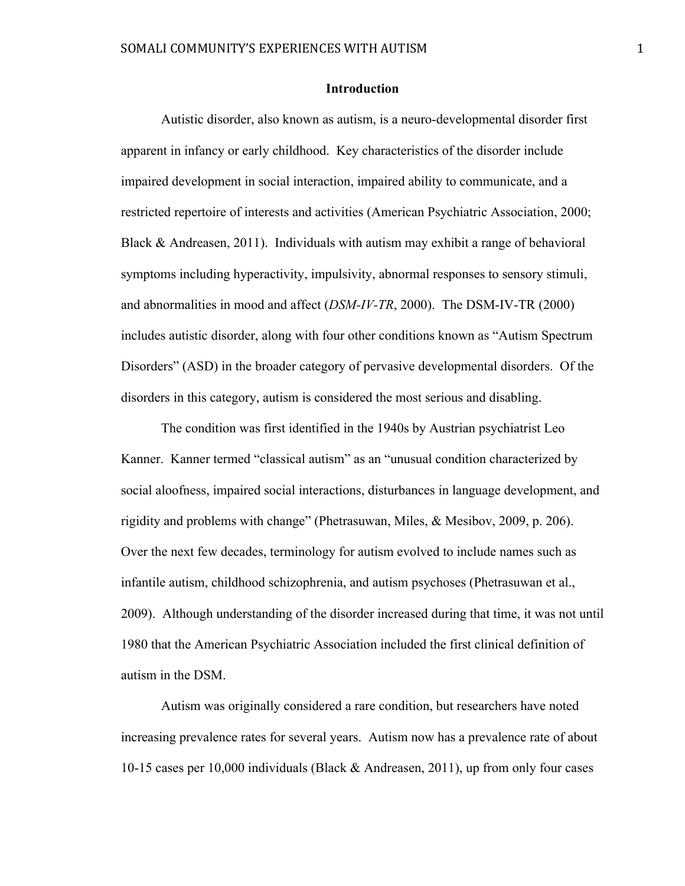#### **Introduction**

Autistic disorder, also known as autism, is a neuro-developmental disorder first apparent in infancy or early childhood. Key characteristics of the disorder include impaired development in social interaction, impaired ability to communicate, and a restricted repertoire of interests and activities (American Psychiatric Association, 2000; Black & Andreasen, 2011). Individuals with autism may exhibit a range of behavioral symptoms including hyperactivity, impulsivity, abnormal responses to sensory stimuli, and abnormalities in mood and affect (*DSM-IV-TR*, 2000). The DSM-IV-TR (2000) includes autistic disorder, along with four other conditions known as "Autism Spectrum Disorders" (ASD) in the broader category of pervasive developmental disorders. Of the disorders in this category, autism is considered the most serious and disabling.

The condition was first identified in the 1940s by Austrian psychiatrist Leo Kanner. Kanner termed "classical autism" as an "unusual condition characterized by social aloofness, impaired social interactions, disturbances in language development, and rigidity and problems with change" (Phetrasuwan, Miles, & Mesibov, 2009, p. 206). Over the next few decades, terminology for autism evolved to include names such as infantile autism, childhood schizophrenia, and autism psychoses (Phetrasuwan et al., 2009). Although understanding of the disorder increased during that time, it was not until 1980 that the American Psychiatric Association included the first clinical definition of autism in the DSM.

Autism was originally considered a rare condition, but researchers have noted increasing prevalence rates for several years. Autism now has a prevalence rate of about 10-15 cases per 10,000 individuals (Black & Andreasen, 2011), up from only four cases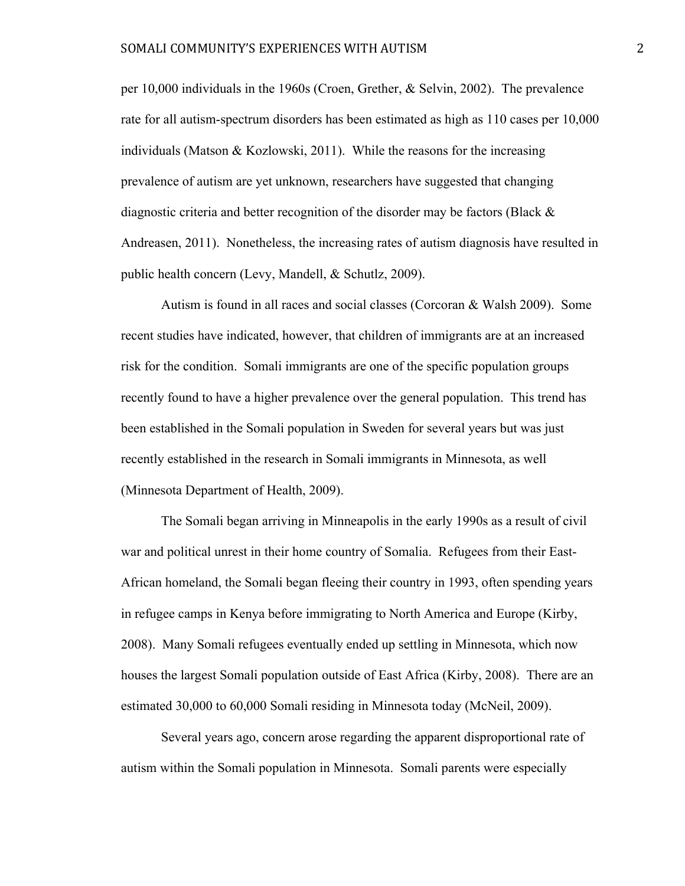per 10,000 individuals in the 1960s (Croen, Grether, & Selvin, 2002). The prevalence rate for all autism-spectrum disorders has been estimated as high as 110 cases per 10,000 individuals (Matson & Kozlowski, 2011). While the reasons for the increasing prevalence of autism are yet unknown, researchers have suggested that changing diagnostic criteria and better recognition of the disorder may be factors (Black  $\&$ Andreasen, 2011). Nonetheless, the increasing rates of autism diagnosis have resulted in public health concern (Levy, Mandell, & Schutlz, 2009).

Autism is found in all races and social classes (Corcoran & Walsh 2009). Some recent studies have indicated, however, that children of immigrants are at an increased risk for the condition. Somali immigrants are one of the specific population groups recently found to have a higher prevalence over the general population. This trend has been established in the Somali population in Sweden for several years but was just recently established in the research in Somali immigrants in Minnesota, as well (Minnesota Department of Health, 2009).

The Somali began arriving in Minneapolis in the early 1990s as a result of civil war and political unrest in their home country of Somalia. Refugees from their East-African homeland, the Somali began fleeing their country in 1993, often spending years in refugee camps in Kenya before immigrating to North America and Europe (Kirby, 2008). Many Somali refugees eventually ended up settling in Minnesota, which now houses the largest Somali population outside of East Africa (Kirby, 2008). There are an estimated 30,000 to 60,000 Somali residing in Minnesota today (McNeil, 2009).

Several years ago, concern arose regarding the apparent disproportional rate of autism within the Somali population in Minnesota. Somali parents were especially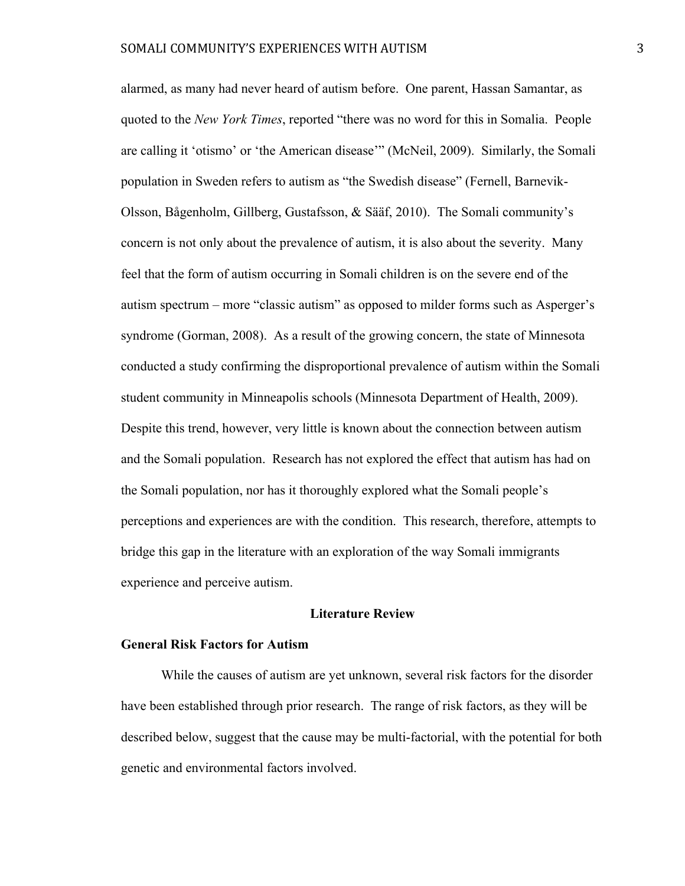alarmed, as many had never heard of autism before. One parent, Hassan Samantar, as quoted to the *New York Times*, reported "there was no word for this in Somalia. People are calling it 'otismo' or 'the American disease'" (McNeil, 2009). Similarly, the Somali population in Sweden refers to autism as "the Swedish disease" (Fernell, Barnevik-Olsson, Bågenholm, Gillberg, Gustafsson, & Sääf, 2010). The Somali community's concern is not only about the prevalence of autism, it is also about the severity. Many feel that the form of autism occurring in Somali children is on the severe end of the autism spectrum – more "classic autism" as opposed to milder forms such as Asperger's syndrome (Gorman, 2008). As a result of the growing concern, the state of Minnesota conducted a study confirming the disproportional prevalence of autism within the Somali student community in Minneapolis schools (Minnesota Department of Health, 2009). Despite this trend, however, very little is known about the connection between autism and the Somali population. Research has not explored the effect that autism has had on the Somali population, nor has it thoroughly explored what the Somali people's perceptions and experiences are with the condition. This research, therefore, attempts to bridge this gap in the literature with an exploration of the way Somali immigrants experience and perceive autism.

#### **Literature Review**

#### **General Risk Factors for Autism**

While the causes of autism are yet unknown, several risk factors for the disorder have been established through prior research. The range of risk factors, as they will be described below, suggest that the cause may be multi-factorial, with the potential for both genetic and environmental factors involved.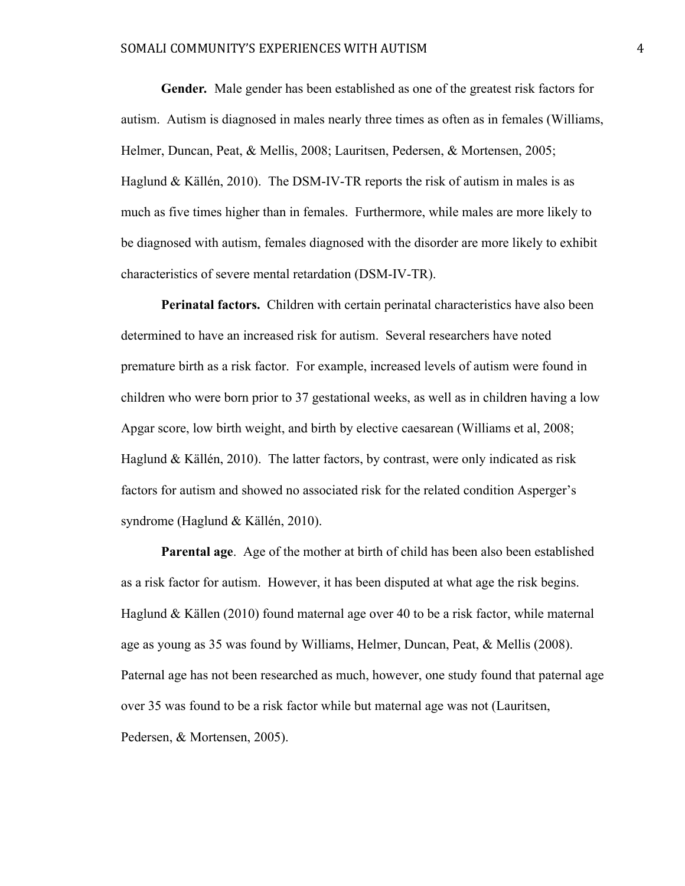#### SOMALI COMMUNITY'S EXPERIENCES WITH AUTISM  $4\,$

**Gender***.* Male gender has been established as one of the greatest risk factors for autism. Autism is diagnosed in males nearly three times as often as in females (Williams, Helmer, Duncan, Peat, & Mellis, 2008; Lauritsen, Pedersen, & Mortensen, 2005; Haglund & Källén, 2010). The DSM-IV-TR reports the risk of autism in males is as much as five times higher than in females. Furthermore, while males are more likely to be diagnosed with autism, females diagnosed with the disorder are more likely to exhibit characteristics of severe mental retardation (DSM-IV-TR).

**Perinatal factors.** Children with certain perinatal characteristics have also been determined to have an increased risk for autism. Several researchers have noted premature birth as a risk factor. For example, increased levels of autism were found in children who were born prior to 37 gestational weeks, as well as in children having a low Apgar score, low birth weight, and birth by elective caesarean (Williams et al, 2008; Haglund & Källén, 2010). The latter factors, by contrast, were only indicated as risk factors for autism and showed no associated risk for the related condition Asperger's syndrome (Haglund & Källén, 2010).

**Parental age**. Age of the mother at birth of child has been also been established as a risk factor for autism. However, it has been disputed at what age the risk begins. Haglund & Källen (2010) found maternal age over 40 to be a risk factor, while maternal age as young as 35 was found by Williams, Helmer, Duncan, Peat, & Mellis (2008). Paternal age has not been researched as much, however, one study found that paternal age over 35 was found to be a risk factor while but maternal age was not (Lauritsen, Pedersen, & Mortensen, 2005).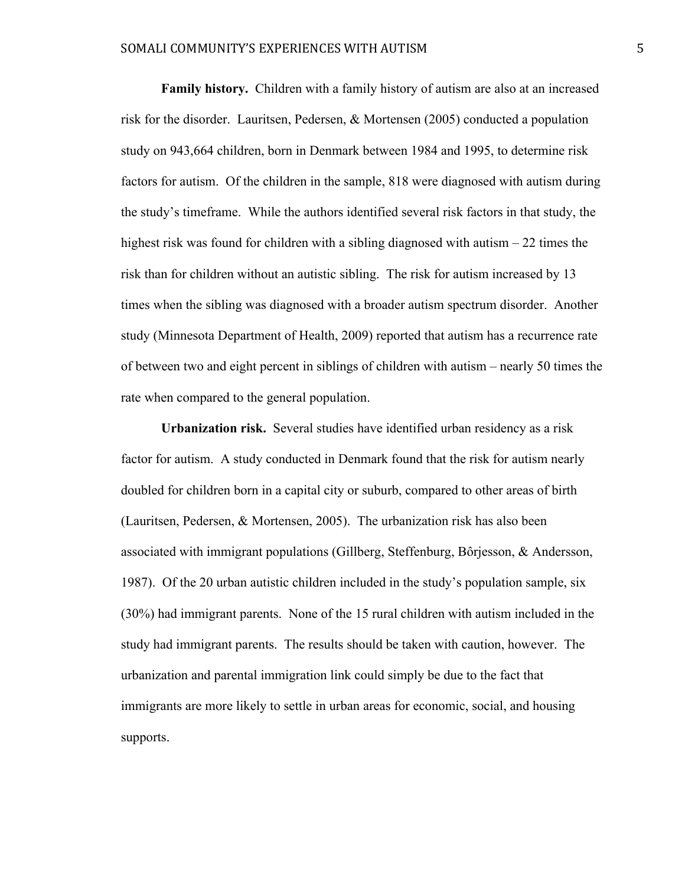**Family history.** Children with a family history of autism are also at an increased risk for the disorder. Lauritsen, Pedersen, & Mortensen (2005) conducted a population study on 943,664 children, born in Denmark between 1984 and 1995, to determine risk factors for autism. Of the children in the sample, 818 were diagnosed with autism during the study's timeframe. While the authors identified several risk factors in that study, the highest risk was found for children with a sibling diagnosed with autism – 22 times the risk than for children without an autistic sibling. The risk for autism increased by 13 times when the sibling was diagnosed with a broader autism spectrum disorder. Another study (Minnesota Department of Health, 2009) reported that autism has a recurrence rate of between two and eight percent in siblings of children with autism – nearly 50 times the rate when compared to the general population.

**Urbanization risk.** Several studies have identified urban residency as a risk factor for autism. A study conducted in Denmark found that the risk for autism nearly doubled for children born in a capital city or suburb, compared to other areas of birth (Lauritsen, Pedersen, & Mortensen, 2005). The urbanization risk has also been associated with immigrant populations (Gillberg, Steffenburg, Bôrjesson, & Andersson, 1987). Of the 20 urban autistic children included in the study's population sample, six (30%) had immigrant parents. None of the 15 rural children with autism included in the study had immigrant parents. The results should be taken with caution, however. The urbanization and parental immigration link could simply be due to the fact that immigrants are more likely to settle in urban areas for economic, social, and housing supports.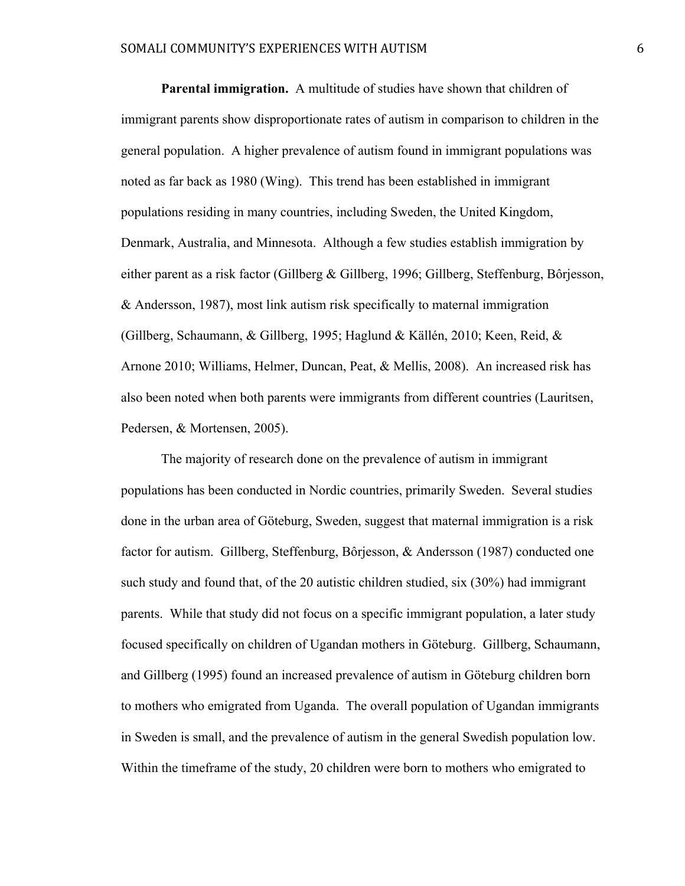**Parental immigration.** A multitude of studies have shown that children of immigrant parents show disproportionate rates of autism in comparison to children in the general population. A higher prevalence of autism found in immigrant populations was noted as far back as 1980 (Wing). This trend has been established in immigrant populations residing in many countries, including Sweden, the United Kingdom, Denmark, Australia, and Minnesota. Although a few studies establish immigration by either parent as a risk factor (Gillberg & Gillberg, 1996; Gillberg, Steffenburg, Bôrjesson, & Andersson, 1987), most link autism risk specifically to maternal immigration (Gillberg, Schaumann, & Gillberg, 1995; Haglund & Källén, 2010; Keen, Reid, & Arnone 2010; Williams, Helmer, Duncan, Peat, & Mellis, 2008). An increased risk has also been noted when both parents were immigrants from different countries (Lauritsen, Pedersen, & Mortensen, 2005).

The majority of research done on the prevalence of autism in immigrant populations has been conducted in Nordic countries, primarily Sweden. Several studies done in the urban area of Göteburg, Sweden, suggest that maternal immigration is a risk factor for autism. Gillberg, Steffenburg, Bôrjesson, & Andersson (1987) conducted one such study and found that, of the 20 autistic children studied, six (30%) had immigrant parents. While that study did not focus on a specific immigrant population, a later study focused specifically on children of Ugandan mothers in Göteburg. Gillberg, Schaumann, and Gillberg (1995) found an increased prevalence of autism in Göteburg children born to mothers who emigrated from Uganda. The overall population of Ugandan immigrants in Sweden is small, and the prevalence of autism in the general Swedish population low. Within the timeframe of the study, 20 children were born to mothers who emigrated to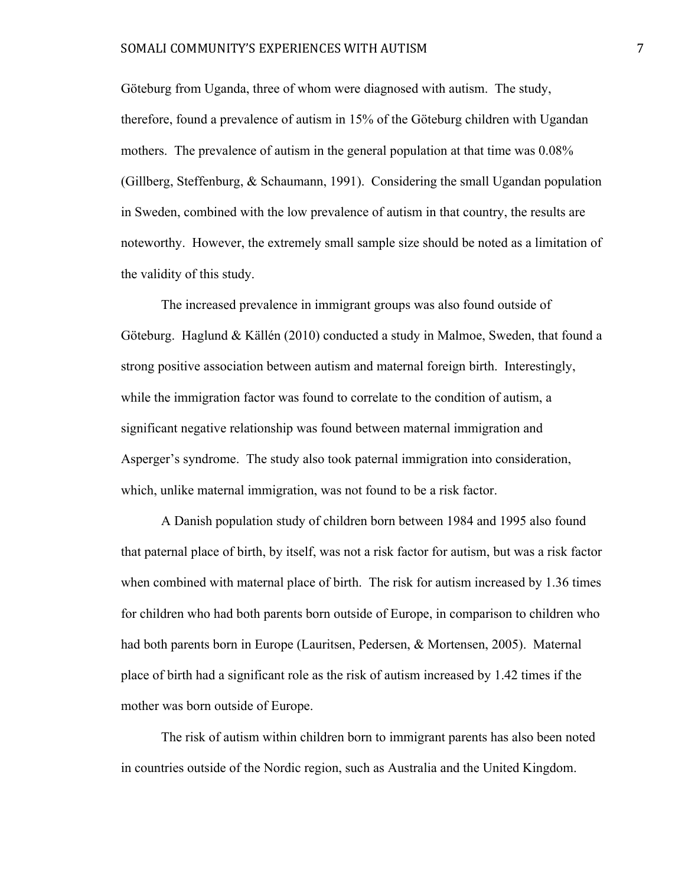Göteburg from Uganda, three of whom were diagnosed with autism. The study, therefore, found a prevalence of autism in 15% of the Göteburg children with Ugandan mothers. The prevalence of autism in the general population at that time was 0.08% (Gillberg, Steffenburg, & Schaumann, 1991). Considering the small Ugandan population in Sweden, combined with the low prevalence of autism in that country, the results are noteworthy. However, the extremely small sample size should be noted as a limitation of the validity of this study.

The increased prevalence in immigrant groups was also found outside of Göteburg. Haglund & Källén (2010) conducted a study in Malmoe, Sweden, that found a strong positive association between autism and maternal foreign birth. Interestingly, while the immigration factor was found to correlate to the condition of autism, a significant negative relationship was found between maternal immigration and Asperger's syndrome. The study also took paternal immigration into consideration, which, unlike maternal immigration, was not found to be a risk factor.

A Danish population study of children born between 1984 and 1995 also found that paternal place of birth, by itself, was not a risk factor for autism, but was a risk factor when combined with maternal place of birth. The risk for autism increased by 1.36 times for children who had both parents born outside of Europe, in comparison to children who had both parents born in Europe (Lauritsen, Pedersen, & Mortensen, 2005). Maternal place of birth had a significant role as the risk of autism increased by 1.42 times if the mother was born outside of Europe.

The risk of autism within children born to immigrant parents has also been noted in countries outside of the Nordic region, such as Australia and the United Kingdom.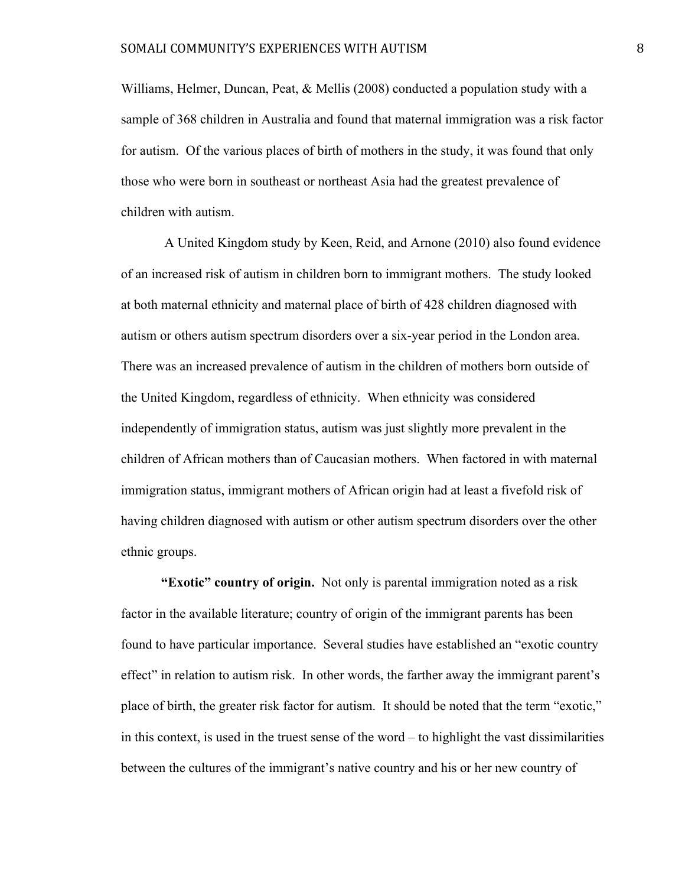Williams, Helmer, Duncan, Peat, & Mellis (2008) conducted a population study with a sample of 368 children in Australia and found that maternal immigration was a risk factor for autism. Of the various places of birth of mothers in the study, it was found that only those who were born in southeast or northeast Asia had the greatest prevalence of children with autism.

 A United Kingdom study by Keen, Reid, and Arnone (2010) also found evidence of an increased risk of autism in children born to immigrant mothers. The study looked at both maternal ethnicity and maternal place of birth of 428 children diagnosed with autism or others autism spectrum disorders over a six-year period in the London area. There was an increased prevalence of autism in the children of mothers born outside of the United Kingdom, regardless of ethnicity. When ethnicity was considered independently of immigration status, autism was just slightly more prevalent in the children of African mothers than of Caucasian mothers. When factored in with maternal immigration status, immigrant mothers of African origin had at least a fivefold risk of having children diagnosed with autism or other autism spectrum disorders over the other ethnic groups.

**"Exotic" country of origin.** Not only is parental immigration noted as a risk factor in the available literature; country of origin of the immigrant parents has been found to have particular importance. Several studies have established an "exotic country effect" in relation to autism risk. In other words, the farther away the immigrant parent's place of birth, the greater risk factor for autism. It should be noted that the term "exotic," in this context, is used in the truest sense of the word – to highlight the vast dissimilarities between the cultures of the immigrant's native country and his or her new country of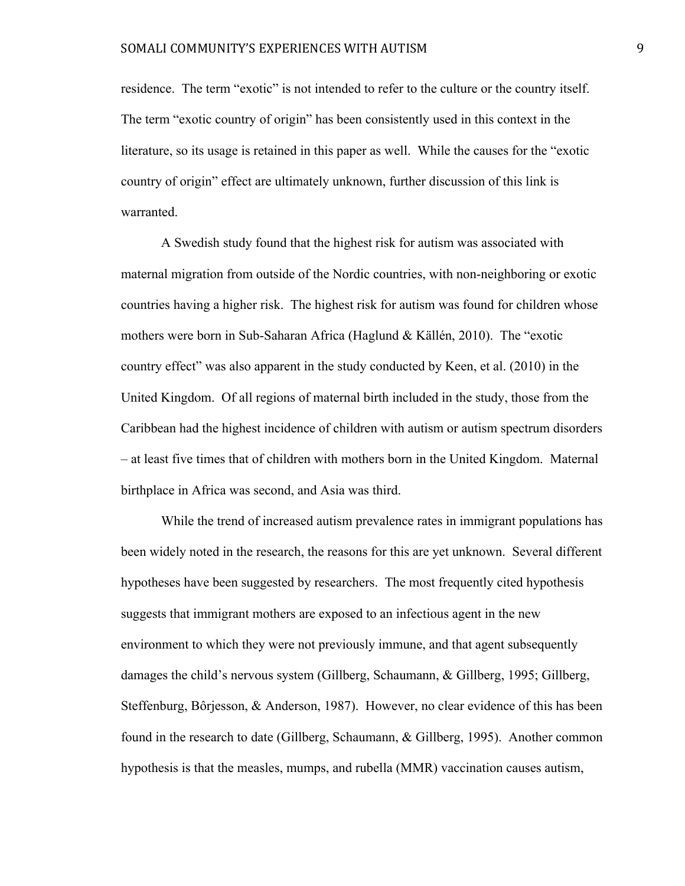residence. The term "exotic" is not intended to refer to the culture or the country itself. The term "exotic country of origin" has been consistently used in this context in the literature, so its usage is retained in this paper as well. While the causes for the "exotic country of origin" effect are ultimately unknown, further discussion of this link is warranted.

A Swedish study found that the highest risk for autism was associated with maternal migration from outside of the Nordic countries, with non-neighboring or exotic countries having a higher risk. The highest risk for autism was found for children whose mothers were born in Sub-Saharan Africa (Haglund & Källén, 2010). The "exotic country effect" was also apparent in the study conducted by Keen, et al. (2010) in the United Kingdom. Of all regions of maternal birth included in the study, those from the Caribbean had the highest incidence of children with autism or autism spectrum disorders – at least five times that of children with mothers born in the United Kingdom. Maternal birthplace in Africa was second, and Asia was third.

While the trend of increased autism prevalence rates in immigrant populations has been widely noted in the research, the reasons for this are yet unknown. Several different hypotheses have been suggested by researchers. The most frequently cited hypothesis suggests that immigrant mothers are exposed to an infectious agent in the new environment to which they were not previously immune, and that agent subsequently damages the child's nervous system (Gillberg, Schaumann, & Gillberg, 1995; Gillberg, Steffenburg, Bôrjesson, & Anderson, 1987). However, no clear evidence of this has been found in the research to date (Gillberg, Schaumann, & Gillberg, 1995). Another common hypothesis is that the measles, mumps, and rubella (MMR) vaccination causes autism,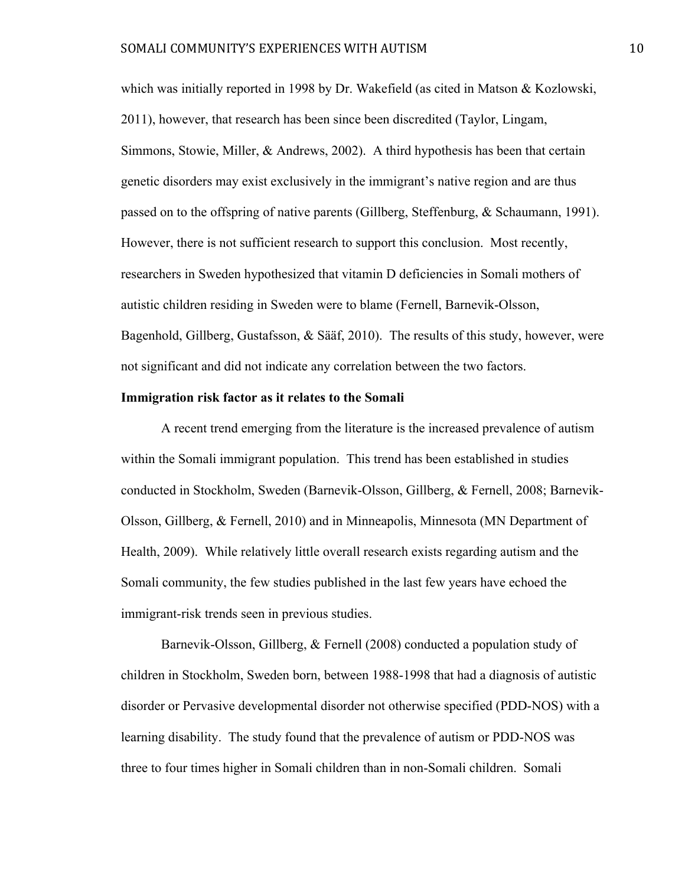which was initially reported in 1998 by Dr. Wakefield (as cited in Matson  $\&$  Kozlowski, 2011), however, that research has been since been discredited (Taylor, Lingam, Simmons, Stowie, Miller, & Andrews, 2002). A third hypothesis has been that certain genetic disorders may exist exclusively in the immigrant's native region and are thus passed on to the offspring of native parents (Gillberg, Steffenburg, & Schaumann, 1991). However, there is not sufficient research to support this conclusion. Most recently, researchers in Sweden hypothesized that vitamin D deficiencies in Somali mothers of autistic children residing in Sweden were to blame (Fernell, Barnevik-Olsson, Bagenhold, Gillberg, Gustafsson, & Sääf, 2010). The results of this study, however, were not significant and did not indicate any correlation between the two factors.

# **Immigration risk factor as it relates to the Somali**

A recent trend emerging from the literature is the increased prevalence of autism within the Somali immigrant population. This trend has been established in studies conducted in Stockholm, Sweden (Barnevik-Olsson, Gillberg, & Fernell, 2008; Barnevik-Olsson, Gillberg, & Fernell, 2010) and in Minneapolis, Minnesota (MN Department of Health, 2009). While relatively little overall research exists regarding autism and the Somali community, the few studies published in the last few years have echoed the immigrant-risk trends seen in previous studies.

Barnevik-Olsson, Gillberg, & Fernell (2008) conducted a population study of children in Stockholm, Sweden born, between 1988-1998 that had a diagnosis of autistic disorder or Pervasive developmental disorder not otherwise specified (PDD-NOS) with a learning disability. The study found that the prevalence of autism or PDD-NOS was three to four times higher in Somali children than in non-Somali children. Somali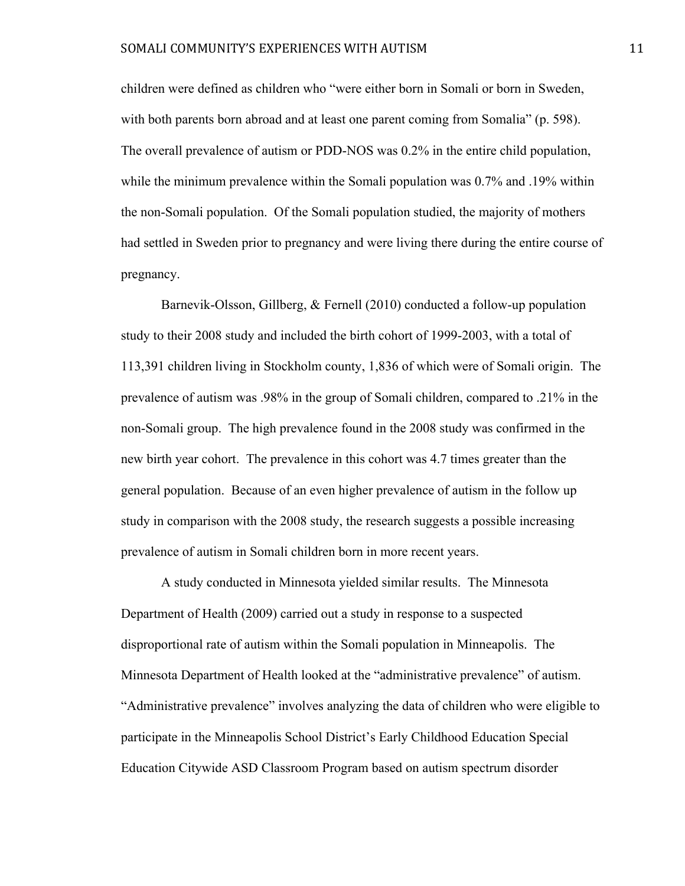children were defined as children who "were either born in Somali or born in Sweden, with both parents born abroad and at least one parent coming from Somalia" (p. 598). The overall prevalence of autism or PDD-NOS was 0.2% in the entire child population, while the minimum prevalence within the Somali population was 0.7% and .19% within the non-Somali population. Of the Somali population studied, the majority of mothers had settled in Sweden prior to pregnancy and were living there during the entire course of pregnancy.

Barnevik-Olsson, Gillberg, & Fernell (2010) conducted a follow-up population study to their 2008 study and included the birth cohort of 1999-2003, with a total of 113,391 children living in Stockholm county, 1,836 of which were of Somali origin. The prevalence of autism was .98% in the group of Somali children, compared to .21% in the non-Somali group. The high prevalence found in the 2008 study was confirmed in the new birth year cohort. The prevalence in this cohort was 4.7 times greater than the general population. Because of an even higher prevalence of autism in the follow up study in comparison with the 2008 study, the research suggests a possible increasing prevalence of autism in Somali children born in more recent years.

A study conducted in Minnesota yielded similar results. The Minnesota Department of Health (2009) carried out a study in response to a suspected disproportional rate of autism within the Somali population in Minneapolis. The Minnesota Department of Health looked at the "administrative prevalence" of autism. "Administrative prevalence" involves analyzing the data of children who were eligible to participate in the Minneapolis School District's Early Childhood Education Special Education Citywide ASD Classroom Program based on autism spectrum disorder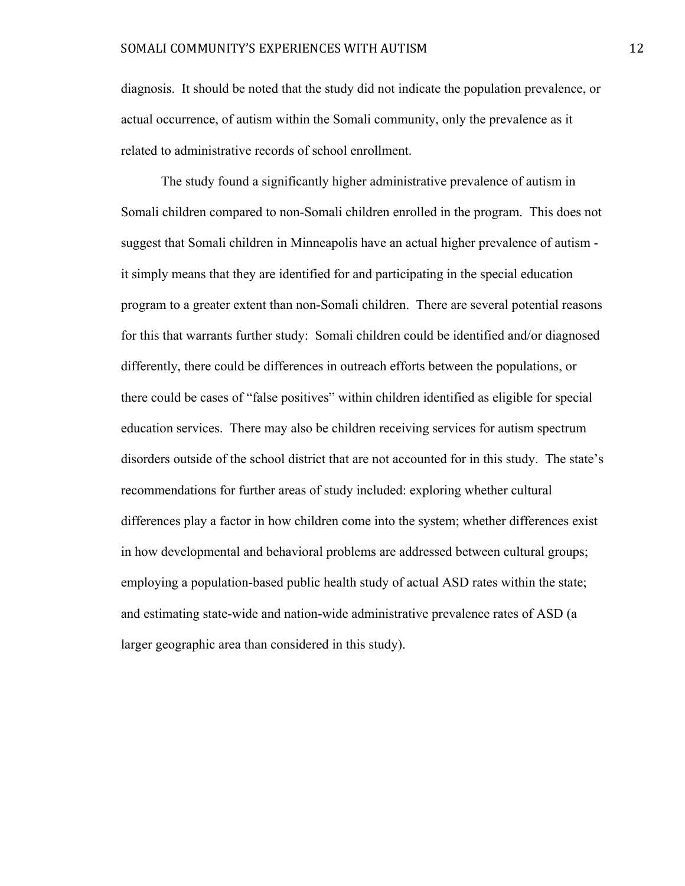diagnosis. It should be noted that the study did not indicate the population prevalence, or actual occurrence, of autism within the Somali community, only the prevalence as it related to administrative records of school enrollment.

The study found a significantly higher administrative prevalence of autism in Somali children compared to non-Somali children enrolled in the program. This does not suggest that Somali children in Minneapolis have an actual higher prevalence of autism it simply means that they are identified for and participating in the special education program to a greater extent than non-Somali children. There are several potential reasons for this that warrants further study: Somali children could be identified and/or diagnosed differently, there could be differences in outreach efforts between the populations, or there could be cases of "false positives" within children identified as eligible for special education services. There may also be children receiving services for autism spectrum disorders outside of the school district that are not accounted for in this study. The state's recommendations for further areas of study included: exploring whether cultural differences play a factor in how children come into the system; whether differences exist in how developmental and behavioral problems are addressed between cultural groups; employing a population-based public health study of actual ASD rates within the state; and estimating state-wide and nation-wide administrative prevalence rates of ASD (a larger geographic area than considered in this study).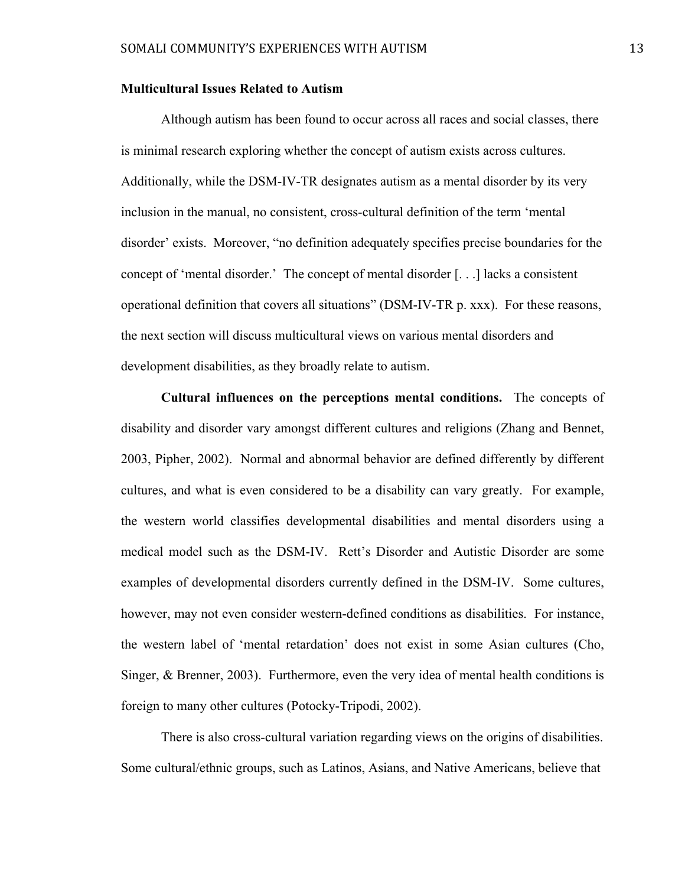# **Multicultural Issues Related to Autism**

Although autism has been found to occur across all races and social classes, there is minimal research exploring whether the concept of autism exists across cultures. Additionally, while the DSM-IV-TR designates autism as a mental disorder by its very inclusion in the manual, no consistent, cross-cultural definition of the term 'mental disorder' exists. Moreover, "no definition adequately specifies precise boundaries for the concept of 'mental disorder.' The concept of mental disorder [. . .] lacks a consistent operational definition that covers all situations" (DSM-IV-TR p. xxx). For these reasons, the next section will discuss multicultural views on various mental disorders and development disabilities, as they broadly relate to autism.

**Cultural influences on the perceptions mental conditions.** The concepts of disability and disorder vary amongst different cultures and religions (Zhang and Bennet, 2003, Pipher, 2002). Normal and abnormal behavior are defined differently by different cultures, and what is even considered to be a disability can vary greatly. For example, the western world classifies developmental disabilities and mental disorders using a medical model such as the DSM-IV. Rett's Disorder and Autistic Disorder are some examples of developmental disorders currently defined in the DSM-IV. Some cultures, however, may not even consider western-defined conditions as disabilities. For instance, the western label of 'mental retardation' does not exist in some Asian cultures (Cho, Singer, & Brenner, 2003). Furthermore, even the very idea of mental health conditions is foreign to many other cultures (Potocky-Tripodi, 2002).

There is also cross-cultural variation regarding views on the origins of disabilities. Some cultural/ethnic groups, such as Latinos, Asians, and Native Americans, believe that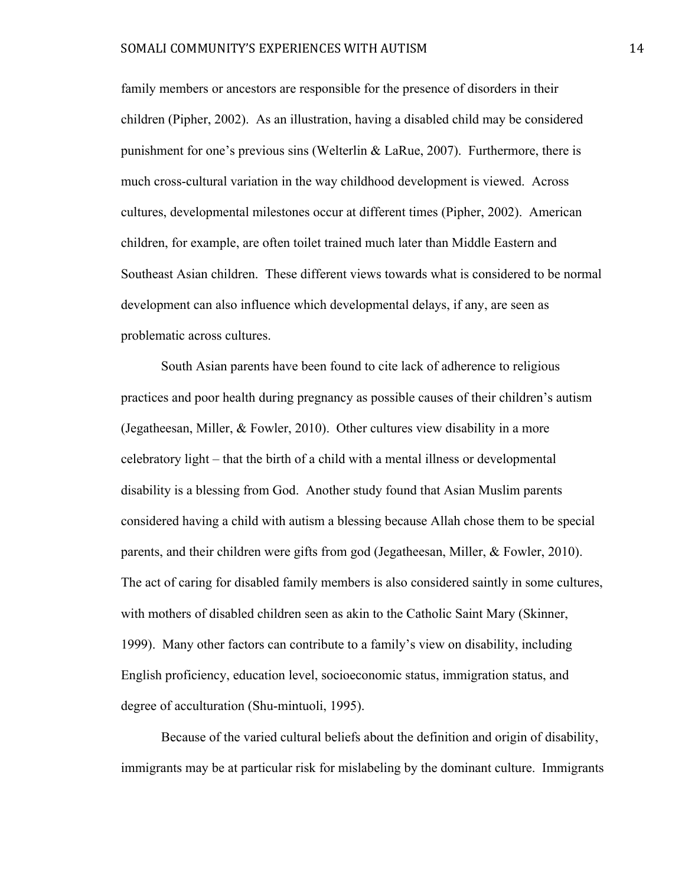family members or ancestors are responsible for the presence of disorders in their children (Pipher, 2002). As an illustration, having a disabled child may be considered punishment for one's previous sins (Welterlin & LaRue, 2007). Furthermore, there is much cross-cultural variation in the way childhood development is viewed. Across cultures, developmental milestones occur at different times (Pipher, 2002). American children, for example, are often toilet trained much later than Middle Eastern and Southeast Asian children. These different views towards what is considered to be normal development can also influence which developmental delays, if any, are seen as problematic across cultures.

South Asian parents have been found to cite lack of adherence to religious practices and poor health during pregnancy as possible causes of their children's autism (Jegatheesan, Miller, & Fowler, 2010). Other cultures view disability in a more celebratory light – that the birth of a child with a mental illness or developmental disability is a blessing from God. Another study found that Asian Muslim parents considered having a child with autism a blessing because Allah chose them to be special parents, and their children were gifts from god (Jegatheesan, Miller, & Fowler, 2010). The act of caring for disabled family members is also considered saintly in some cultures, with mothers of disabled children seen as akin to the Catholic Saint Mary (Skinner, 1999). Many other factors can contribute to a family's view on disability, including English proficiency, education level, socioeconomic status, immigration status, and degree of acculturation (Shu-mintuoli, 1995).

Because of the varied cultural beliefs about the definition and origin of disability, immigrants may be at particular risk for mislabeling by the dominant culture. Immigrants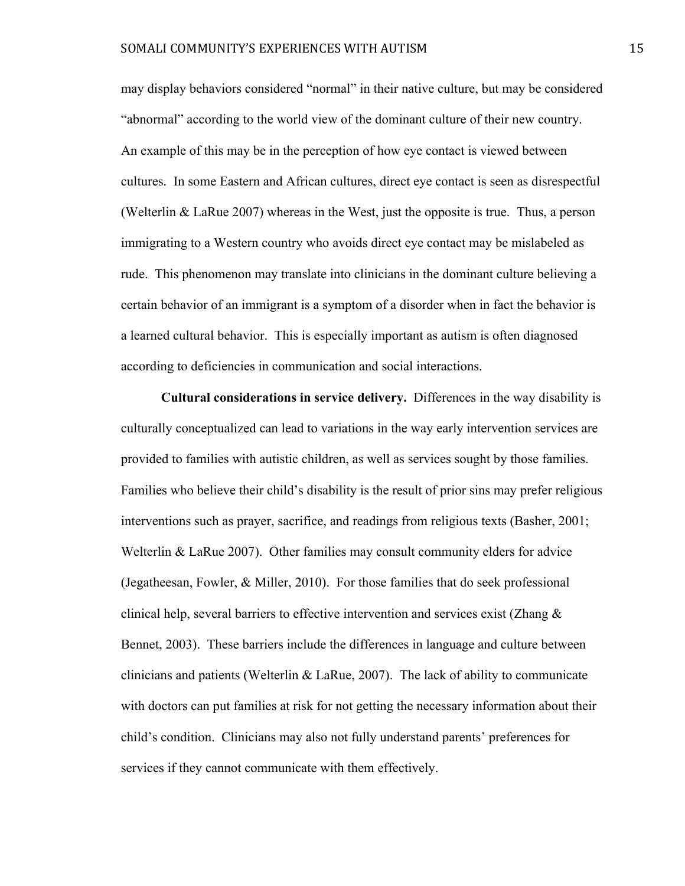may display behaviors considered "normal" in their native culture, but may be considered "abnormal" according to the world view of the dominant culture of their new country. An example of this may be in the perception of how eye contact is viewed between cultures. In some Eastern and African cultures, direct eye contact is seen as disrespectful (Welterlin & LaRue 2007) whereas in the West, just the opposite is true. Thus, a person immigrating to a Western country who avoids direct eye contact may be mislabeled as rude. This phenomenon may translate into clinicians in the dominant culture believing a certain behavior of an immigrant is a symptom of a disorder when in fact the behavior is a learned cultural behavior. This is especially important as autism is often diagnosed according to deficiencies in communication and social interactions.

**Cultural considerations in service delivery.** Differences in the way disability is culturally conceptualized can lead to variations in the way early intervention services are provided to families with autistic children, as well as services sought by those families. Families who believe their child's disability is the result of prior sins may prefer religious interventions such as prayer, sacrifice, and readings from religious texts (Basher, 2001; Welterlin & LaRue 2007). Other families may consult community elders for advice (Jegatheesan, Fowler, & Miller, 2010). For those families that do seek professional clinical help, several barriers to effective intervention and services exist (Zhang  $\&$ Bennet, 2003). These barriers include the differences in language and culture between clinicians and patients (Welterlin & LaRue, 2007). The lack of ability to communicate with doctors can put families at risk for not getting the necessary information about their child's condition. Clinicians may also not fully understand parents' preferences for services if they cannot communicate with them effectively.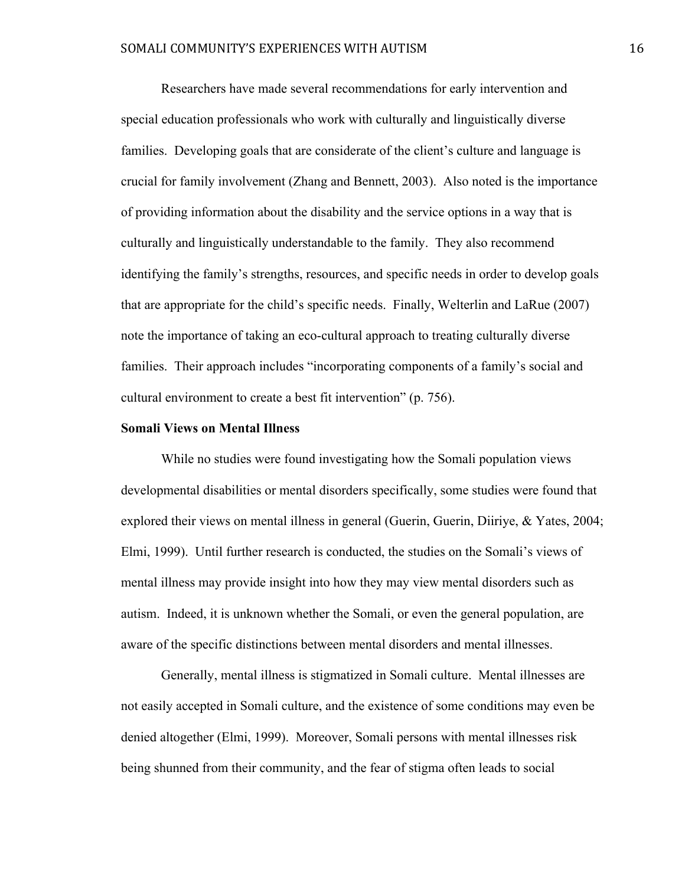Researchers have made several recommendations for early intervention and special education professionals who work with culturally and linguistically diverse families. Developing goals that are considerate of the client's culture and language is crucial for family involvement (Zhang and Bennett, 2003). Also noted is the importance of providing information about the disability and the service options in a way that is culturally and linguistically understandable to the family. They also recommend identifying the family's strengths, resources, and specific needs in order to develop goals that are appropriate for the child's specific needs. Finally, Welterlin and LaRue (2007) note the importance of taking an eco-cultural approach to treating culturally diverse families. Their approach includes "incorporating components of a family's social and cultural environment to create a best fit intervention" (p. 756).

#### **Somali Views on Mental Illness**

While no studies were found investigating how the Somali population views developmental disabilities or mental disorders specifically, some studies were found that explored their views on mental illness in general (Guerin, Guerin, Diiriye, & Yates, 2004; Elmi, 1999). Until further research is conducted, the studies on the Somali's views of mental illness may provide insight into how they may view mental disorders such as autism. Indeed, it is unknown whether the Somali, or even the general population, are aware of the specific distinctions between mental disorders and mental illnesses.

Generally, mental illness is stigmatized in Somali culture. Mental illnesses are not easily accepted in Somali culture, and the existence of some conditions may even be denied altogether (Elmi, 1999). Moreover, Somali persons with mental illnesses risk being shunned from their community, and the fear of stigma often leads to social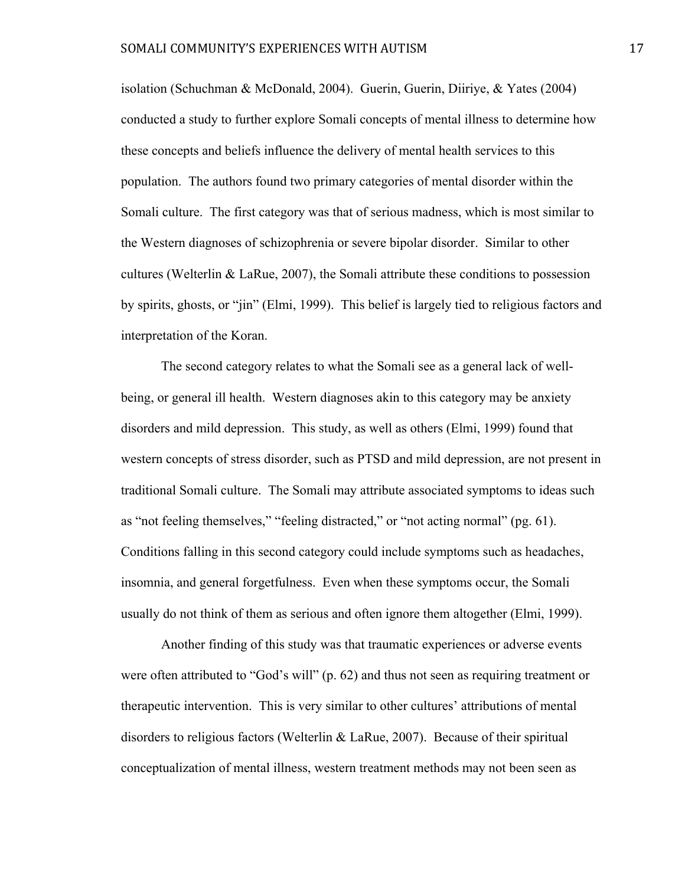isolation (Schuchman & McDonald, 2004). Guerin, Guerin, Diiriye, & Yates (2004) conducted a study to further explore Somali concepts of mental illness to determine how these concepts and beliefs influence the delivery of mental health services to this population. The authors found two primary categories of mental disorder within the Somali culture. The first category was that of serious madness, which is most similar to the Western diagnoses of schizophrenia or severe bipolar disorder. Similar to other cultures (Welterlin & LaRue, 2007), the Somali attribute these conditions to possession by spirits, ghosts, or "jin" (Elmi, 1999). This belief is largely tied to religious factors and interpretation of the Koran.

The second category relates to what the Somali see as a general lack of wellbeing, or general ill health. Western diagnoses akin to this category may be anxiety disorders and mild depression. This study, as well as others (Elmi, 1999) found that western concepts of stress disorder, such as PTSD and mild depression, are not present in traditional Somali culture. The Somali may attribute associated symptoms to ideas such as "not feeling themselves," "feeling distracted," or "not acting normal" (pg. 61). Conditions falling in this second category could include symptoms such as headaches, insomnia, and general forgetfulness. Even when these symptoms occur, the Somali usually do not think of them as serious and often ignore them altogether (Elmi, 1999).

Another finding of this study was that traumatic experiences or adverse events were often attributed to "God's will" (p. 62) and thus not seen as requiring treatment or therapeutic intervention. This is very similar to other cultures' attributions of mental disorders to religious factors (Welterlin & LaRue, 2007). Because of their spiritual conceptualization of mental illness, western treatment methods may not been seen as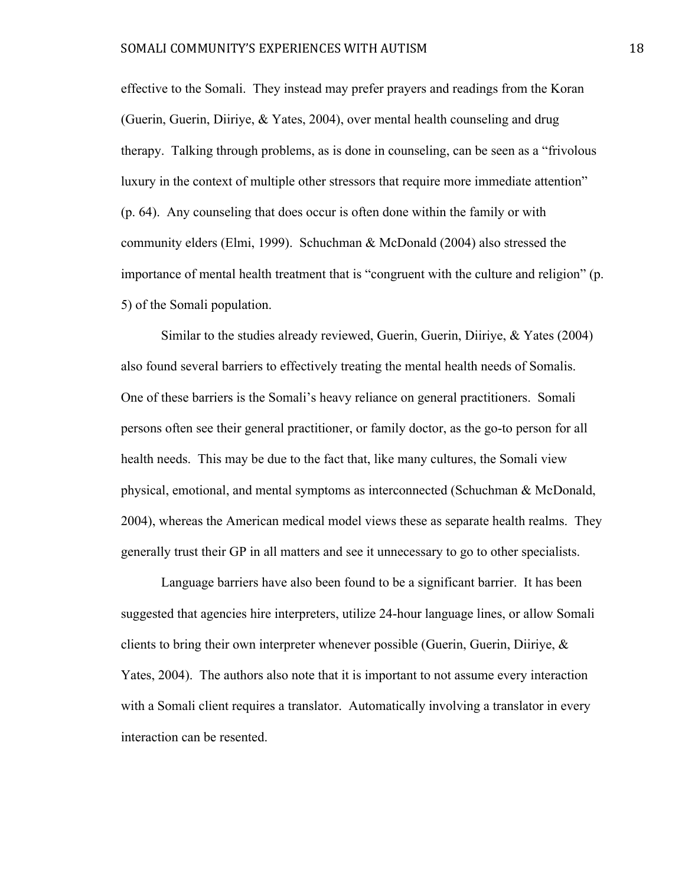effective to the Somali. They instead may prefer prayers and readings from the Koran (Guerin, Guerin, Diiriye, & Yates, 2004), over mental health counseling and drug therapy. Talking through problems, as is done in counseling, can be seen as a "frivolous luxury in the context of multiple other stressors that require more immediate attention" (p. 64). Any counseling that does occur is often done within the family or with community elders (Elmi, 1999). Schuchman & McDonald (2004) also stressed the importance of mental health treatment that is "congruent with the culture and religion" (p. 5) of the Somali population.

Similar to the studies already reviewed, Guerin, Guerin, Diiriye, & Yates (2004) also found several barriers to effectively treating the mental health needs of Somalis. One of these barriers is the Somali's heavy reliance on general practitioners. Somali persons often see their general practitioner, or family doctor, as the go-to person for all health needs. This may be due to the fact that, like many cultures, the Somali view physical, emotional, and mental symptoms as interconnected (Schuchman & McDonald, 2004), whereas the American medical model views these as separate health realms. They generally trust their GP in all matters and see it unnecessary to go to other specialists.

Language barriers have also been found to be a significant barrier. It has been suggested that agencies hire interpreters, utilize 24-hour language lines, or allow Somali clients to bring their own interpreter whenever possible (Guerin, Guerin, Diiriye,  $\&$ Yates, 2004). The authors also note that it is important to not assume every interaction with a Somali client requires a translator. Automatically involving a translator in every interaction can be resented.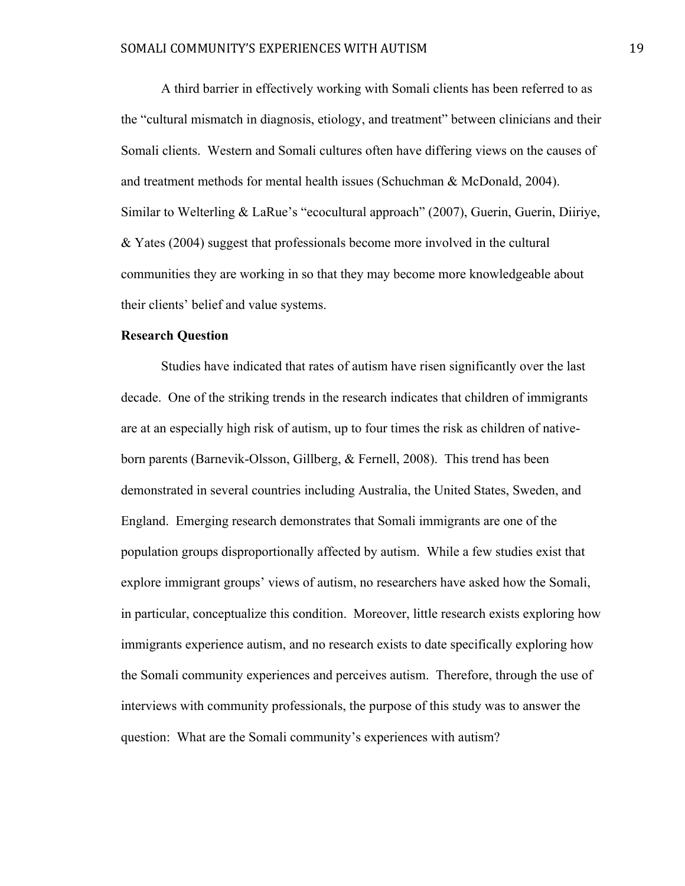A third barrier in effectively working with Somali clients has been referred to as the "cultural mismatch in diagnosis, etiology, and treatment" between clinicians and their Somali clients. Western and Somali cultures often have differing views on the causes of and treatment methods for mental health issues (Schuchman & McDonald, 2004). Similar to Welterling & LaRue's "ecocultural approach" (2007), Guerin, Guerin, Diiriye, & Yates (2004) suggest that professionals become more involved in the cultural communities they are working in so that they may become more knowledgeable about their clients' belief and value systems.

# **Research Question**

Studies have indicated that rates of autism have risen significantly over the last decade. One of the striking trends in the research indicates that children of immigrants are at an especially high risk of autism, up to four times the risk as children of nativeborn parents (Barnevik-Olsson, Gillberg, & Fernell, 2008). This trend has been demonstrated in several countries including Australia, the United States, Sweden, and England. Emerging research demonstrates that Somali immigrants are one of the population groups disproportionally affected by autism. While a few studies exist that explore immigrant groups' views of autism, no researchers have asked how the Somali, in particular, conceptualize this condition. Moreover, little research exists exploring how immigrants experience autism, and no research exists to date specifically exploring how the Somali community experiences and perceives autism. Therefore, through the use of interviews with community professionals, the purpose of this study was to answer the question: What are the Somali community's experiences with autism?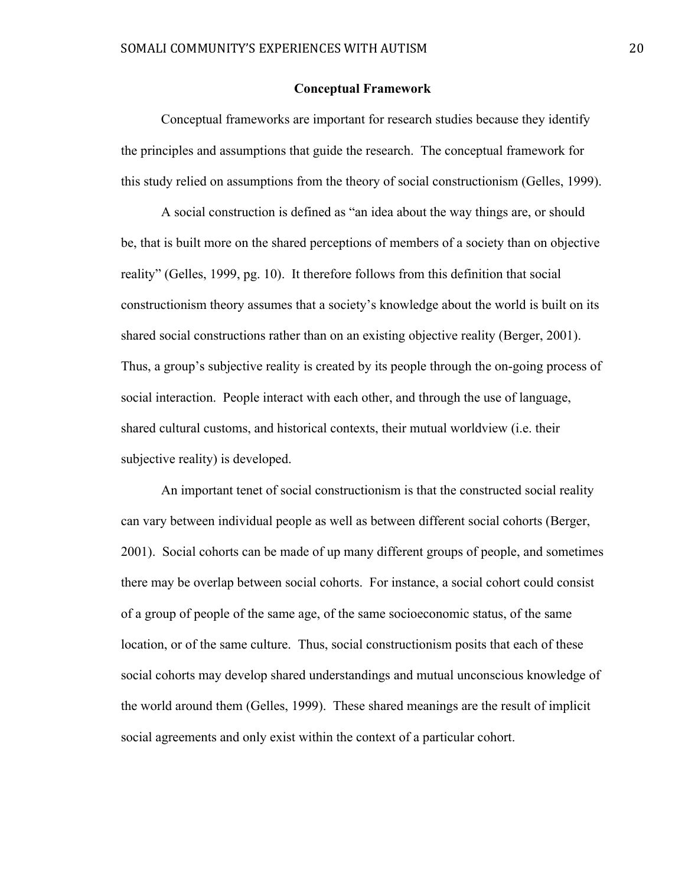#### **Conceptual Framework**

Conceptual frameworks are important for research studies because they identify the principles and assumptions that guide the research. The conceptual framework for this study relied on assumptions from the theory of social constructionism (Gelles, 1999).

A social construction is defined as "an idea about the way things are, or should be, that is built more on the shared perceptions of members of a society than on objective reality" (Gelles, 1999, pg. 10). It therefore follows from this definition that social constructionism theory assumes that a society's knowledge about the world is built on its shared social constructions rather than on an existing objective reality (Berger, 2001). Thus, a group's subjective reality is created by its people through the on-going process of social interaction. People interact with each other, and through the use of language, shared cultural customs, and historical contexts, their mutual worldview (i.e. their subjective reality) is developed.

An important tenet of social constructionism is that the constructed social reality can vary between individual people as well as between different social cohorts (Berger, 2001). Social cohorts can be made of up many different groups of people, and sometimes there may be overlap between social cohorts. For instance, a social cohort could consist of a group of people of the same age, of the same socioeconomic status, of the same location, or of the same culture. Thus, social constructionism posits that each of these social cohorts may develop shared understandings and mutual unconscious knowledge of the world around them (Gelles, 1999). These shared meanings are the result of implicit social agreements and only exist within the context of a particular cohort.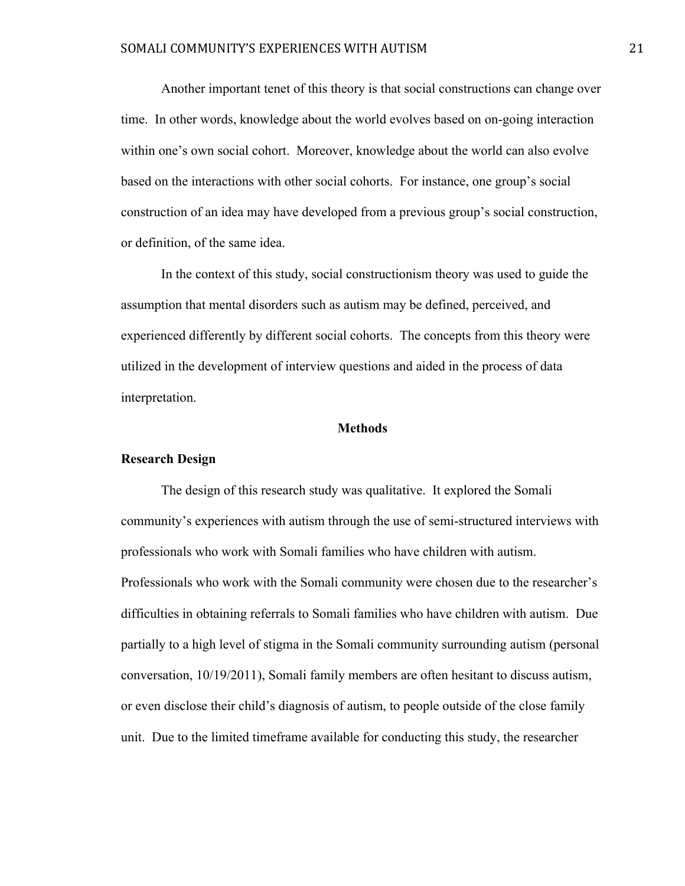Another important tenet of this theory is that social constructions can change over time. In other words, knowledge about the world evolves based on on-going interaction within one's own social cohort. Moreover, knowledge about the world can also evolve based on the interactions with other social cohorts. For instance, one group's social construction of an idea may have developed from a previous group's social construction, or definition, of the same idea.

In the context of this study, social constructionism theory was used to guide the assumption that mental disorders such as autism may be defined, perceived, and experienced differently by different social cohorts. The concepts from this theory were utilized in the development of interview questions and aided in the process of data interpretation.

#### **Methods**

# **Research Design**

The design of this research study was qualitative. It explored the Somali community's experiences with autism through the use of semi-structured interviews with professionals who work with Somali families who have children with autism. Professionals who work with the Somali community were chosen due to the researcher's difficulties in obtaining referrals to Somali families who have children with autism. Due partially to a high level of stigma in the Somali community surrounding autism (personal conversation, 10/19/2011), Somali family members are often hesitant to discuss autism, or even disclose their child's diagnosis of autism, to people outside of the close family unit. Due to the limited timeframe available for conducting this study, the researcher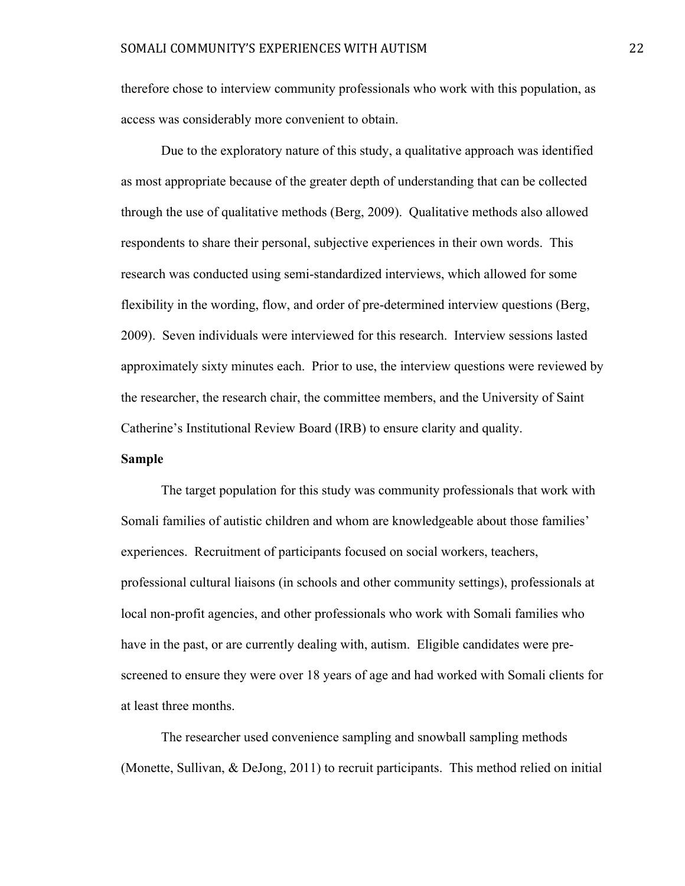therefore chose to interview community professionals who work with this population, as access was considerably more convenient to obtain.

Due to the exploratory nature of this study, a qualitative approach was identified as most appropriate because of the greater depth of understanding that can be collected through the use of qualitative methods (Berg, 2009). Qualitative methods also allowed respondents to share their personal, subjective experiences in their own words. This research was conducted using semi-standardized interviews, which allowed for some flexibility in the wording, flow, and order of pre-determined interview questions (Berg, 2009). Seven individuals were interviewed for this research. Interview sessions lasted approximately sixty minutes each. Prior to use, the interview questions were reviewed by the researcher, the research chair, the committee members, and the University of Saint Catherine's Institutional Review Board (IRB) to ensure clarity and quality.

# **Sample**

The target population for this study was community professionals that work with Somali families of autistic children and whom are knowledgeable about those families' experiences. Recruitment of participants focused on social workers, teachers, professional cultural liaisons (in schools and other community settings), professionals at local non-profit agencies, and other professionals who work with Somali families who have in the past, or are currently dealing with, autism. Eligible candidates were prescreened to ensure they were over 18 years of age and had worked with Somali clients for at least three months.

The researcher used convenience sampling and snowball sampling methods (Monette, Sullivan, & DeJong, 2011) to recruit participants. This method relied on initial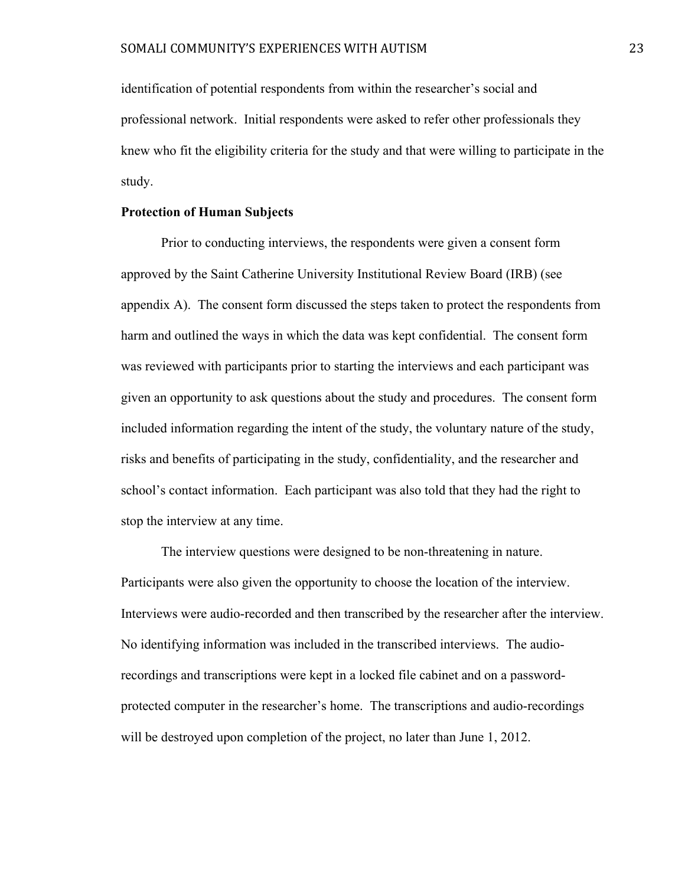identification of potential respondents from within the researcher's social and professional network. Initial respondents were asked to refer other professionals they knew who fit the eligibility criteria for the study and that were willing to participate in the study.

## **Protection of Human Subjects**

Prior to conducting interviews, the respondents were given a consent form approved by the Saint Catherine University Institutional Review Board (IRB) (see appendix A). The consent form discussed the steps taken to protect the respondents from harm and outlined the ways in which the data was kept confidential. The consent form was reviewed with participants prior to starting the interviews and each participant was given an opportunity to ask questions about the study and procedures. The consent form included information regarding the intent of the study, the voluntary nature of the study, risks and benefits of participating in the study, confidentiality, and the researcher and school's contact information. Each participant was also told that they had the right to stop the interview at any time.

The interview questions were designed to be non-threatening in nature. Participants were also given the opportunity to choose the location of the interview. Interviews were audio-recorded and then transcribed by the researcher after the interview. No identifying information was included in the transcribed interviews. The audiorecordings and transcriptions were kept in a locked file cabinet and on a passwordprotected computer in the researcher's home. The transcriptions and audio-recordings will be destroyed upon completion of the project, no later than June 1, 2012.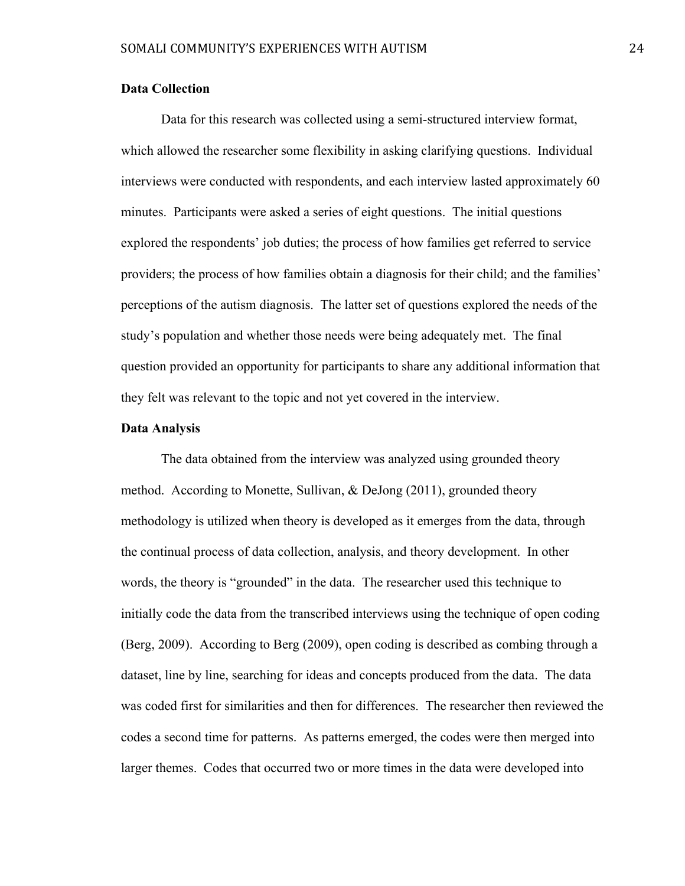# **Data Collection**

Data for this research was collected using a semi-structured interview format, which allowed the researcher some flexibility in asking clarifying questions. Individual interviews were conducted with respondents, and each interview lasted approximately 60 minutes. Participants were asked a series of eight questions. The initial questions explored the respondents' job duties; the process of how families get referred to service providers; the process of how families obtain a diagnosis for their child; and the families' perceptions of the autism diagnosis. The latter set of questions explored the needs of the study's population and whether those needs were being adequately met. The final question provided an opportunity for participants to share any additional information that they felt was relevant to the topic and not yet covered in the interview.

# **Data Analysis**

The data obtained from the interview was analyzed using grounded theory method. According to Monette, Sullivan, & DeJong (2011), grounded theory methodology is utilized when theory is developed as it emerges from the data, through the continual process of data collection, analysis, and theory development. In other words, the theory is "grounded" in the data. The researcher used this technique to initially code the data from the transcribed interviews using the technique of open coding (Berg, 2009). According to Berg (2009), open coding is described as combing through a dataset, line by line, searching for ideas and concepts produced from the data. The data was coded first for similarities and then for differences. The researcher then reviewed the codes a second time for patterns. As patterns emerged, the codes were then merged into larger themes. Codes that occurred two or more times in the data were developed into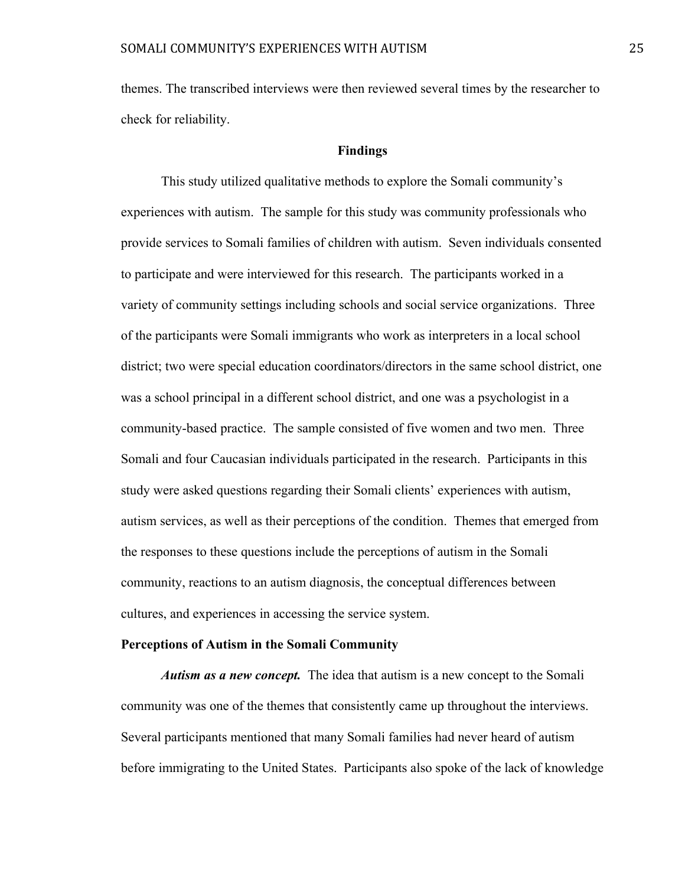themes. The transcribed interviews were then reviewed several times by the researcher to check for reliability.

## **Findings**

This study utilized qualitative methods to explore the Somali community's experiences with autism. The sample for this study was community professionals who provide services to Somali families of children with autism. Seven individuals consented to participate and were interviewed for this research. The participants worked in a variety of community settings including schools and social service organizations. Three of the participants were Somali immigrants who work as interpreters in a local school district; two were special education coordinators/directors in the same school district, one was a school principal in a different school district, and one was a psychologist in a community-based practice. The sample consisted of five women and two men. Three Somali and four Caucasian individuals participated in the research. Participants in this study were asked questions regarding their Somali clients' experiences with autism, autism services, as well as their perceptions of the condition. Themes that emerged from the responses to these questions include the perceptions of autism in the Somali community, reactions to an autism diagnosis, the conceptual differences between cultures, and experiences in accessing the service system.

#### **Perceptions of Autism in the Somali Community**

*Autism as a new concept.* The idea that autism is a new concept to the Somali community was one of the themes that consistently came up throughout the interviews. Several participants mentioned that many Somali families had never heard of autism before immigrating to the United States. Participants also spoke of the lack of knowledge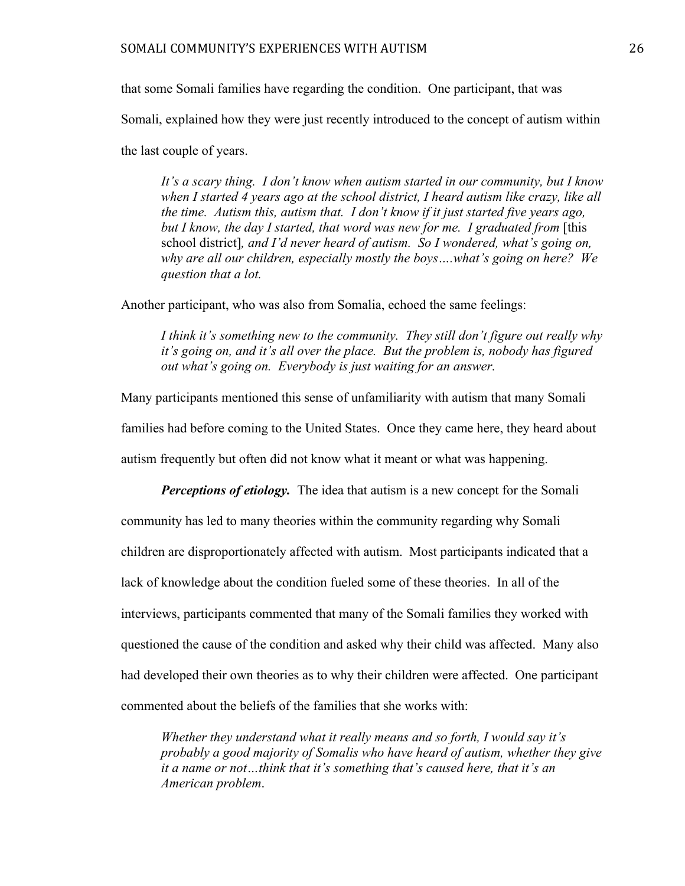that some Somali families have regarding the condition. One participant, that was Somali, explained how they were just recently introduced to the concept of autism within the last couple of years.

*It's a scary thing. I don't know when autism started in our community, but I know when I started 4 years ago at the school district, I heard autism like crazy, like all the time. Autism this, autism that. I don't know if it just started five years ago, but I know, the day I started, that word was new for me. I graduated from* [this school district]*, and I'd never heard of autism. So I wondered, what's going on, why are all our children, especially mostly the boys….what's going on here? We question that a lot.* 

Another participant, who was also from Somalia, echoed the same feelings:

*I think it's something new to the community. They still don't figure out really why it's going on, and it's all over the place. But the problem is, nobody has figured out what's going on. Everybody is just waiting for an answer.* 

Many participants mentioned this sense of unfamiliarity with autism that many Somali families had before coming to the United States. Once they came here, they heard about autism frequently but often did not know what it meant or what was happening.

*Perceptions of etiology.* The idea that autism is a new concept for the Somali community has led to many theories within the community regarding why Somali children are disproportionately affected with autism. Most participants indicated that a lack of knowledge about the condition fueled some of these theories. In all of the interviews, participants commented that many of the Somali families they worked with questioned the cause of the condition and asked why their child was affected. Many also had developed their own theories as to why their children were affected. One participant commented about the beliefs of the families that she works with:

*Whether they understand what it really means and so forth, I would say it's probably a good majority of Somalis who have heard of autism, whether they give it a name or not…think that it's something that's caused here, that it's an American problem*.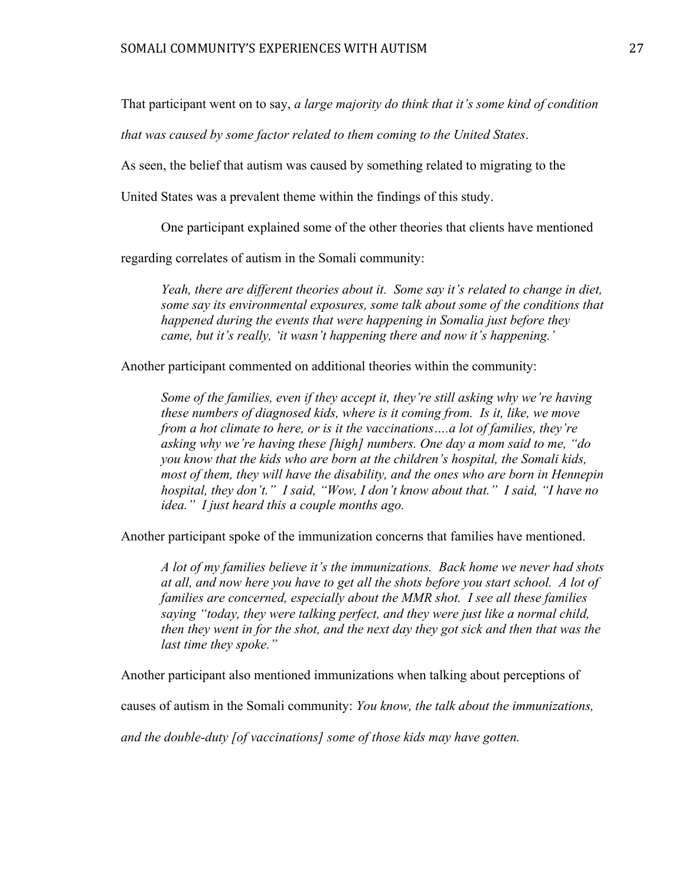That participant went on to say, *a large majority do think that it's some kind of condition* 

*that was caused by some factor related to them coming to the United States*.

As seen, the belief that autism was caused by something related to migrating to the

United States was a prevalent theme within the findings of this study.

One participant explained some of the other theories that clients have mentioned

regarding correlates of autism in the Somali community:

*Yeah, there are different theories about it. Some say it's related to change in diet, some say its environmental exposures, some talk about some of the conditions that happened during the events that were happening in Somalia just before they came, but it's really, 'it wasn't happening there and now it's happening.'*

Another participant commented on additional theories within the community:

*Some of the families, even if they accept it, they're still asking why we're having these numbers of diagnosed kids, where is it coming from. Is it, like, we move from a hot climate to here, or is it the vaccinations….a lot of families, they're asking why we're having these [high] numbers. One day a mom said to me, "do you know that the kids who are born at the children's hospital, the Somali kids, most of them, they will have the disability, and the ones who are born in Hennepin hospital, they don't." I said, "Wow, I don't know about that." I said, "I have no idea." I just heard this a couple months ago.* 

Another participant spoke of the immunization concerns that families have mentioned.

*A lot of my families believe it's the immunizations. Back home we never had shots at all, and now here you have to get all the shots before you start school. A lot of families are concerned, especially about the MMR shot. I see all these families saying "today, they were talking perfect, and they were just like a normal child, then they went in for the shot, and the next day they got sick and then that was the last time they spoke."*

Another participant also mentioned immunizations when talking about perceptions of

causes of autism in the Somali community: *You know, the talk about the immunizations,* 

*and the double-duty [of vaccinations] some of those kids may have gotten.*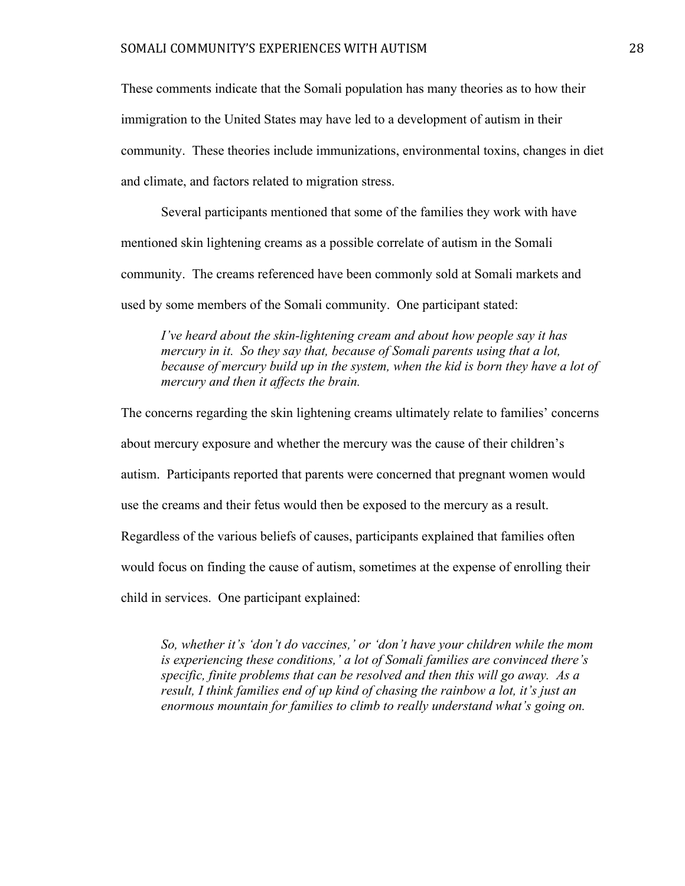These comments indicate that the Somali population has many theories as to how their immigration to the United States may have led to a development of autism in their community. These theories include immunizations, environmental toxins, changes in diet and climate, and factors related to migration stress.

Several participants mentioned that some of the families they work with have mentioned skin lightening creams as a possible correlate of autism in the Somali community. The creams referenced have been commonly sold at Somali markets and used by some members of the Somali community. One participant stated:

*I've heard about the skin-lightening cream and about how people say it has mercury in it. So they say that, because of Somali parents using that a lot, because of mercury build up in the system, when the kid is born they have a lot of mercury and then it affects the brain.* 

The concerns regarding the skin lightening creams ultimately relate to families' concerns about mercury exposure and whether the mercury was the cause of their children's autism. Participants reported that parents were concerned that pregnant women would use the creams and their fetus would then be exposed to the mercury as a result. Regardless of the various beliefs of causes, participants explained that families often would focus on finding the cause of autism, sometimes at the expense of enrolling their child in services. One participant explained:

*So, whether it's 'don't do vaccines,' or 'don't have your children while the mom is experiencing these conditions,' a lot of Somali families are convinced there's specific, finite problems that can be resolved and then this will go away. As a result, I think families end of up kind of chasing the rainbow a lot, it's just an enormous mountain for families to climb to really understand what's going on.*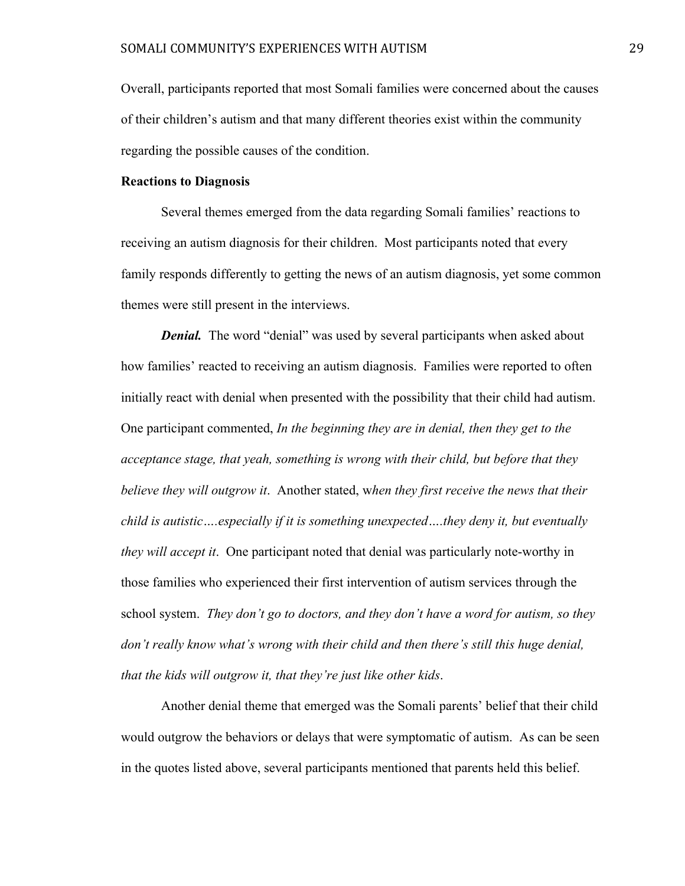Overall, participants reported that most Somali families were concerned about the causes of their children's autism and that many different theories exist within the community regarding the possible causes of the condition.

# **Reactions to Diagnosis**

Several themes emerged from the data regarding Somali families' reactions to receiving an autism diagnosis for their children. Most participants noted that every family responds differently to getting the news of an autism diagnosis, yet some common themes were still present in the interviews.

*Denial.* The word "denial" was used by several participants when asked about how families' reacted to receiving an autism diagnosis. Families were reported to often initially react with denial when presented with the possibility that their child had autism. One participant commented, *In the beginning they are in denial, then they get to the acceptance stage, that yeah, something is wrong with their child, but before that they believe they will outgrow it*. Another stated, w*hen they first receive the news that their child is autistic….especially if it is something unexpected….they deny it, but eventually they will accept it*. One participant noted that denial was particularly note-worthy in those families who experienced their first intervention of autism services through the school system. *They don't go to doctors, and they don't have a word for autism, so they don't really know what's wrong with their child and then there's still this huge denial, that the kids will outgrow it, that they're just like other kids*.

Another denial theme that emerged was the Somali parents' belief that their child would outgrow the behaviors or delays that were symptomatic of autism. As can be seen in the quotes listed above, several participants mentioned that parents held this belief.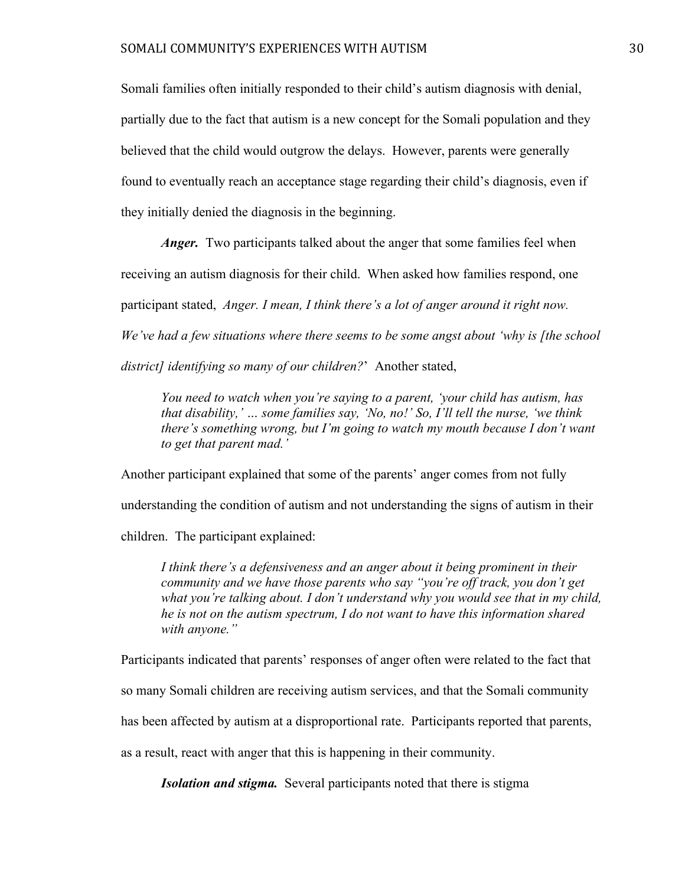Somali families often initially responded to their child's autism diagnosis with denial, partially due to the fact that autism is a new concept for the Somali population and they believed that the child would outgrow the delays. However, parents were generally found to eventually reach an acceptance stage regarding their child's diagnosis, even if they initially denied the diagnosis in the beginning.

*Anger.* Two participants talked about the anger that some families feel when receiving an autism diagnosis for their child. When asked how families respond, one participant stated, *Anger. I mean, I think there's a lot of anger around it right now. We've had a few situations where there seems to be some angst about 'why is [the school district] identifying so many of our children?*' Another stated,

*You need to watch when you're saying to a parent, 'your child has autism, has that disability,' … some families say, 'No, no!' So, I'll tell the nurse, 'we think there's something wrong, but I'm going to watch my mouth because I don't want to get that parent mad.'* 

Another participant explained that some of the parents' anger comes from not fully understanding the condition of autism and not understanding the signs of autism in their children. The participant explained:

*I think there's a defensiveness and an anger about it being prominent in their community and we have those parents who say "you're off track, you don't get what you're talking about. I don't understand why you would see that in my child, he is not on the autism spectrum, I do not want to have this information shared with anyone."*

Participants indicated that parents' responses of anger often were related to the fact that so many Somali children are receiving autism services, and that the Somali community has been affected by autism at a disproportional rate. Participants reported that parents, as a result, react with anger that this is happening in their community.

*Isolation and stigma.* Several participants noted that there is stigma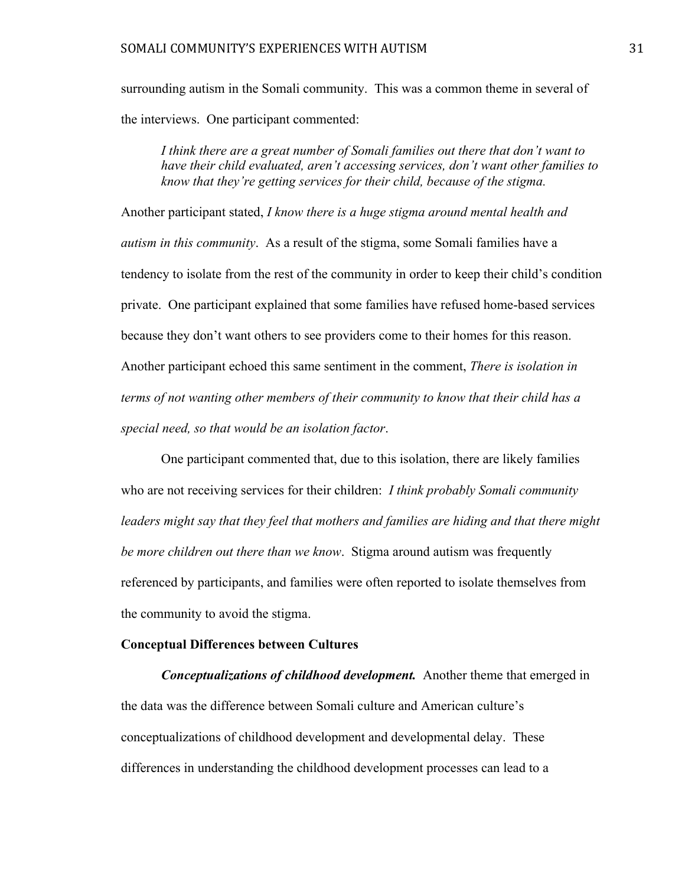surrounding autism in the Somali community. This was a common theme in several of the interviews. One participant commented:

*I think there are a great number of Somali families out there that don't want to have their child evaluated, aren't accessing services, don't want other families to know that they're getting services for their child, because of the stigma.* 

Another participant stated, *I know there is a huge stigma around mental health and autism in this community*. As a result of the stigma, some Somali families have a tendency to isolate from the rest of the community in order to keep their child's condition private. One participant explained that some families have refused home-based services because they don't want others to see providers come to their homes for this reason. Another participant echoed this same sentiment in the comment, *There is isolation in terms of not wanting other members of their community to know that their child has a special need, so that would be an isolation factor*.

One participant commented that, due to this isolation, there are likely families who are not receiving services for their children: *I think probably Somali community leaders might say that they feel that mothers and families are hiding and that there might be more children out there than we know*. Stigma around autism was frequently referenced by participants, and families were often reported to isolate themselves from the community to avoid the stigma.

#### **Conceptual Differences between Cultures**

*Conceptualizations of childhood development.*Another theme that emerged in the data was the difference between Somali culture and American culture's conceptualizations of childhood development and developmental delay. These differences in understanding the childhood development processes can lead to a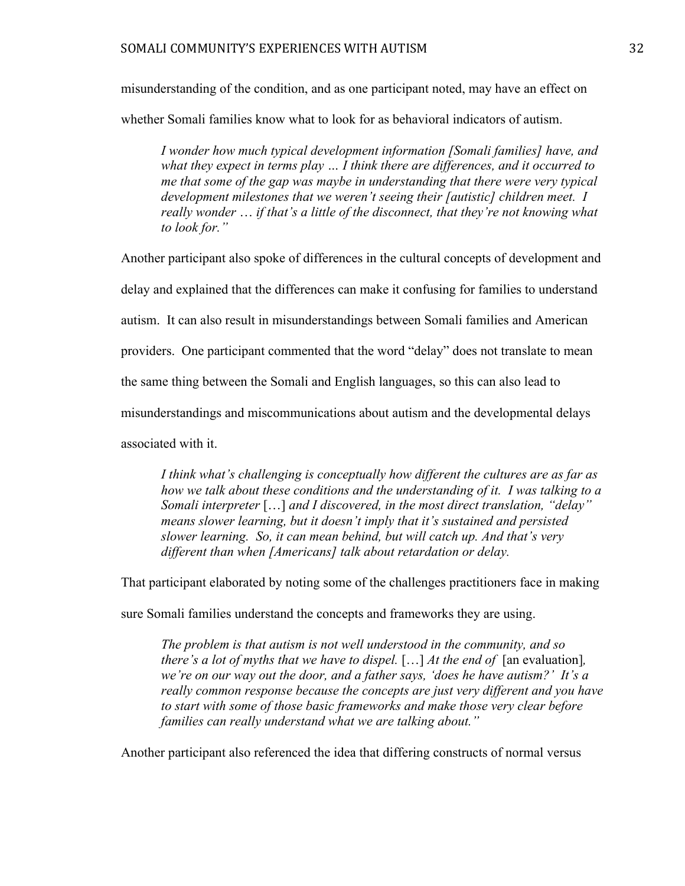misunderstanding of the condition, and as one participant noted, may have an effect on

whether Somali families know what to look for as behavioral indicators of autism.

*I wonder how much typical development information [Somali families] have, and what they expect in terms play … I think there are differences, and it occurred to me that some of the gap was maybe in understanding that there were very typical development milestones that we weren't seeing their [autistic] children meet. I really wonder* … *if that's a little of the disconnect, that they're not knowing what to look for."* 

Another participant also spoke of differences in the cultural concepts of development and delay and explained that the differences can make it confusing for families to understand autism. It can also result in misunderstandings between Somali families and American providers. One participant commented that the word "delay" does not translate to mean the same thing between the Somali and English languages, so this can also lead to misunderstandings and miscommunications about autism and the developmental delays associated with it.

*I think what's challenging is conceptually how different the cultures are as far as how we talk about these conditions and the understanding of it. I was talking to a Somali interpreter* […] *and I discovered, in the most direct translation, "delay" means slower learning, but it doesn't imply that it's sustained and persisted slower learning. So, it can mean behind, but will catch up. And that's very different than when [Americans] talk about retardation or delay.* 

That participant elaborated by noting some of the challenges practitioners face in making

sure Somali families understand the concepts and frameworks they are using.

*The problem is that autism is not well understood in the community, and so there's a lot of myths that we have to dispel.* [...] *At the end of* [an evaluation], *we're on our way out the door, and a father says, 'does he have autism?' It's a really common response because the concepts are just very different and you have to start with some of those basic frameworks and make those very clear before families can really understand what we are talking about."*

Another participant also referenced the idea that differing constructs of normal versus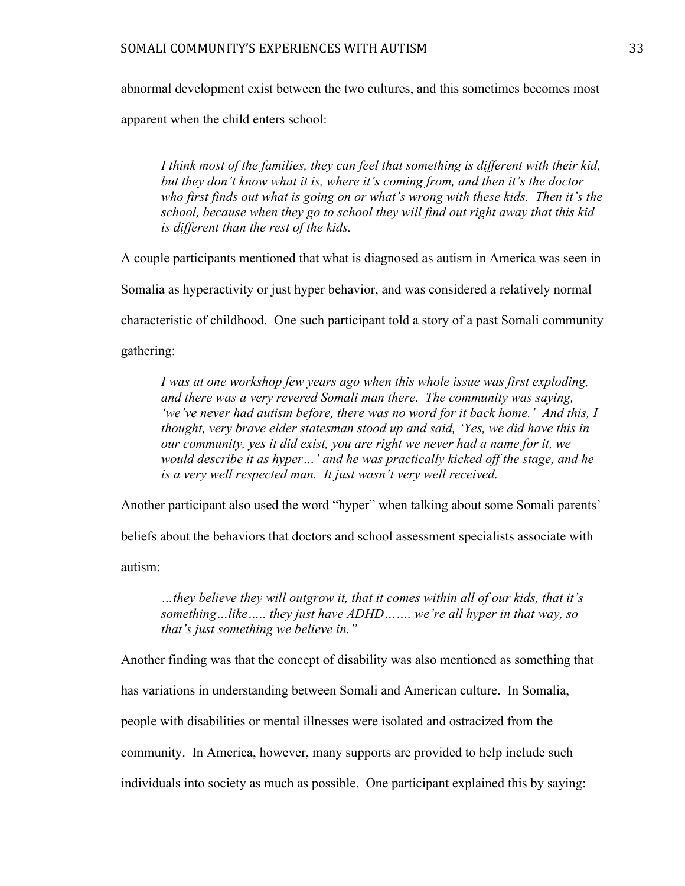abnormal development exist between the two cultures, and this sometimes becomes most

apparent when the child enters school:

*I think most of the families, they can feel that something is different with their kid, but they don't know what it is, where it's coming from, and then it's the doctor who first finds out what is going on or what's wrong with these kids. Then it's the school, because when they go to school they will find out right away that this kid is different than the rest of the kids.*

A couple participants mentioned that what is diagnosed as autism in America was seen in

Somalia as hyperactivity or just hyper behavior, and was considered a relatively normal

characteristic of childhood. One such participant told a story of a past Somali community

gathering:

*I was at one workshop few years ago when this whole issue was first exploding, and there was a very revered Somali man there. The community was saying, 'we've never had autism before, there was no word for it back home.' And this, I thought, very brave elder statesman stood up and said, 'Yes, we did have this in our community, yes it did exist, you are right we never had a name for it, we would describe it as hyper…' and he was practically kicked off the stage, and he is a very well respected man. It just wasn't very well received.* 

Another participant also used the word "hyper" when talking about some Somali parents'

beliefs about the behaviors that doctors and school assessment specialists associate with

autism:

*…they believe they will outgrow it, that it comes within all of our kids, that it's something…like….. they just have ADHD……. we're all hyper in that way, so that's just something we believe in."* 

Another finding was that the concept of disability was also mentioned as something that

has variations in understanding between Somali and American culture. In Somalia,

people with disabilities or mental illnesses were isolated and ostracized from the

community. In America, however, many supports are provided to help include such

individuals into society as much as possible. One participant explained this by saying: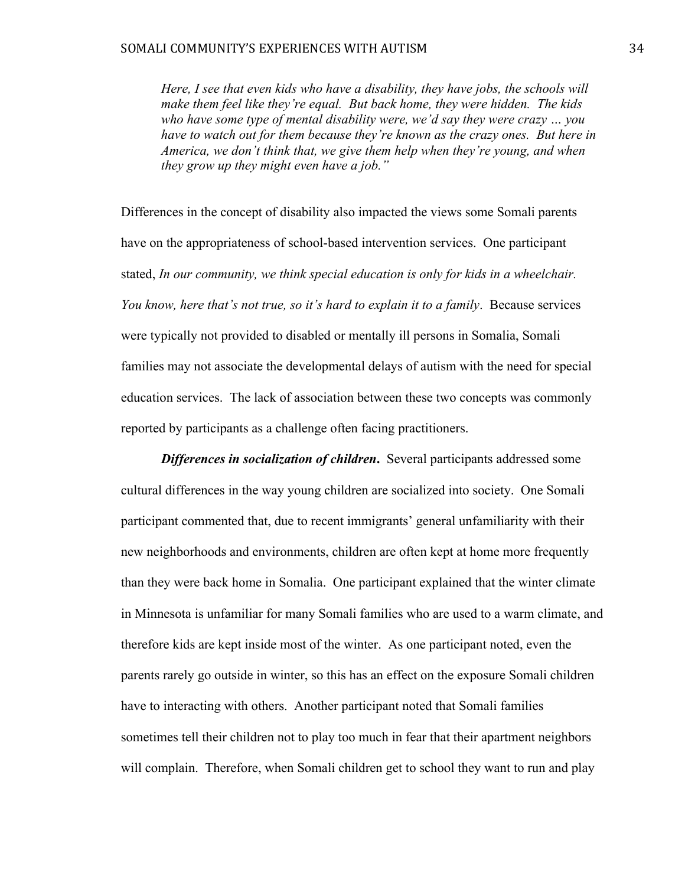*Here, I see that even kids who have a disability, they have jobs, the schools will make them feel like they're equal. But back home, they were hidden. The kids who have some type of mental disability were, we'd say they were crazy … you have to watch out for them because they're known as the crazy ones. But here in America, we don't think that, we give them help when they're young, and when they grow up they might even have a job."*

Differences in the concept of disability also impacted the views some Somali parents have on the appropriateness of school-based intervention services. One participant stated, *In our community, we think special education is only for kids in a wheelchair. You know, here that's not true, so it's hard to explain it to a family*. Because services were typically not provided to disabled or mentally ill persons in Somalia, Somali families may not associate the developmental delays of autism with the need for special education services. The lack of association between these two concepts was commonly reported by participants as a challenge often facing practitioners.

*Differences in socialization of children***.** Several participants addressed some cultural differences in the way young children are socialized into society. One Somali participant commented that, due to recent immigrants' general unfamiliarity with their new neighborhoods and environments, children are often kept at home more frequently than they were back home in Somalia. One participant explained that the winter climate in Minnesota is unfamiliar for many Somali families who are used to a warm climate, and therefore kids are kept inside most of the winter. As one participant noted, even the parents rarely go outside in winter, so this has an effect on the exposure Somali children have to interacting with others. Another participant noted that Somali families sometimes tell their children not to play too much in fear that their apartment neighbors will complain. Therefore, when Somali children get to school they want to run and play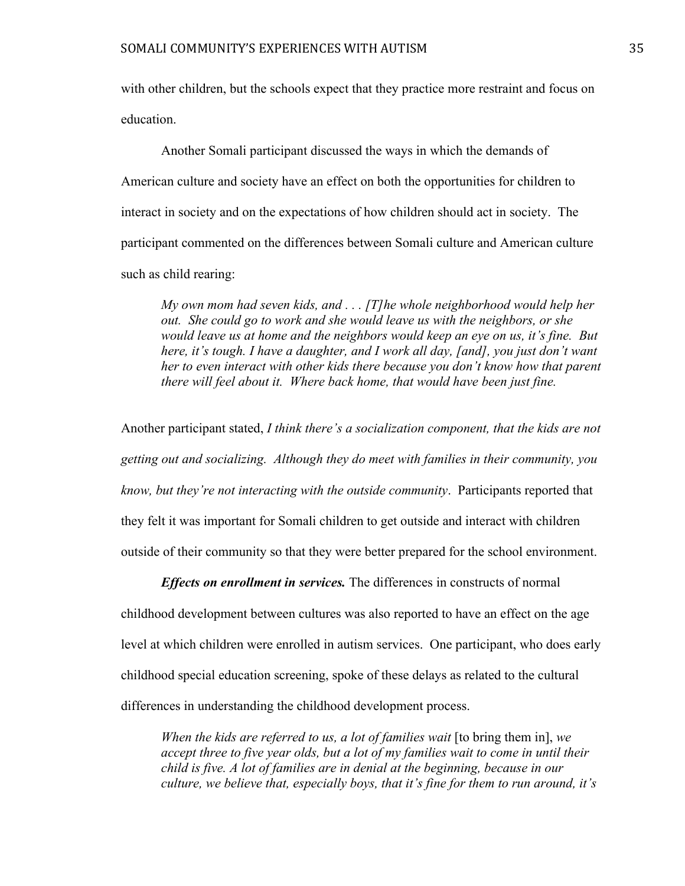with other children, but the schools expect that they practice more restraint and focus on education.

Another Somali participant discussed the ways in which the demands of American culture and society have an effect on both the opportunities for children to interact in society and on the expectations of how children should act in society. The participant commented on the differences between Somali culture and American culture such as child rearing:

*My own mom had seven kids, and . . . [T]he whole neighborhood would help her out. She could go to work and she would leave us with the neighbors, or she would leave us at home and the neighbors would keep an eye on us, it's fine. But here, it's tough. I have a daughter, and I work all day, [and], you just don't want her to even interact with other kids there because you don't know how that parent there will feel about it. Where back home, that would have been just fine.* 

Another participant stated, *I think there's a socialization component, that the kids are not getting out and socializing. Although they do meet with families in their community, you know, but they're not interacting with the outside community*. Participants reported that they felt it was important for Somali children to get outside and interact with children outside of their community so that they were better prepared for the school environment.

*Effects on enrollment in services.* The differences in constructs of normal childhood development between cultures was also reported to have an effect on the age level at which children were enrolled in autism services. One participant, who does early childhood special education screening, spoke of these delays as related to the cultural differences in understanding the childhood development process.

*When the kids are referred to us, a lot of families wait* [to bring them in], we *accept three to five year olds, but a lot of my families wait to come in until their child is five. A lot of families are in denial at the beginning, because in our culture, we believe that, especially boys, that it's fine for them to run around, it's*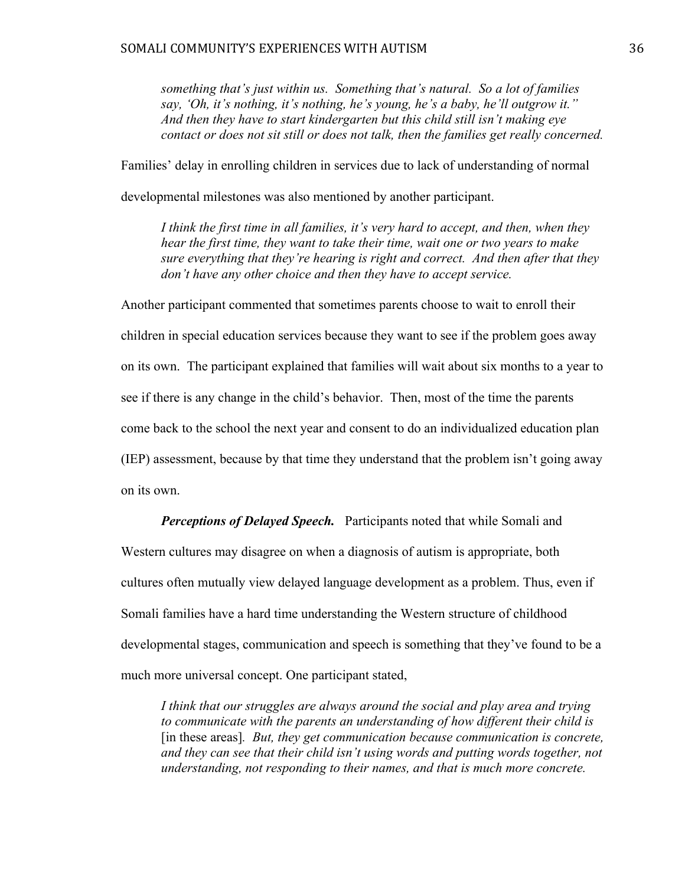*something that's just within us. Something that's natural. So a lot of families say, 'Oh, it's nothing, it's nothing, he's young, he's a baby, he'll outgrow it." And then they have to start kindergarten but this child still isn't making eye contact or does not sit still or does not talk, then the families get really concerned.*

Families' delay in enrolling children in services due to lack of understanding of normal

developmental milestones was also mentioned by another participant.

*I think the first time in all families, it's very hard to accept, and then, when they hear the first time, they want to take their time, wait one or two years to make sure everything that they're hearing is right and correct. And then after that they don't have any other choice and then they have to accept service.* 

Another participant commented that sometimes parents choose to wait to enroll their children in special education services because they want to see if the problem goes away on its own. The participant explained that families will wait about six months to a year to see if there is any change in the child's behavior. Then, most of the time the parents come back to the school the next year and consent to do an individualized education plan (IEP) assessment, because by that time they understand that the problem isn't going away on its own.

*Perceptions of Delayed Speech.* Participants noted that while Somali and Western cultures may disagree on when a diagnosis of autism is appropriate, both cultures often mutually view delayed language development as a problem. Thus, even if Somali families have a hard time understanding the Western structure of childhood developmental stages, communication and speech is something that they've found to be a much more universal concept. One participant stated,

*I think that our struggles are always around the social and play area and trying to communicate with the parents an understanding of how different their child is*  [in these areas]*. But, they get communication because communication is concrete, and they can see that their child isn't using words and putting words together, not understanding, not responding to their names, and that is much more concrete.*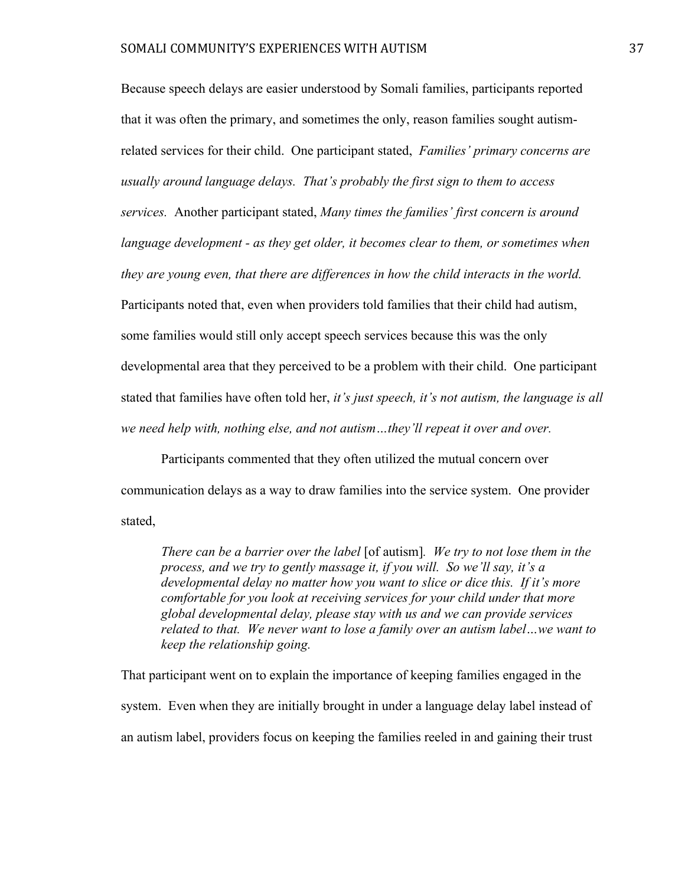Because speech delays are easier understood by Somali families, participants reported that it was often the primary, and sometimes the only, reason families sought autismrelated services for their child. One participant stated, *Families' primary concerns are usually around language delays. That's probably the first sign to them to access services.* Another participant stated, *Many times the families' first concern is around language development - as they get older, it becomes clear to them, or sometimes when they are young even, that there are differences in how the child interacts in the world.* Participants noted that, even when providers told families that their child had autism, some families would still only accept speech services because this was the only developmental area that they perceived to be a problem with their child. One participant stated that families have often told her, *it's just speech, it's not autism, the language is all we need help with, nothing else, and not autism…they'll repeat it over and over.* 

Participants commented that they often utilized the mutual concern over communication delays as a way to draw families into the service system. One provider stated,

*There can be a barrier over the label* [of autism]*. We try to not lose them in the process, and we try to gently massage it, if you will. So we'll say, it's a developmental delay no matter how you want to slice or dice this. If it's more comfortable for you look at receiving services for your child under that more global developmental delay, please stay with us and we can provide services related to that. We never want to lose a family over an autism label…we want to keep the relationship going.*

That participant went on to explain the importance of keeping families engaged in the system. Even when they are initially brought in under a language delay label instead of an autism label, providers focus on keeping the families reeled in and gaining their trust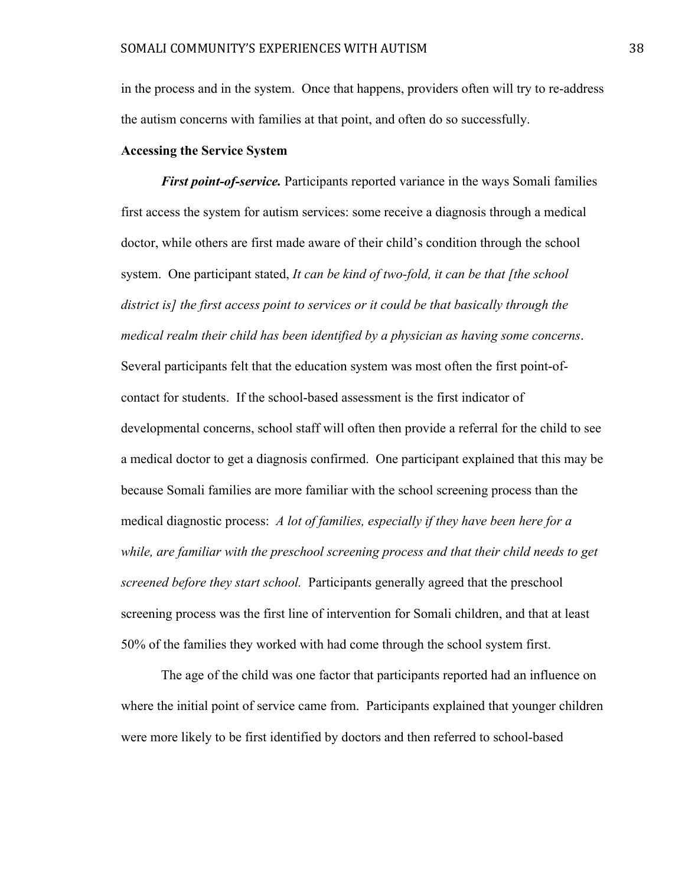in the process and in the system. Once that happens, providers often will try to re-address the autism concerns with families at that point, and often do so successfully.

# **Accessing the Service System**

*First point-of-service.* Participants reported variance in the ways Somali families first access the system for autism services: some receive a diagnosis through a medical doctor, while others are first made aware of their child's condition through the school system. One participant stated, *It can be kind of two-fold, it can be that [the school district is] the first access point to services or it could be that basically through the medical realm their child has been identified by a physician as having some concerns*. Several participants felt that the education system was most often the first point-ofcontact for students. If the school-based assessment is the first indicator of developmental concerns, school staff will often then provide a referral for the child to see a medical doctor to get a diagnosis confirmed. One participant explained that this may be because Somali families are more familiar with the school screening process than the medical diagnostic process: *A lot of families, especially if they have been here for a while, are familiar with the preschool screening process and that their child needs to get screened before they start school.* Participants generally agreed that the preschool screening process was the first line of intervention for Somali children, and that at least 50% of the families they worked with had come through the school system first.

The age of the child was one factor that participants reported had an influence on where the initial point of service came from. Participants explained that younger children were more likely to be first identified by doctors and then referred to school-based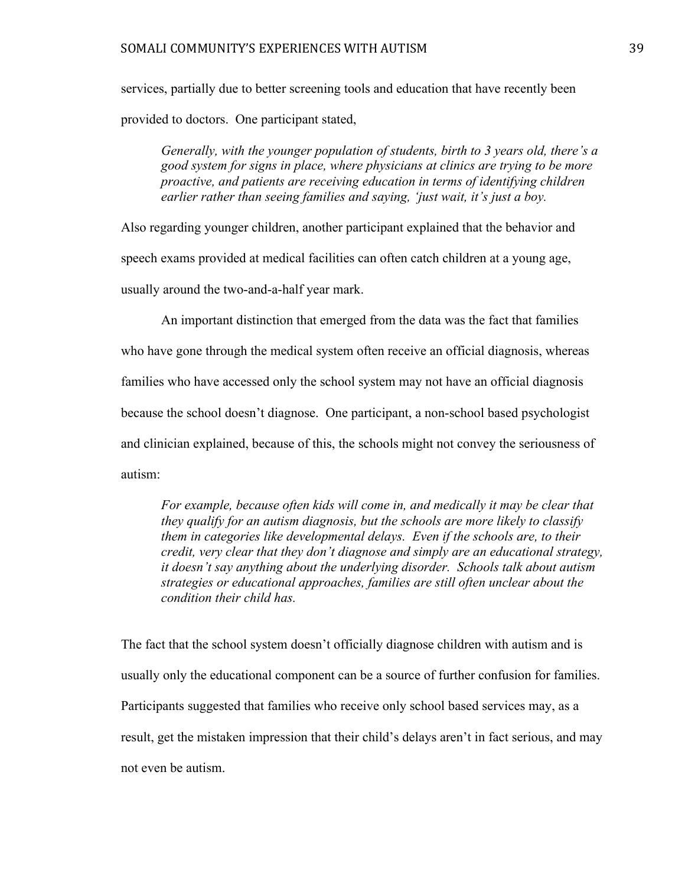services, partially due to better screening tools and education that have recently been provided to doctors. One participant stated,

*Generally, with the younger population of students, birth to 3 years old, there's a good system for signs in place, where physicians at clinics are trying to be more proactive, and patients are receiving education in terms of identifying children earlier rather than seeing families and saying, 'just wait, it's just a boy.*

Also regarding younger children, another participant explained that the behavior and speech exams provided at medical facilities can often catch children at a young age, usually around the two-and-a-half year mark.

An important distinction that emerged from the data was the fact that families who have gone through the medical system often receive an official diagnosis, whereas families who have accessed only the school system may not have an official diagnosis because the school doesn't diagnose. One participant, a non-school based psychologist and clinician explained, because of this, the schools might not convey the seriousness of autism:

*For example, because often kids will come in, and medically it may be clear that they qualify for an autism diagnosis, but the schools are more likely to classify them in categories like developmental delays. Even if the schools are, to their credit, very clear that they don't diagnose and simply are an educational strategy, it doesn't say anything about the underlying disorder. Schools talk about autism strategies or educational approaches, families are still often unclear about the condition their child has.* 

The fact that the school system doesn't officially diagnose children with autism and is usually only the educational component can be a source of further confusion for families. Participants suggested that families who receive only school based services may, as a result, get the mistaken impression that their child's delays aren't in fact serious, and may not even be autism.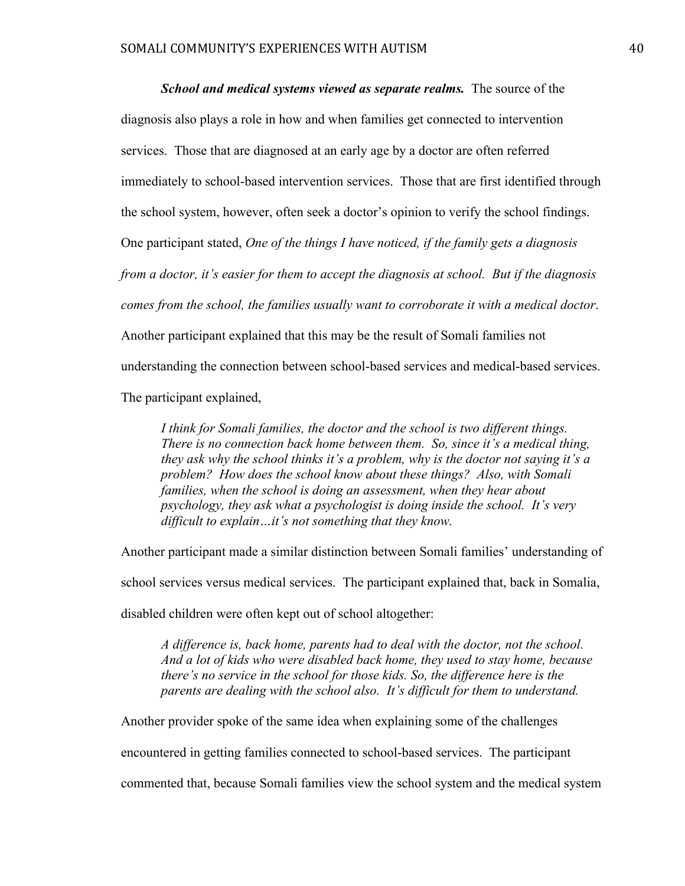*School and medical systems viewed as separate realms.* The source of the diagnosis also plays a role in how and when families get connected to intervention services. Those that are diagnosed at an early age by a doctor are often referred immediately to school-based intervention services. Those that are first identified through the school system, however, often seek a doctor's opinion to verify the school findings. One participant stated, *One of the things I have noticed, if the family gets a diagnosis from a doctor, it's easier for them to accept the diagnosis at school. But if the diagnosis comes from the school, the families usually want to corroborate it with a medical doctor*. Another participant explained that this may be the result of Somali families not understanding the connection between school-based services and medical-based services. The participant explained,

*I think for Somali families, the doctor and the school is two different things. There is no connection back home between them. So, since it's a medical thing, they ask why the school thinks it's a problem, why is the doctor not saying it's a problem? How does the school know about these things? Also, with Somali families, when the school is doing an assessment, when they hear about psychology, they ask what a psychologist is doing inside the school. It's very difficult to explain…it's not something that they know.*

Another participant made a similar distinction between Somali families' understanding of school services versus medical services. The participant explained that, back in Somalia, disabled children were often kept out of school altogether:

*A difference is, back home, parents had to deal with the doctor, not the school. And a lot of kids who were disabled back home, they used to stay home, because there's no service in the school for those kids. So, the difference here is the parents are dealing with the school also. It's difficult for them to understand.* 

Another provider spoke of the same idea when explaining some of the challenges

encountered in getting families connected to school-based services. The participant

commented that, because Somali families view the school system and the medical system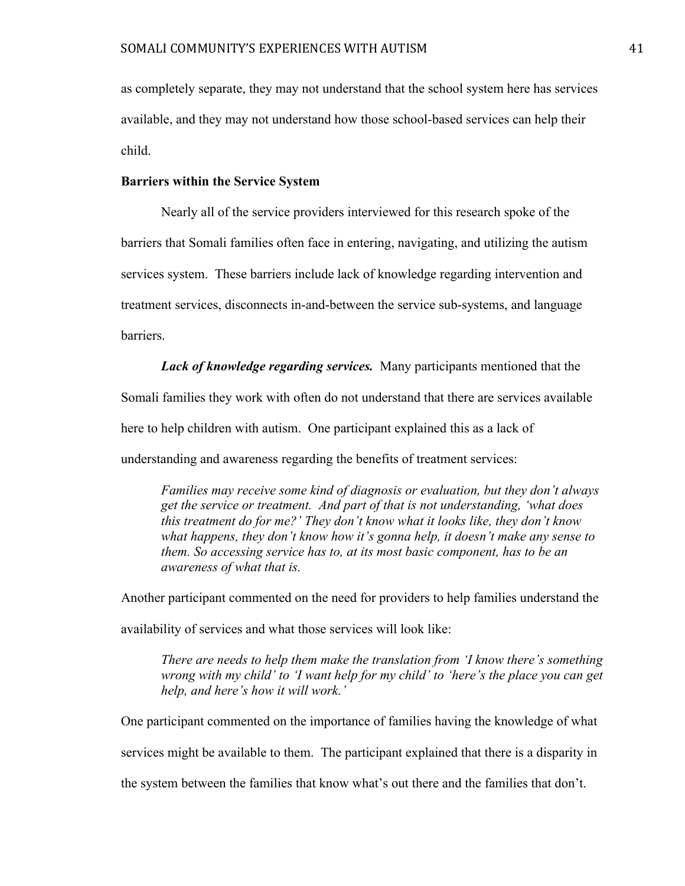as completely separate, they may not understand that the school system here has services available, and they may not understand how those school-based services can help their child.

# **Barriers within the Service System**

Nearly all of the service providers interviewed for this research spoke of the barriers that Somali families often face in entering, navigating, and utilizing the autism services system. These barriers include lack of knowledge regarding intervention and treatment services, disconnects in-and-between the service sub-systems, and language barriers.

*Lack of knowledge regarding services.* Many participants mentioned that the Somali families they work with often do not understand that there are services available here to help children with autism. One participant explained this as a lack of understanding and awareness regarding the benefits of treatment services:

*Families may receive some kind of diagnosis or evaluation, but they don't always get the service or treatment. And part of that is not understanding, 'what does this treatment do for me?' They don't know what it looks like, they don't know what happens, they don't know how it's gonna help, it doesn't make any sense to them. So accessing service has to, at its most basic component, has to be an awareness of what that is.* 

Another participant commented on the need for providers to help families understand the

availability of services and what those services will look like:

*There are needs to help them make the translation from 'I know there's something wrong with my child' to 'I want help for my child' to 'here's the place you can get help, and here's how it will work.'*

One participant commented on the importance of families having the knowledge of what services might be available to them. The participant explained that there is a disparity in the system between the families that know what's out there and the families that don't.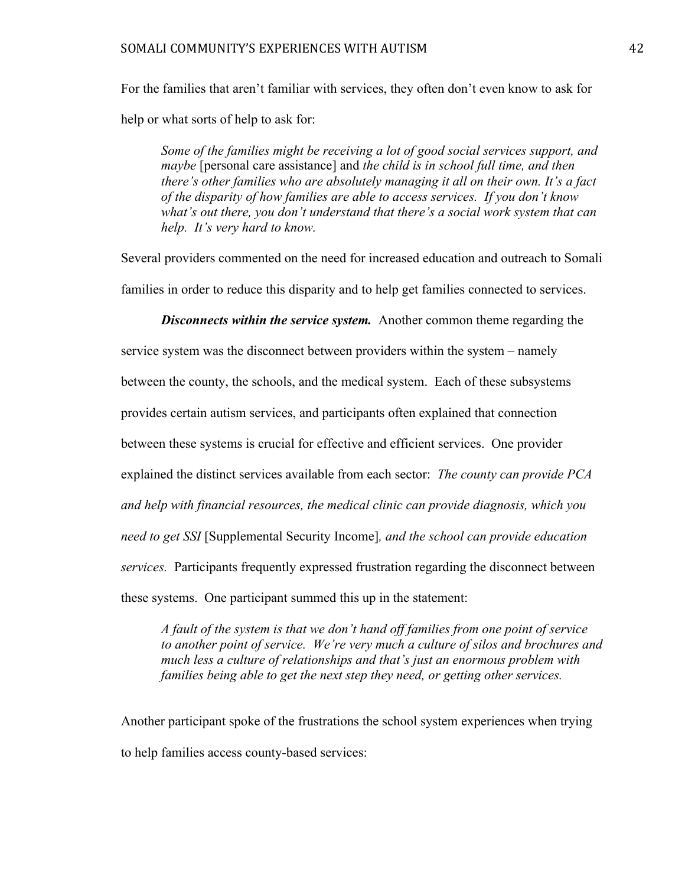For the families that aren't familiar with services, they often don't even know to ask for help or what sorts of help to ask for:

*Some of the families might be receiving a lot of good social services support, and maybe* [personal care assistance] and *the child is in school full time, and then there's other families who are absolutely managing it all on their own. It's a fact of the disparity of how families are able to access services. If you don't know what's out there, you don't understand that there's a social work system that can help. It's very hard to know.* 

Several providers commented on the need for increased education and outreach to Somali families in order to reduce this disparity and to help get families connected to services.

*Disconnects within the service system.* Another common theme regarding the service system was the disconnect between providers within the system – namely between the county, the schools, and the medical system. Each of these subsystems provides certain autism services, and participants often explained that connection between these systems is crucial for effective and efficient services. One provider explained the distinct services available from each sector: *The county can provide PCA and help with financial resources, the medical clinic can provide diagnosis, which you need to get SSI* [Supplemental Security Income]*, and the school can provide education services.* Participants frequently expressed frustration regarding the disconnect between these systems. One participant summed this up in the statement:

*A fault of the system is that we don't hand off families from one point of service to another point of service. We're very much a culture of silos and brochures and much less a culture of relationships and that's just an enormous problem with families being able to get the next step they need, or getting other services.*

Another participant spoke of the frustrations the school system experiences when trying to help families access county-based services: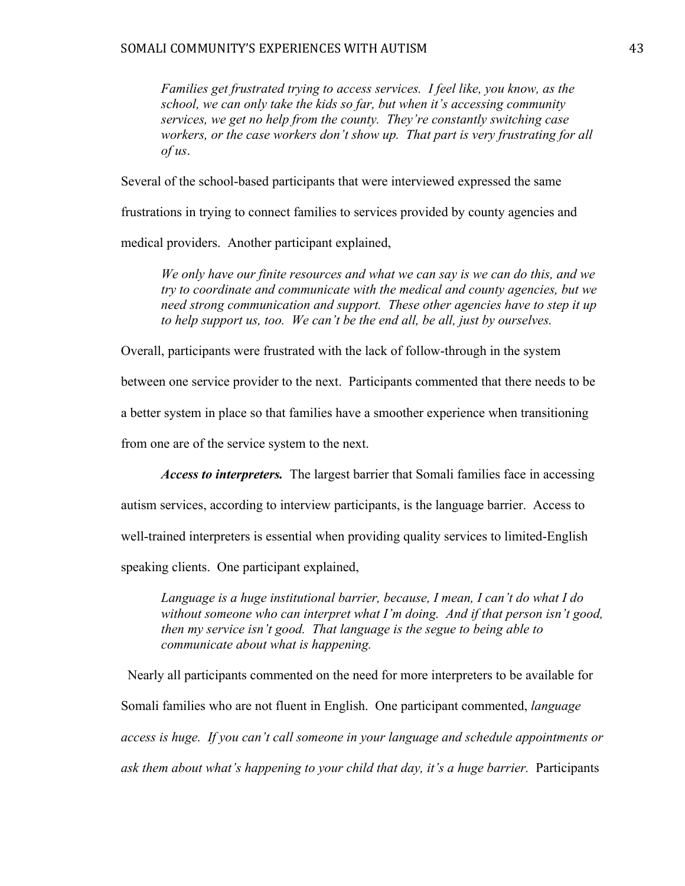### SOMALI COMMUNITY'S EXPERIENCES WITH AUTISM  $43$

*Families get frustrated trying to access services. I feel like, you know, as the school, we can only take the kids so far, but when it's accessing community services, we get no help from the county. They're constantly switching case workers, or the case workers don't show up. That part is very frustrating for all of us*.

Several of the school-based participants that were interviewed expressed the same

frustrations in trying to connect families to services provided by county agencies and

medical providers. Another participant explained,

*We only have our finite resources and what we can say is we can do this, and we try to coordinate and communicate with the medical and county agencies, but we need strong communication and support. These other agencies have to step it up to help support us, too. We can't be the end all, be all, just by ourselves.*

Overall, participants were frustrated with the lack of follow-through in the system

between one service provider to the next. Participants commented that there needs to be

a better system in place so that families have a smoother experience when transitioning

from one are of the service system to the next.

*Access to interpreters.* The largest barrier that Somali families face in accessing

autism services, according to interview participants, is the language barrier. Access to

well-trained interpreters is essential when providing quality services to limited-English

speaking clients. One participant explained,

*Language is a huge institutional barrier, because, I mean, I can't do what I do without someone who can interpret what I'm doing. And if that person isn't good, then my service isn't good. That language is the segue to being able to communicate about what is happening.* 

 Nearly all participants commented on the need for more interpreters to be available for Somali families who are not fluent in English. One participant commented, *language access is huge. If you can't call someone in your language and schedule appointments or ask them about what's happening to your child that day, it's a huge barrier.* Participants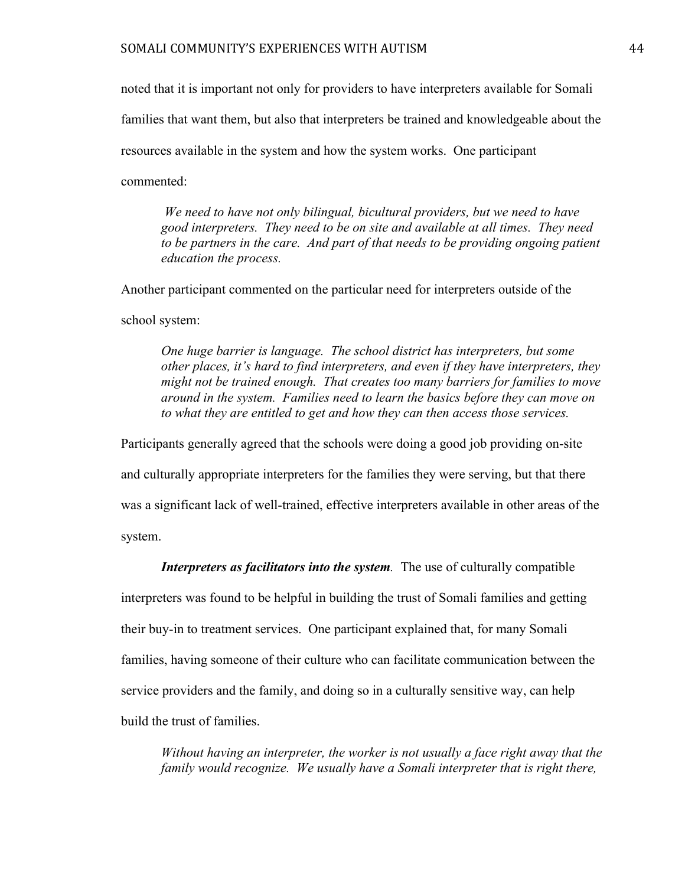# SOMALI COMMUNITY'S EXPERIENCES WITH AUTISM  $44$

noted that it is important not only for providers to have interpreters available for Somali

families that want them, but also that interpreters be trained and knowledgeable about the

resources available in the system and how the system works. One participant

commented:

*We need to have not only bilingual, bicultural providers, but we need to have good interpreters. They need to be on site and available at all times. They need*  to be partners in the care. And part of that needs to be providing ongoing patient *education the process.* 

Another participant commented on the particular need for interpreters outside of the

school system:

*One huge barrier is language. The school district has interpreters, but some other places, it's hard to find interpreters, and even if they have interpreters, they might not be trained enough. That creates too many barriers for families to move around in the system. Families need to learn the basics before they can move on to what they are entitled to get and how they can then access those services.* 

Participants generally agreed that the schools were doing a good job providing on-site

and culturally appropriate interpreters for the families they were serving, but that there

was a significant lack of well-trained, effective interpreters available in other areas of the system.

*Interpreters as facilitators into the system.* The use of culturally compatible

interpreters was found to be helpful in building the trust of Somali families and getting their buy-in to treatment services. One participant explained that, for many Somali families, having someone of their culture who can facilitate communication between the service providers and the family, and doing so in a culturally sensitive way, can help build the trust of families.

*Without having an interpreter, the worker is not usually a face right away that the family would recognize. We usually have a Somali interpreter that is right there,*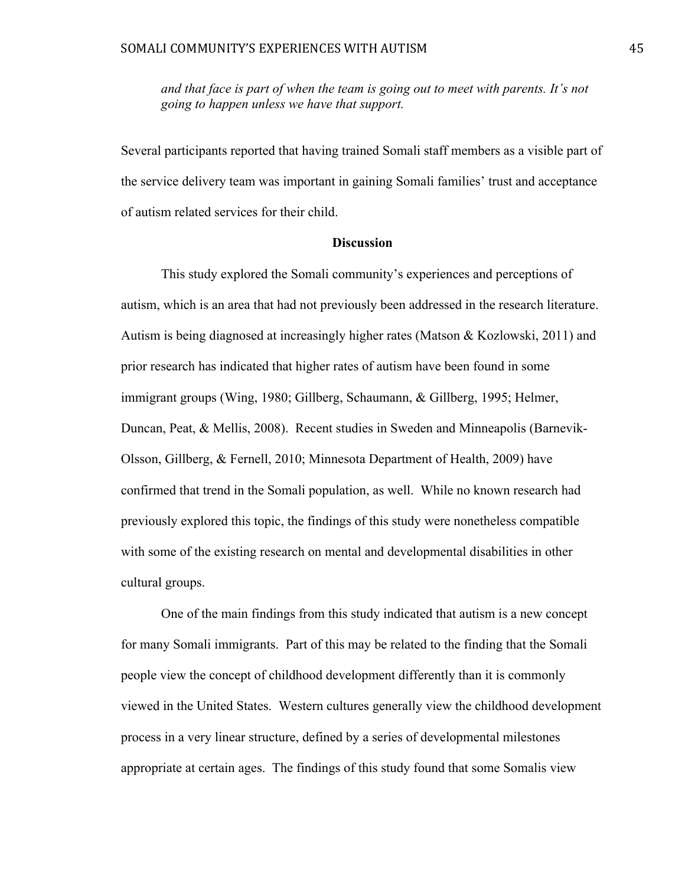*and that face is part of when the team is going out to meet with parents. It's not going to happen unless we have that support.*

Several participants reported that having trained Somali staff members as a visible part of the service delivery team was important in gaining Somali families' trust and acceptance of autism related services for their child.

# **Discussion**

This study explored the Somali community's experiences and perceptions of autism, which is an area that had not previously been addressed in the research literature. Autism is being diagnosed at increasingly higher rates (Matson & Kozlowski, 2011) and prior research has indicated that higher rates of autism have been found in some immigrant groups (Wing, 1980; Gillberg, Schaumann, & Gillberg, 1995; Helmer, Duncan, Peat, & Mellis, 2008). Recent studies in Sweden and Minneapolis (Barnevik-Olsson, Gillberg, & Fernell, 2010; Minnesota Department of Health, 2009) have confirmed that trend in the Somali population, as well. While no known research had previously explored this topic, the findings of this study were nonetheless compatible with some of the existing research on mental and developmental disabilities in other cultural groups.

One of the main findings from this study indicated that autism is a new concept for many Somali immigrants. Part of this may be related to the finding that the Somali people view the concept of childhood development differently than it is commonly viewed in the United States. Western cultures generally view the childhood development process in a very linear structure, defined by a series of developmental milestones appropriate at certain ages. The findings of this study found that some Somalis view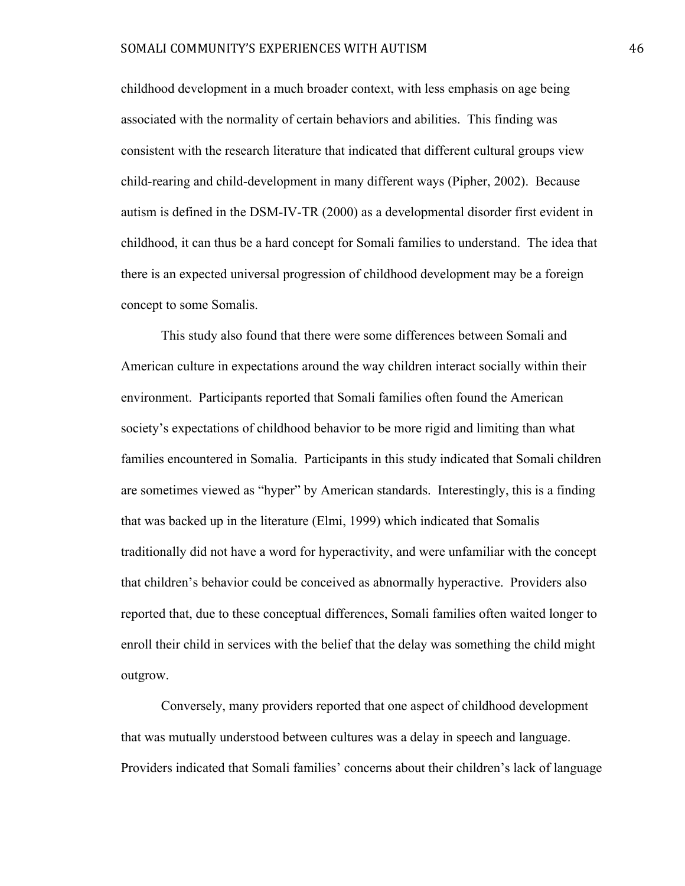childhood development in a much broader context, with less emphasis on age being associated with the normality of certain behaviors and abilities. This finding was consistent with the research literature that indicated that different cultural groups view child-rearing and child-development in many different ways (Pipher, 2002). Because autism is defined in the DSM-IV-TR (2000) as a developmental disorder first evident in childhood, it can thus be a hard concept for Somali families to understand. The idea that there is an expected universal progression of childhood development may be a foreign concept to some Somalis.

This study also found that there were some differences between Somali and American culture in expectations around the way children interact socially within their environment. Participants reported that Somali families often found the American society's expectations of childhood behavior to be more rigid and limiting than what families encountered in Somalia. Participants in this study indicated that Somali children are sometimes viewed as "hyper" by American standards. Interestingly, this is a finding that was backed up in the literature (Elmi, 1999) which indicated that Somalis traditionally did not have a word for hyperactivity, and were unfamiliar with the concept that children's behavior could be conceived as abnormally hyperactive. Providers also reported that, due to these conceptual differences, Somali families often waited longer to enroll their child in services with the belief that the delay was something the child might outgrow.

Conversely, many providers reported that one aspect of childhood development that was mutually understood between cultures was a delay in speech and language. Providers indicated that Somali families' concerns about their children's lack of language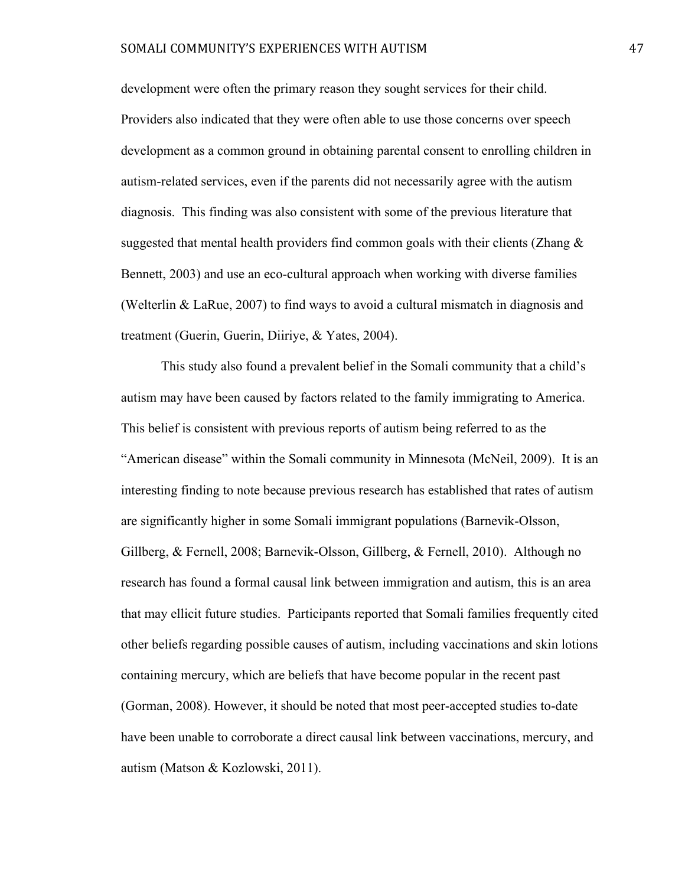development were often the primary reason they sought services for their child. Providers also indicated that they were often able to use those concerns over speech development as a common ground in obtaining parental consent to enrolling children in autism-related services, even if the parents did not necessarily agree with the autism diagnosis. This finding was also consistent with some of the previous literature that suggested that mental health providers find common goals with their clients (Zhang  $\&$ Bennett, 2003) and use an eco-cultural approach when working with diverse families (Welterlin & LaRue, 2007) to find ways to avoid a cultural mismatch in diagnosis and treatment (Guerin, Guerin, Diiriye, & Yates, 2004).

This study also found a prevalent belief in the Somali community that a child's autism may have been caused by factors related to the family immigrating to America. This belief is consistent with previous reports of autism being referred to as the "American disease" within the Somali community in Minnesota (McNeil, 2009). It is an interesting finding to note because previous research has established that rates of autism are significantly higher in some Somali immigrant populations (Barnevik-Olsson, Gillberg, & Fernell, 2008; Barnevik-Olsson, Gillberg, & Fernell, 2010). Although no research has found a formal causal link between immigration and autism, this is an area that may ellicit future studies. Participants reported that Somali families frequently cited other beliefs regarding possible causes of autism, including vaccinations and skin lotions containing mercury, which are beliefs that have become popular in the recent past (Gorman, 2008). However, it should be noted that most peer-accepted studies to-date have been unable to corroborate a direct causal link between vaccinations, mercury, and autism (Matson & Kozlowski, 2011).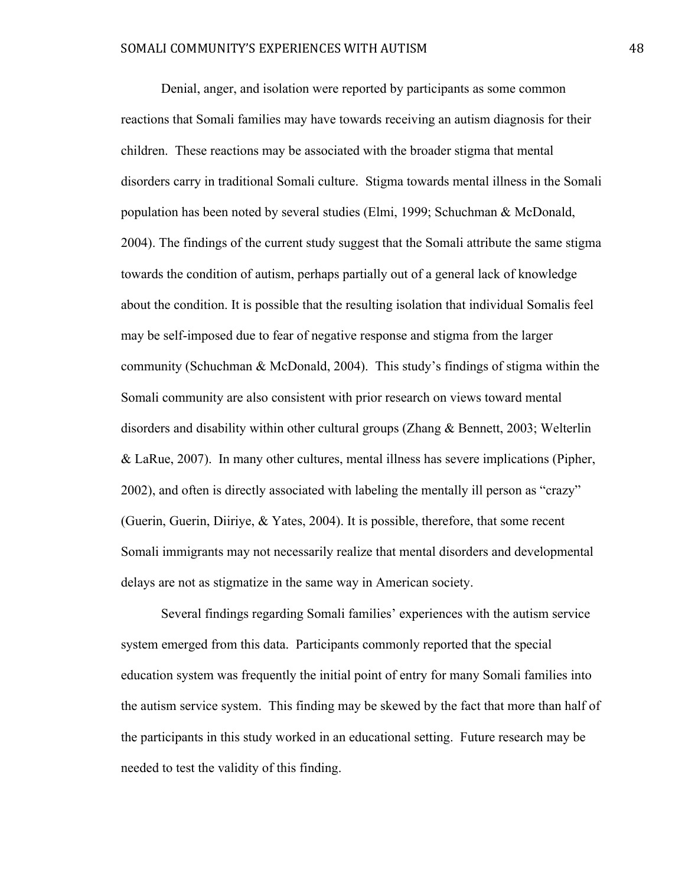Denial, anger, and isolation were reported by participants as some common reactions that Somali families may have towards receiving an autism diagnosis for their children. These reactions may be associated with the broader stigma that mental disorders carry in traditional Somali culture. Stigma towards mental illness in the Somali population has been noted by several studies (Elmi, 1999; Schuchman & McDonald, 2004). The findings of the current study suggest that the Somali attribute the same stigma towards the condition of autism, perhaps partially out of a general lack of knowledge about the condition. It is possible that the resulting isolation that individual Somalis feel may be self-imposed due to fear of negative response and stigma from the larger community (Schuchman & McDonald, 2004). This study's findings of stigma within the Somali community are also consistent with prior research on views toward mental disorders and disability within other cultural groups (Zhang & Bennett, 2003; Welterlin & LaRue, 2007). In many other cultures, mental illness has severe implications (Pipher, 2002), and often is directly associated with labeling the mentally ill person as "crazy" (Guerin, Guerin, Diiriye, & Yates, 2004). It is possible, therefore, that some recent Somali immigrants may not necessarily realize that mental disorders and developmental delays are not as stigmatize in the same way in American society.

Several findings regarding Somali families' experiences with the autism service system emerged from this data. Participants commonly reported that the special education system was frequently the initial point of entry for many Somali families into the autism service system. This finding may be skewed by the fact that more than half of the participants in this study worked in an educational setting. Future research may be needed to test the validity of this finding.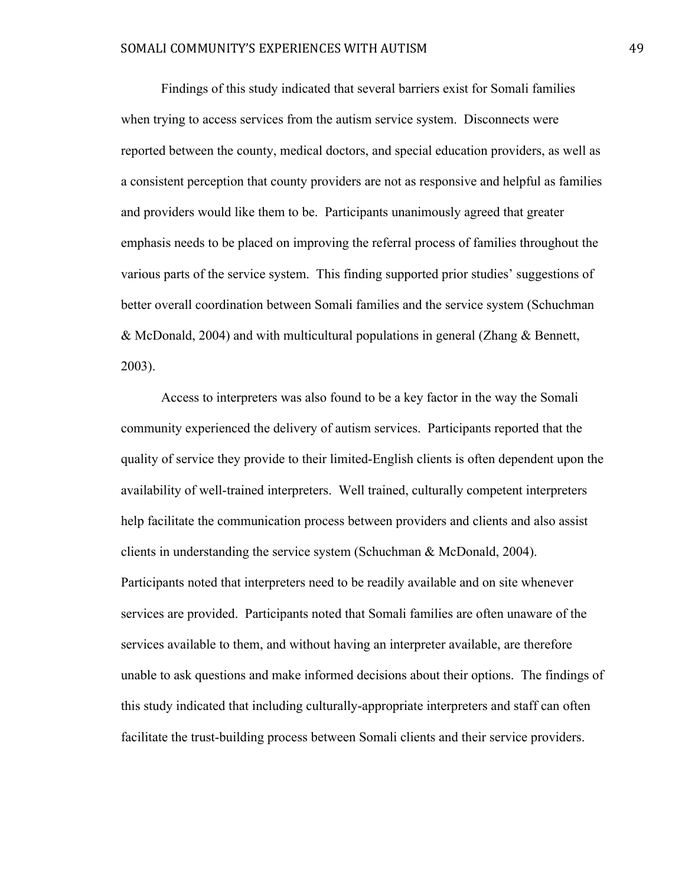Findings of this study indicated that several barriers exist for Somali families when trying to access services from the autism service system. Disconnects were reported between the county, medical doctors, and special education providers, as well as a consistent perception that county providers are not as responsive and helpful as families and providers would like them to be. Participants unanimously agreed that greater emphasis needs to be placed on improving the referral process of families throughout the various parts of the service system. This finding supported prior studies' suggestions of better overall coordination between Somali families and the service system (Schuchman & McDonald, 2004) and with multicultural populations in general (Zhang & Bennett, 2003).

Access to interpreters was also found to be a key factor in the way the Somali community experienced the delivery of autism services. Participants reported that the quality of service they provide to their limited-English clients is often dependent upon the availability of well-trained interpreters. Well trained, culturally competent interpreters help facilitate the communication process between providers and clients and also assist clients in understanding the service system (Schuchman & McDonald, 2004). Participants noted that interpreters need to be readily available and on site whenever services are provided. Participants noted that Somali families are often unaware of the services available to them, and without having an interpreter available, are therefore unable to ask questions and make informed decisions about their options. The findings of this study indicated that including culturally-appropriate interpreters and staff can often facilitate the trust-building process between Somali clients and their service providers.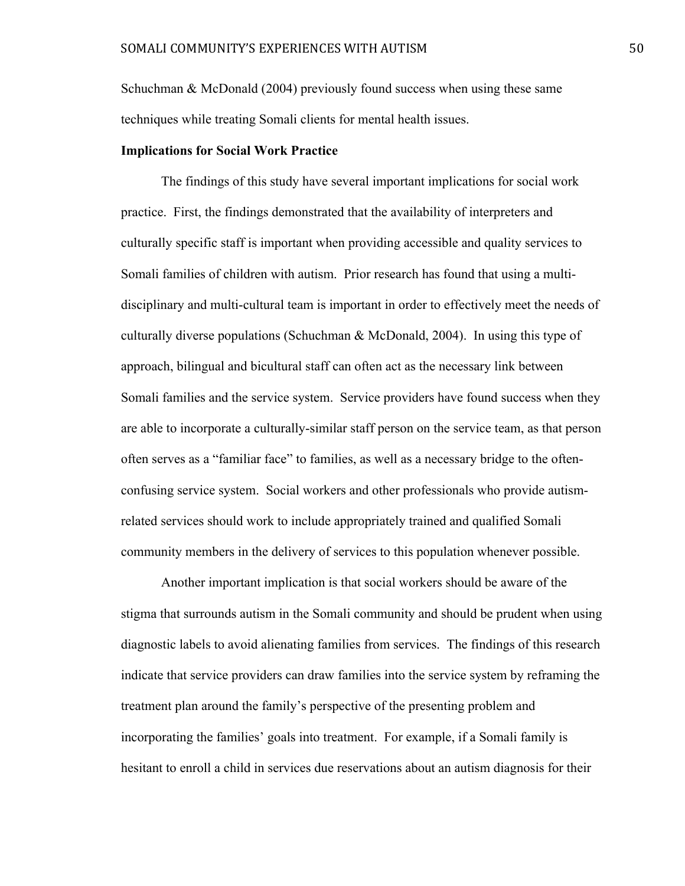Schuchman & McDonald (2004) previously found success when using these same techniques while treating Somali clients for mental health issues.

## **Implications for Social Work Practice**

The findings of this study have several important implications for social work practice. First, the findings demonstrated that the availability of interpreters and culturally specific staff is important when providing accessible and quality services to Somali families of children with autism. Prior research has found that using a multidisciplinary and multi-cultural team is important in order to effectively meet the needs of culturally diverse populations (Schuchman & McDonald, 2004). In using this type of approach, bilingual and bicultural staff can often act as the necessary link between Somali families and the service system. Service providers have found success when they are able to incorporate a culturally-similar staff person on the service team, as that person often serves as a "familiar face" to families, as well as a necessary bridge to the oftenconfusing service system. Social workers and other professionals who provide autismrelated services should work to include appropriately trained and qualified Somali community members in the delivery of services to this population whenever possible.

Another important implication is that social workers should be aware of the stigma that surrounds autism in the Somali community and should be prudent when using diagnostic labels to avoid alienating families from services. The findings of this research indicate that service providers can draw families into the service system by reframing the treatment plan around the family's perspective of the presenting problem and incorporating the families' goals into treatment. For example, if a Somali family is hesitant to enroll a child in services due reservations about an autism diagnosis for their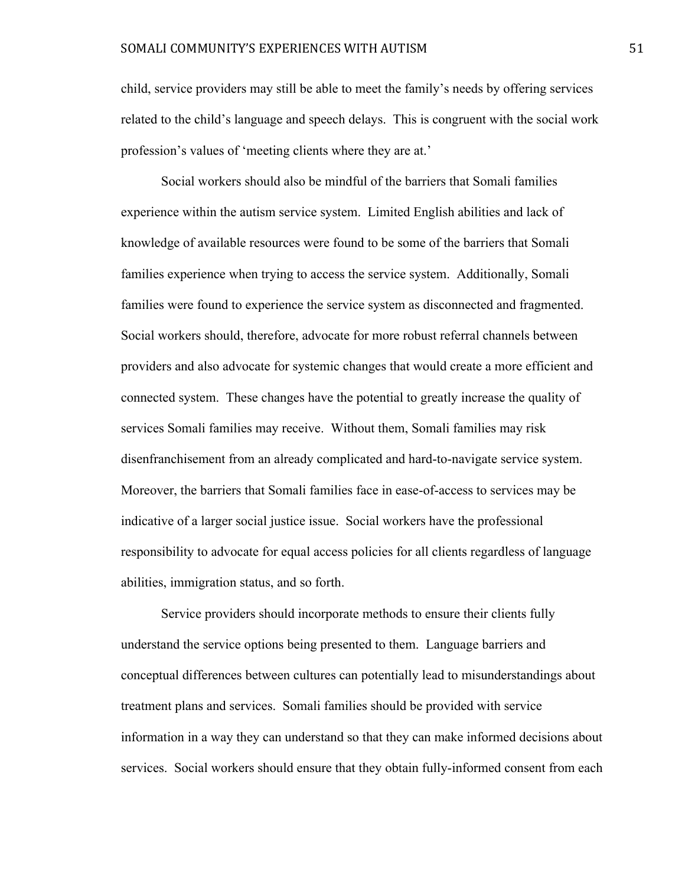child, service providers may still be able to meet the family's needs by offering services related to the child's language and speech delays. This is congruent with the social work profession's values of 'meeting clients where they are at.'

Social workers should also be mindful of the barriers that Somali families experience within the autism service system. Limited English abilities and lack of knowledge of available resources were found to be some of the barriers that Somali families experience when trying to access the service system. Additionally, Somali families were found to experience the service system as disconnected and fragmented. Social workers should, therefore, advocate for more robust referral channels between providers and also advocate for systemic changes that would create a more efficient and connected system. These changes have the potential to greatly increase the quality of services Somali families may receive. Without them, Somali families may risk disenfranchisement from an already complicated and hard-to-navigate service system. Moreover, the barriers that Somali families face in ease-of-access to services may be indicative of a larger social justice issue. Social workers have the professional responsibility to advocate for equal access policies for all clients regardless of language abilities, immigration status, and so forth.

Service providers should incorporate methods to ensure their clients fully understand the service options being presented to them. Language barriers and conceptual differences between cultures can potentially lead to misunderstandings about treatment plans and services. Somali families should be provided with service information in a way they can understand so that they can make informed decisions about services. Social workers should ensure that they obtain fully-informed consent from each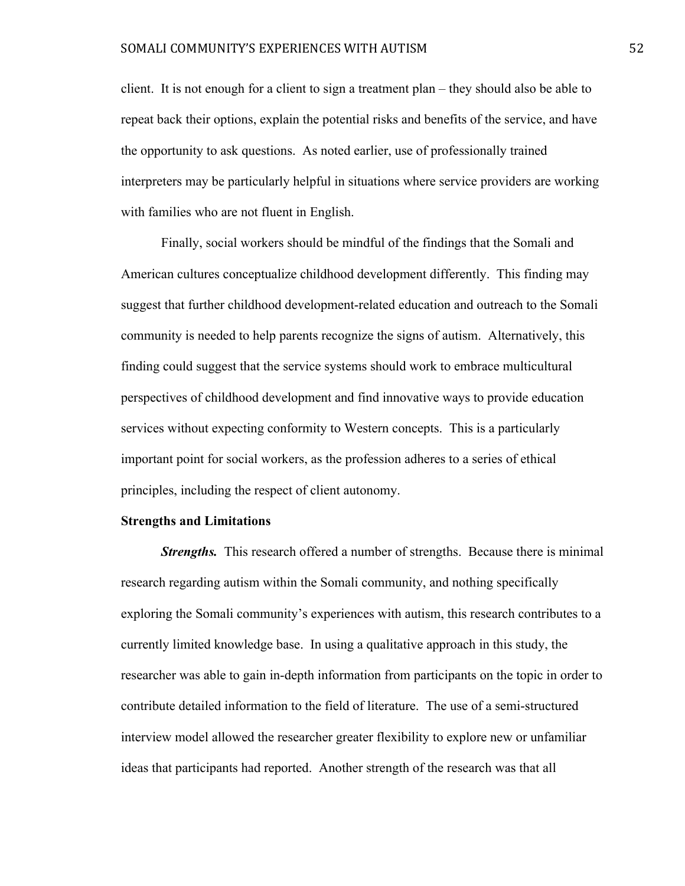client. It is not enough for a client to sign a treatment plan – they should also be able to repeat back their options, explain the potential risks and benefits of the service, and have the opportunity to ask questions. As noted earlier, use of professionally trained interpreters may be particularly helpful in situations where service providers are working with families who are not fluent in English.

Finally, social workers should be mindful of the findings that the Somali and American cultures conceptualize childhood development differently. This finding may suggest that further childhood development-related education and outreach to the Somali community is needed to help parents recognize the signs of autism. Alternatively, this finding could suggest that the service systems should work to embrace multicultural perspectives of childhood development and find innovative ways to provide education services without expecting conformity to Western concepts. This is a particularly important point for social workers, as the profession adheres to a series of ethical principles, including the respect of client autonomy.

#### **Strengths and Limitations**

*Strengths.* This research offered a number of strengths. Because there is minimal research regarding autism within the Somali community, and nothing specifically exploring the Somali community's experiences with autism, this research contributes to a currently limited knowledge base. In using a qualitative approach in this study, the researcher was able to gain in-depth information from participants on the topic in order to contribute detailed information to the field of literature. The use of a semi-structured interview model allowed the researcher greater flexibility to explore new or unfamiliar ideas that participants had reported. Another strength of the research was that all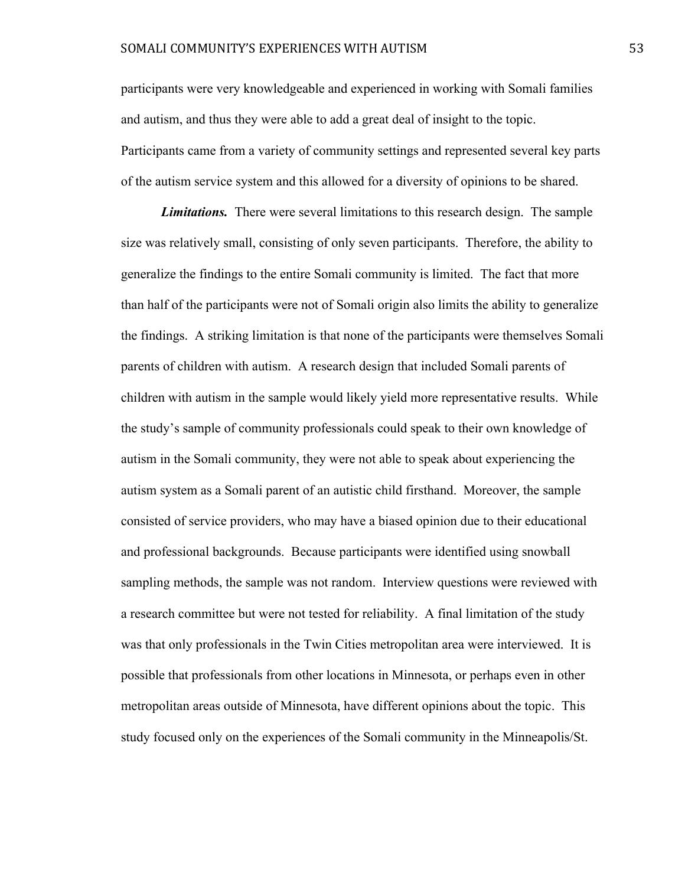#### SOMALI COMMUNITY'S EXPERIENCES WITH AUTISM 53

participants were very knowledgeable and experienced in working with Somali families and autism, and thus they were able to add a great deal of insight to the topic. Participants came from a variety of community settings and represented several key parts of the autism service system and this allowed for a diversity of opinions to be shared.

*Limitations.* There were several limitations to this research design. The sample size was relatively small, consisting of only seven participants. Therefore, the ability to generalize the findings to the entire Somali community is limited. The fact that more than half of the participants were not of Somali origin also limits the ability to generalize the findings. A striking limitation is that none of the participants were themselves Somali parents of children with autism. A research design that included Somali parents of children with autism in the sample would likely yield more representative results. While the study's sample of community professionals could speak to their own knowledge of autism in the Somali community, they were not able to speak about experiencing the autism system as a Somali parent of an autistic child firsthand. Moreover, the sample consisted of service providers, who may have a biased opinion due to their educational and professional backgrounds. Because participants were identified using snowball sampling methods, the sample was not random. Interview questions were reviewed with a research committee but were not tested for reliability. A final limitation of the study was that only professionals in the Twin Cities metropolitan area were interviewed. It is possible that professionals from other locations in Minnesota, or perhaps even in other metropolitan areas outside of Minnesota, have different opinions about the topic. This study focused only on the experiences of the Somali community in the Minneapolis/St.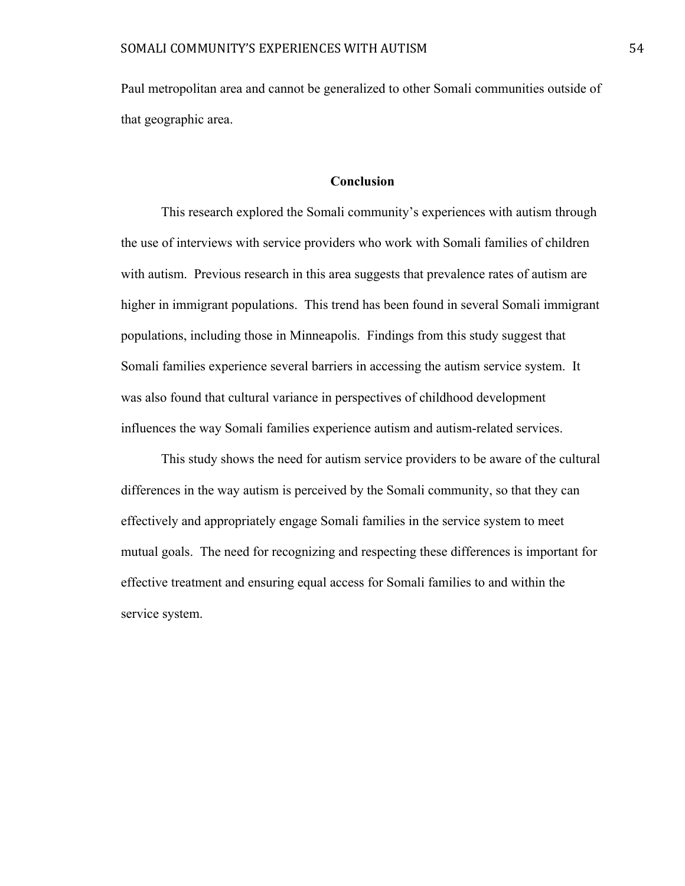Paul metropolitan area and cannot be generalized to other Somali communities outside of that geographic area.

# **Conclusion**

This research explored the Somali community's experiences with autism through the use of interviews with service providers who work with Somali families of children with autism. Previous research in this area suggests that prevalence rates of autism are higher in immigrant populations. This trend has been found in several Somali immigrant populations, including those in Minneapolis. Findings from this study suggest that Somali families experience several barriers in accessing the autism service system. It was also found that cultural variance in perspectives of childhood development influences the way Somali families experience autism and autism-related services.

This study shows the need for autism service providers to be aware of the cultural differences in the way autism is perceived by the Somali community, so that they can effectively and appropriately engage Somali families in the service system to meet mutual goals. The need for recognizing and respecting these differences is important for effective treatment and ensuring equal access for Somali families to and within the service system.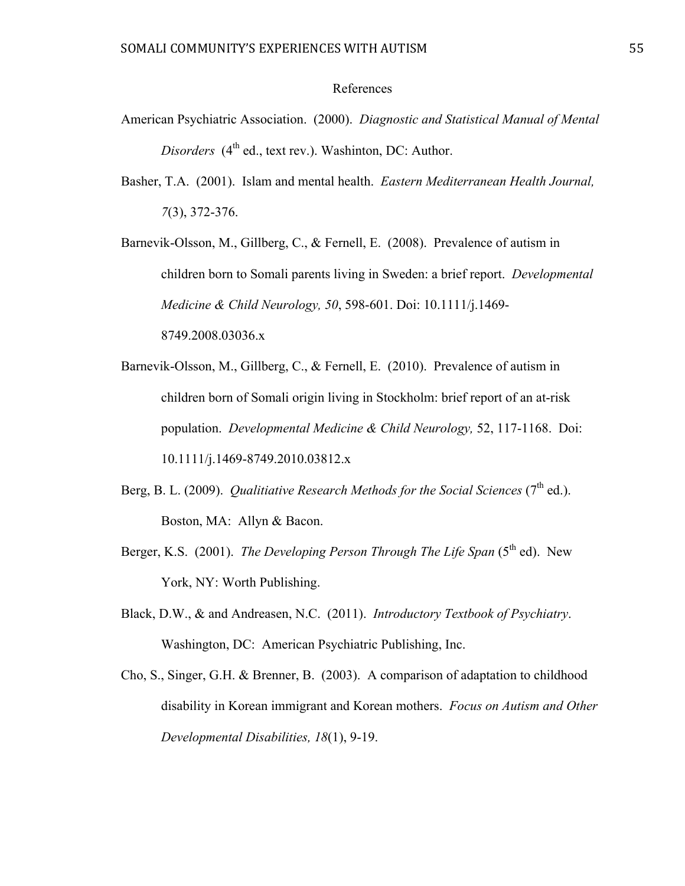# References

- American Psychiatric Association. (2000). *Diagnostic and Statistical Manual of Mental Disorders* (4<sup>th</sup> ed., text rev.). Washinton, DC: Author.
- Basher, T.A. (2001). Islam and mental health. *Eastern Mediterranean Health Journal, 7*(3), 372-376.

Barnevik-Olsson, M., Gillberg, C., & Fernell, E. (2008). Prevalence of autism in children born to Somali parents living in Sweden: a brief report. *Developmental Medicine & Child Neurology, 50*, 598-601. Doi: 10.1111/j.1469- 8749.2008.03036.x

- Barnevik-Olsson, M., Gillberg, C., & Fernell, E. (2010). Prevalence of autism in children born of Somali origin living in Stockholm: brief report of an at-risk population. *Developmental Medicine & Child Neurology,* 52, 117-1168. Doi: 10.1111/j.1469-8749.2010.03812.x
- Berg, B. L. (2009). *Qualitiative Research Methods for the Social Sciences* ( $7<sup>th</sup>$  ed.). Boston, MA: Allyn & Bacon.
- Berger, K.S. (2001). *The Developing Person Through The Life Span* (5<sup>th</sup> ed). New York, NY: Worth Publishing.
- Black, D.W., & and Andreasen, N.C. (2011). *Introductory Textbook of Psychiatry*. Washington, DC: American Psychiatric Publishing, Inc.
- Cho, S., Singer, G.H. & Brenner, B. (2003). A comparison of adaptation to childhood disability in Korean immigrant and Korean mothers. *Focus on Autism and Other Developmental Disabilities, 18*(1), 9-19.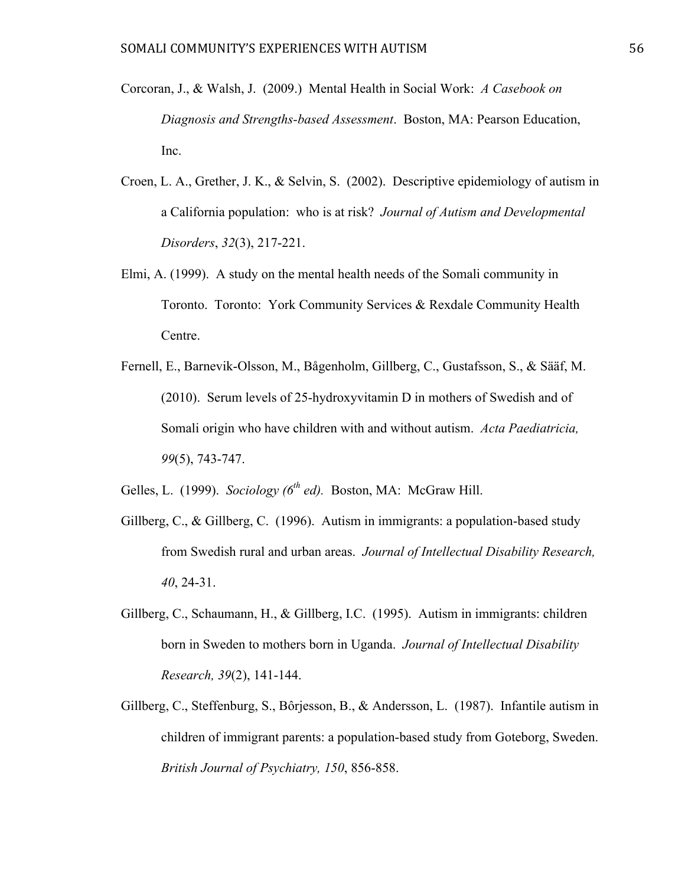- Corcoran, J., & Walsh, J. (2009.) Mental Health in Social Work: *A Casebook on Diagnosis and Strengths-based Assessment*. Boston, MA: Pearson Education, Inc.
- Croen, L. A., Grether, J. K., & Selvin, S. (2002). Descriptive epidemiology of autism in a California population: who is at risk? *Journal of Autism and Developmental Disorders*, *32*(3), 217-221.
- Elmi, A. (1999). A study on the mental health needs of the Somali community in Toronto. Toronto: York Community Services & Rexdale Community Health Centre.
- Fernell, E., Barnevik-Olsson, M., Bågenholm, Gillberg, C., Gustafsson, S., & Sääf, M. (2010). Serum levels of 25-hydroxyvitamin D in mothers of Swedish and of Somali origin who have children with and without autism. *Acta Paediatricia, 99*(5), 743-747.

Gelles, L. (1999). *Sociology (6th ed).* Boston, MA: McGraw Hill.

- Gillberg, C., & Gillberg, C. (1996). Autism in immigrants: a population-based study from Swedish rural and urban areas. *Journal of Intellectual Disability Research, 40*, 24-31.
- Gillberg, C., Schaumann, H., & Gillberg, I.C. (1995). Autism in immigrants: children born in Sweden to mothers born in Uganda. *Journal of Intellectual Disability Research, 39*(2), 141-144.
- Gillberg, C., Steffenburg, S., Bôrjesson, B., & Andersson, L. (1987). Infantile autism in children of immigrant parents: a population-based study from Goteborg, Sweden. *British Journal of Psychiatry, 150*, 856-858.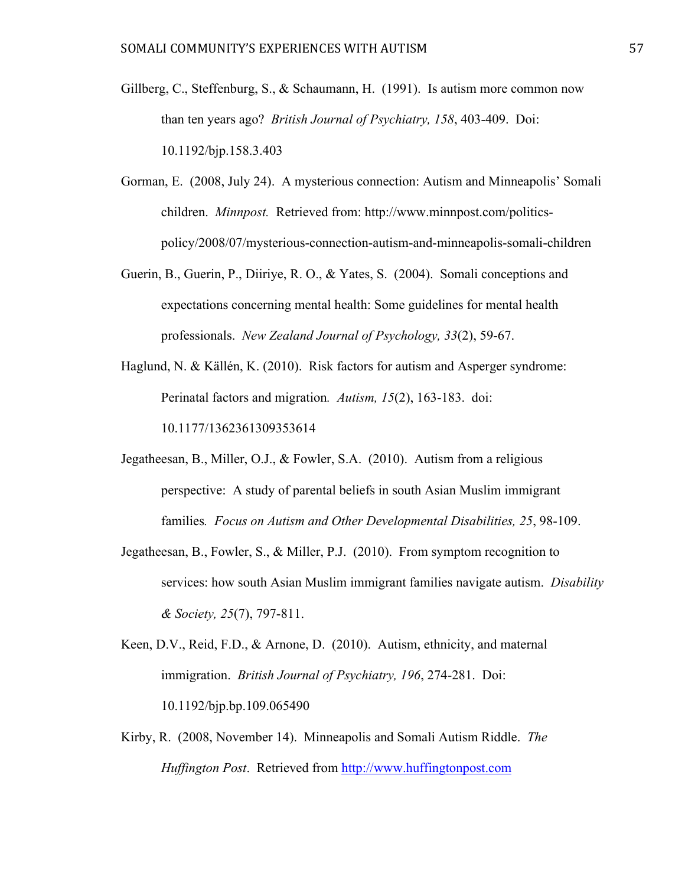- Gillberg, C., Steffenburg, S., & Schaumann, H. (1991). Is autism more common now than ten years ago? *British Journal of Psychiatry, 158*, 403-409. Doi: 10.1192/bjp.158.3.403
- Gorman, E. (2008, July 24). A mysterious connection: Autism and Minneapolis' Somali children. *Minnpost.* Retrieved from: http://www.minnpost.com/politicspolicy/2008/07/mysterious-connection-autism-and-minneapolis-somali-children
- Guerin, B., Guerin, P., Diiriye, R. O., & Yates, S. (2004). Somali conceptions and expectations concerning mental health: Some guidelines for mental health professionals. *New Zealand Journal of Psychology, 33*(2), 59-67.
- Haglund, N. & Källén, K. (2010). Risk factors for autism and Asperger syndrome: Perinatal factors and migration*. Autism, 15*(2), 163-183. doi: 10.1177/1362361309353614
- Jegatheesan, B., Miller, O.J., & Fowler, S.A. (2010). Autism from a religious perspective: A study of parental beliefs in south Asian Muslim immigrant families*. Focus on Autism and Other Developmental Disabilities, 25*, 98-109.
- Jegatheesan, B., Fowler, S., & Miller, P.J. (2010). From symptom recognition to services: how south Asian Muslim immigrant families navigate autism. *Disability & Society, 25*(7), 797-811.
- Keen, D.V., Reid, F.D., & Arnone, D. (2010). Autism, ethnicity, and maternal immigration. *British Journal of Psychiatry, 196*, 274-281. Doi: 10.1192/bjp.bp.109.065490
- Kirby, R. (2008, November 14). Minneapolis and Somali Autism Riddle. *The Huffington Post*. Retrieved from http://www.huffingtonpost.com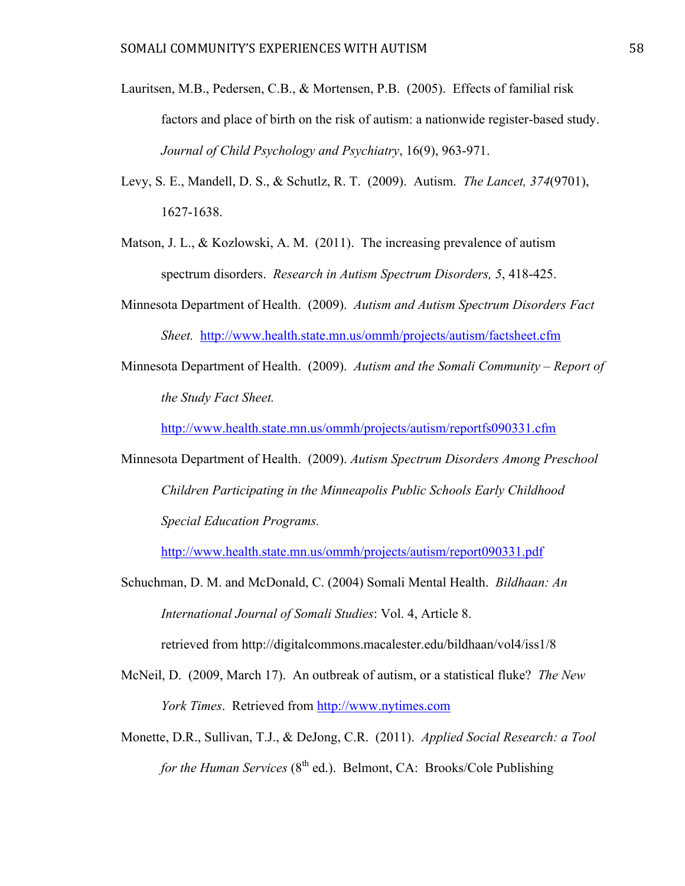- Lauritsen, M.B., Pedersen, C.B., & Mortensen, P.B. (2005). Effects of familial risk factors and place of birth on the risk of autism: a nationwide register-based study. *Journal of Child Psychology and Psychiatry*, 16(9), 963-971.
- Levy, S. E., Mandell, D. S., & Schutlz, R. T. (2009). Autism. *The Lancet, 374*(9701), 1627-1638.
- Matson, J. L.,  $\&$  Kozlowski, A. M. (2011). The increasing prevalence of autism spectrum disorders. *Research in Autism Spectrum Disorders, 5*, 418-425.
- Minnesota Department of Health. (2009). *Autism and Autism Spectrum Disorders Fact Sheet.* http://www.health.state.mn.us/ommh/projects/autism/factsheet.cfm
- Minnesota Department of Health. (2009). *Autism and the Somali Community Report of the Study Fact Sheet.*

http://www.health.state.mn.us/ommh/projects/autism/reportfs090331.cfm

Minnesota Department of Health. (2009). *Autism Spectrum Disorders Among Preschool Children Participating in the Minneapolis Public Schools Early Childhood Special Education Programs.*

http://www.health.state.mn.us/ommh/projects/autism/report090331.pdf

Schuchman, D. M. and McDonald, C. (2004) Somali Mental Health. *Bildhaan: An International Journal of Somali Studies*: Vol. 4, Article 8.

retrieved from http://digitalcommons.macalester.edu/bildhaan/vol4/iss1/8

- McNeil, D. (2009, March 17). An outbreak of autism, or a statistical fluke? *The New York Times*. Retrieved from http://www.nytimes.com
- Monette, D.R., Sullivan, T.J., & DeJong, C.R. (2011). *Applied Social Research: a Tool for the Human Services* (8<sup>th</sup> ed.). Belmont, CA: Brooks/Cole Publishing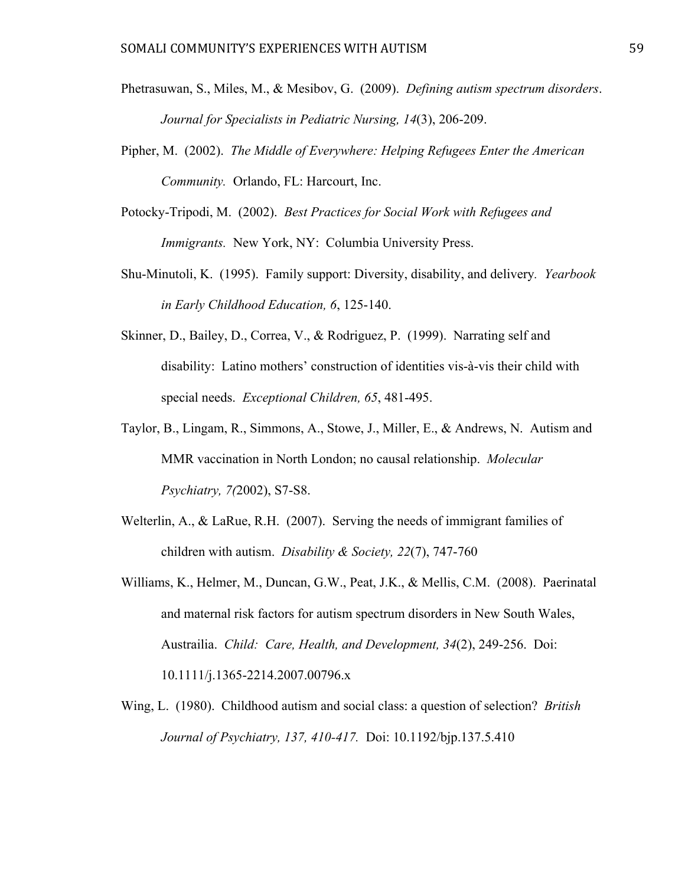- Phetrasuwan, S., Miles, M., & Mesibov, G. (2009). *Defining autism spectrum disorders*. *Journal for Specialists in Pediatric Nursing, 14*(3), 206-209.
- Pipher, M. (2002). *The Middle of Everywhere: Helping Refugees Enter the American Community.* Orlando, FL: Harcourt, Inc.
- Potocky-Tripodi, M. (2002). *Best Practices for Social Work with Refugees and Immigrants.* New York, NY: Columbia University Press.
- Shu-Minutoli, K. (1995). Family support: Diversity, disability, and delivery*. Yearbook in Early Childhood Education, 6*, 125-140.
- Skinner, D., Bailey, D., Correa, V., & Rodriguez, P. (1999). Narrating self and disability: Latino mothers' construction of identities vis-à-vis their child with special needs. *Exceptional Children, 65*, 481-495.
- Taylor, B., Lingam, R., Simmons, A., Stowe, J., Miller, E., & Andrews, N. Autism and MMR vaccination in North London; no causal relationship. *Molecular Psychiatry, 7(*2002), S7-S8.
- Welterlin, A., & LaRue, R.H. (2007). Serving the needs of immigrant families of children with autism. *Disability & Society, 22*(7), 747-760
- Williams, K., Helmer, M., Duncan, G.W., Peat, J.K., & Mellis, C.M. (2008). Paerinatal and maternal risk factors for autism spectrum disorders in New South Wales, Austrailia. *Child: Care, Health, and Development, 34*(2), 249-256. Doi: 10.1111/j.1365-2214.2007.00796.x
- Wing, L. (1980). Childhood autism and social class: a question of selection? *British Journal of Psychiatry, 137, 410-417.* Doi: 10.1192/bjp.137.5.410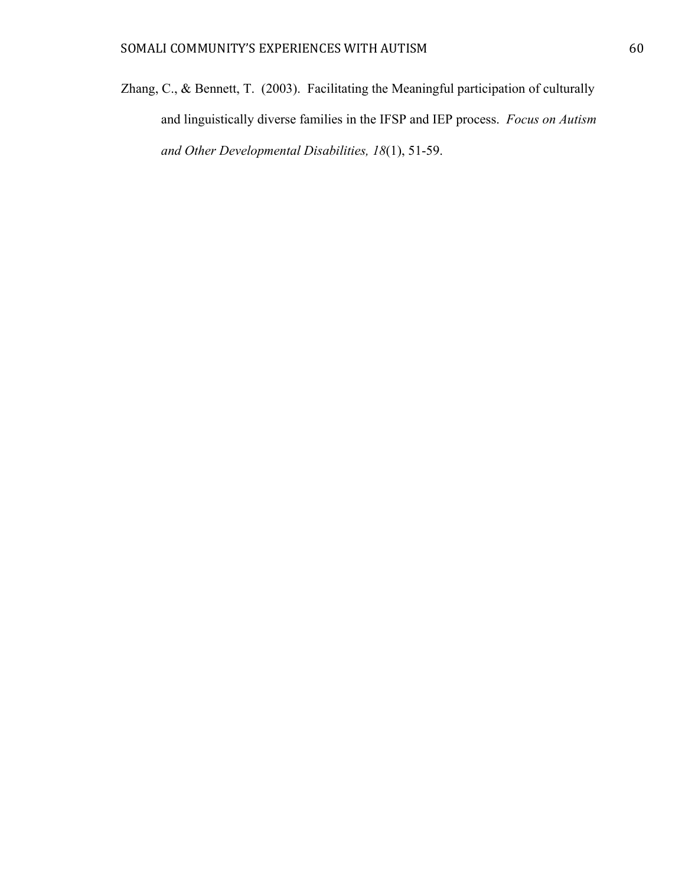Zhang, C., & Bennett, T. (2003). Facilitating the Meaningful participation of culturally and linguistically diverse families in the IFSP and IEP process. *Focus on Autism and Other Developmental Disabilities, 18*(1), 51-59.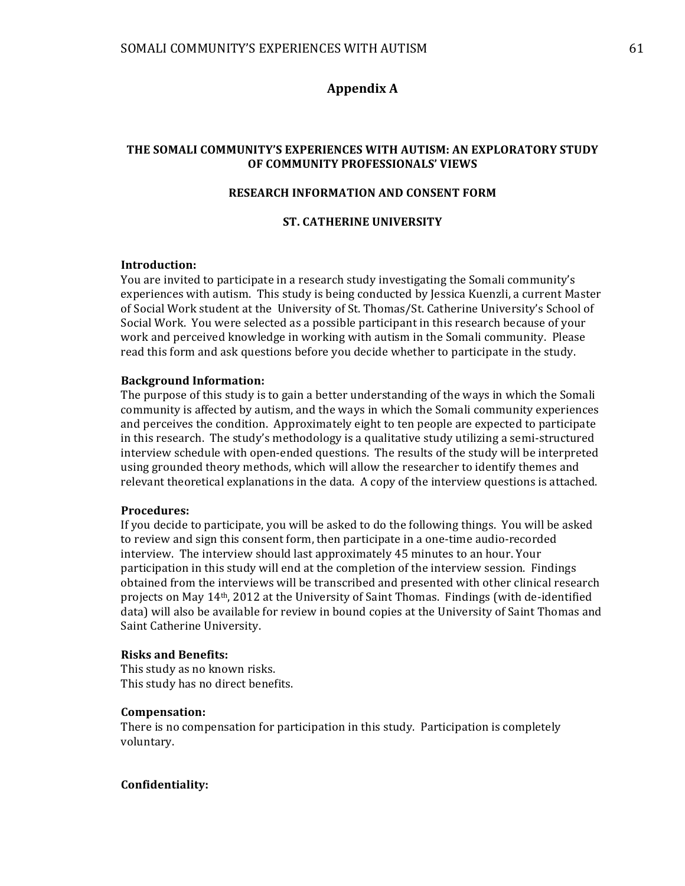# **Appendix(A**

#### THE SOMALI COMMUNITY'S EXPERIENCES WITH AUTISM: AN EXPLORATORY STUDY **OF COMMUNITY PROFESSIONALS' VIEWS**

# **RESEARCH INFORMATION AND CONSENT FORM**

#### **ST. CATHERINE UNIVERSITY**

#### **Introduction:**

You are invited to participate in a research study investigating the Somali community's experiences with autism. This study is being conducted by Jessica Kuenzli, a current Master of Social Work student at the University of St. Thomas/St. Catherine University's School of Social Work. You were selected as a possible participant in this research because of your work and perceived knowledge in working with autism in the Somali community. Please read this form and ask questions before you decide whether to participate in the study.

#### **Background Information:**

The purpose of this study is to gain a better understanding of the ways in which the Somali' community is affected by autism, and the ways in which the Somali community experiences and perceives the condition. Approximately eight to ten people are expected to participate in this research. The study's methodology is a qualitative study utilizing a semi-structured interview schedule with open-ended questions. The results of the study will be interpreted using grounded theory methods, which will allow the researcher to identify themes and relevant theoretical explanations in the data. A copy of the interview questions is attached.

#### **Procedures:**

If you decide to participate, you will be asked to do the following things. You will be asked to review and sign this consent form, then participate in a one-time audio-recorded interview. The interview should last approximately 45 minutes to an hour. Your participation in this study will end at the completion of the interview session. Findings obtained from the interviews will be transcribed and presented with other clinical research projects on May 14<sup>th</sup>, 2012 at the University of Saint Thomas. Findings (with de-identified data) will also be available for review in bound copies at the University of Saint Thomas and Saint Catherine University.

#### **Risks and Benefits:**

This study as no known risks. This study has no direct benefits.

#### **Compensation:**

There is no compensation for participation in this study. Participation is completely voluntary.'

#### **Confidentiality:**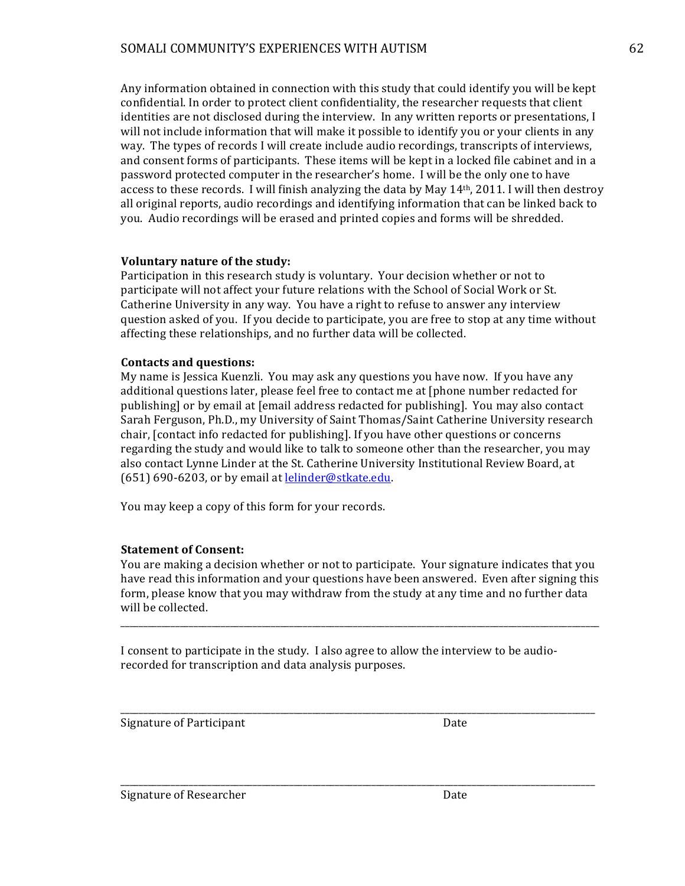# SOMALI COMMUNITY'S EXPERIENCES WITH AUTISM 62

Any information' obtained in connection with this study that could identify you will be kept confidential. In order to protect client confidentiality, the researcher requests that client identities are not disclosed during the interview. In any written reports or presentations, I will not include information that will make it possible to identify you or your clients in any way. The types of records I will create include audio recordings, transcripts of interviews, and consent forms of participants. These items will be kept in a locked file cabinet and in a password protected computer in the researcher's home. I will be the only one to have access to these records. I will finish analyzing the data by May  $14<sup>th</sup>$ , 2011. I will then destroy all original reports, audio recordings and identifying information that can be linked back to you. Audio recordings will be erased and printed copies and forms will be shredded.

# Voluntary nature of the study:

Participation in this research study is voluntary. Your decision whether or not to participate will not affect your future relations with the School of Social Work or St. Catherine University in any way. You have a right to refuse to answer any interview question asked of you. If you decide to participate, you are free to stop at any time without affecting these relationships, and no further data will be collected.

# **Contacts and questions:**

My name is Jessica Kuenzli. You may ask any questions you have now. If you have any additional questions later, please feel free to contact me at [phone number redacted for publishing] or by email at [email address redacted for publishing]. You may also contact Sarah Ferguson, Ph.D., my University of Saint Thomas/Saint Catherine University research chair, [contact info redacted for publishing]. If you have other questions or concerns regarding the study and would like to talk to someone other than the researcher, you may also contact Lynne Linder at the St. Catherine University Institutional Review Board, at  $(651)$  690-6203, or by email at lelinder@stkate.edu.

You may keep a copy of this form for your records.

# **Statement of Consent:**

You are making a decision whether or not to participate. Your signature indicates that you have read this information and your questions have been answered. Even after signing this form, please know that you may withdraw from the study at any time and no further data will be collected.

\_\_\_\_\_\_\_\_\_\_\_\_\_\_\_\_\_\_\_\_\_\_\_\_\_\_\_\_\_\_\_\_\_\_\_\_\_\_\_\_\_\_\_\_\_\_\_\_\_\_\_\_\_\_\_\_\_\_\_\_\_\_\_\_\_\_\_\_\_\_\_\_\_\_\_\_\_\_\_\_\_\_\_\_\_\_\_\_\_\_\_\_\_\_\_\_\_\_\_\_\_\_\_\_\_

\_\_\_\_\_\_\_\_\_\_\_\_\_\_\_\_\_\_\_\_\_\_\_\_\_\_\_\_\_\_\_\_\_\_\_\_\_\_\_\_\_\_\_\_\_\_\_\_\_\_\_\_\_\_\_\_\_\_\_\_\_\_\_\_\_\_\_\_\_\_\_\_\_\_\_\_\_\_\_\_\_\_\_\_\_\_\_\_\_\_\_\_\_\_\_\_\_\_\_\_\_\_\_\_

\_\_\_\_\_\_\_\_\_\_\_\_\_\_\_\_\_\_\_\_\_\_\_\_\_\_\_\_\_\_\_\_\_\_\_\_\_\_\_\_\_\_\_\_\_\_\_\_\_\_\_\_\_\_\_\_\_\_\_\_\_\_\_\_\_\_\_\_\_\_\_\_\_\_\_\_\_\_\_\_\_\_\_\_\_\_\_\_\_\_\_\_\_\_\_\_\_\_\_\_\_\_\_\_

I consent to participate in the study. I also agree to allow the interview to be audiorecorded for transcription and data analysis purposes.

Signature of Participant Date

Signature of Researcher **Date** Date